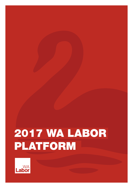# 2017 WA LABOR PLATFORM

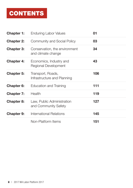# CONTENTS

| <b>Chapter 1:</b> | <b>Enduring Labor Values</b>                        | 01  |
|-------------------|-----------------------------------------------------|-----|
| <b>Chapter 2:</b> | <b>Community and Social Policy</b>                  | 03  |
| <b>Chapter 3:</b> | Conservation, the environment<br>and climate change | 34  |
| <b>Chapter 4:</b> | Economics, Industry and<br>Regional Development     | 43  |
| <b>Chapter 5:</b> | Transport, Roads,<br>Infrastructure and Planning    | 106 |
| <b>Chapter 6:</b> | Education and Training                              | 111 |
| <b>Chapter 7:</b> | Health                                              | 119 |
| <b>Chapter 8:</b> | Law, Public Administration<br>and Community Safety  | 127 |
| <b>Chapter 9:</b> | International Relations                             | 145 |
|                   | Non-Platform Items                                  | 151 |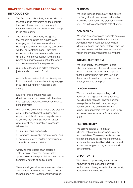# CHAPTER 1: ENDURING LABOR VALUES

# INTRODUCTION

- 1 The Australian Labor Party was founded by the trade union movement on the principle that collective action is the best way to improve the circumstances of working people in the community.
- **2** The Australian Labor Party recognises that modern societies are dynamic and changing, and that Western Australia must be integrated into an increasingly connected world. The Australian Labor Party also understands that Western Australia has a dynamic free market economy, where the private sector generates most of the wealth and creates most of the employment.
- **3** Our Party is founded on pillars of fairness, justice and compassion for all.

As a Party, we believe that our diversity as individuals and communities actively engaged in building our future in Australia is our strength.

Equity for those groups who face discrimination and exclusion, which unifies and respects difference, are fundamental to living this vision.

- **4** WA Labor believes that all people are created equal in their entitlement to dignity and respect, and should have an equal chance to achieve their potential. For WA Labor, government has a critical role in ensuring fairness by:
	- Ensuring equal opportunity
	- Removing unjustifiable discrimination; and
	- Achieving a more equitable distribution of wealth, income and status.

Achieving these goals of an equitable distribution of resources, power, rights, opportunities and responsibilities are what we commonly refer to as social justice.

These are all goals that we share, and which define Labor Governments. These goals are founded upon WA Labor's enduring values:

#### **FAIRNESS**

We value fairness and equality and believe in a fair go for all - we believe that a nation should be governed in the broader interests of all, not in the sectional interests of a few.

#### **COMPASSION**

We value compassion and dedicate ourselves to social justice. We believe that it is the Australian way to work together to help alleviate suffering and disadvantage when we can. We believe that this compassion is also vital in ensuring human rights everywhere.

#### **INDIVIDUAL FREEDOM**

We value liberty - the freedom to hold whatever beliefs we choose while respecting those of others; the freedom to express those beliefs without fear or favour; and the economic freedom to pursue our own employment and enterprise.

#### **LABOUR RIGHTS**

We are committed to protecting and advancing the rights of working families, including their rights to join trade unions, to organise in the workplace, to bargain collectively and to exercise their right to strike. Our partnership with the trade union movement remains crucial for Australia's future.

#### **RESPONSIBILITY**

We believe that for all Australian citizens, rights must be accompanied by responsibilities. These responsibilities are to each other and to the wider community; and must be exercised by individuals, social and economic groups, organisations and governments.

#### **OPPORTUNITY**

We believe in opportunity, creativity and innovation as the basis for individual aspiration and being rewarded for hard work, achievement and success.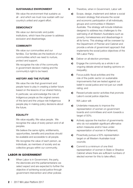#### **SUSTAINABLE ENVIRONMENT**

We value the environment that sustains us all - and which we must now sustain with our country's united and urgent effort.

#### **DEMOCRACY**

We value our democratic and public institutions, which have the power to address exclusion and disadvantage.

#### **COMMUNITY**

We value our communities and our families. Our families are the bedrock of our communities which we need to nurture, protect and support.

We recognise the role of the community in government decision making and the community's right to be heard.

#### **HISTORY AND THE FUTURE**

We value the role that government and people have to play in creating a better future based on the lessons of our shared history.

In particular, we acknowledge the role of Indigenous people as the original owners of this land and the unique role Indigenous people play in making policy decisions about the future.

#### **EQUALITY**

We value equality. We value people. We recognise the value of every person and of all peoples.

We believe the same rights, entitlements, opportunities, benefits and practices should be available and accessible to all people.

We recognise the value of each person, as individuals, as members of society and as collective groups within our community.

#### LABOR IN GOVERNMENT

**5** When Labor is in Government, the party, the electorate and the parliamentarians we select expect and are expected to further the objective of achieving social justice through government intervention and other policies

- **6** Therefore, when in Government, Labor will:
	- a) Scope, design, implement and deliver a social inclusion strategy that ensures the social and economic participation of all individuals, groups and communities in Western Australia. The strategy will include initiatives designed to address key challenges to the well being of all Western Australians such as poverty, homelessness and disadvantage in all its forms. This strategy will be overseen by the Department of Premier and Cabinet and provide a whole of government approach that implements the social justice objectives of the WA Labor Party;
	- **b)** Deliver on all election promises;
	- c) Engage the community as a whole in an ongoing debate aimed at leading opinions on inequality;
	- d) Focus public fiscal activities and the role of the public sector on sustainable improvements that are tested against our belief in social justice and not just our credit rating; and
	- e) Reward private sector activities that promote Labor's social justice objective.
- 7 WA Labor will:
	- **a)** Undertake measures to improve the representation of women on government boards and committees and work towards a target of 50%;
	- **b)** Actively oppose the inaction of governments who do not establish significant affirmative action measures and/or have underrepresentation of women in Parliament;
	- c) Proactively pursue a 50% representation target on all Western Australian local councils;
	- d) Commit to a minimum of one third representation of women in State or Shadow Cabinet where there are sufficient numbers of elected women for this to take effect;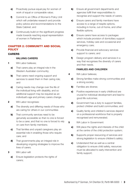- e) Proactively pursue equal pay for women of work of equal or comparable value;
- f) Commit to an Office of Women's Policy Unit which will undertake research and provide policy advice and recommendations to the State Cabinet; and
- g) Continuously build on the significant progress made towards reaching equal representation of women in Parliament.

# CHAPTER 2: COMMUNITY AND SOCIAL **POLICY**

# **CARERS**

#### **VALUING CARERS**

- 1 WA Labor believes:
	- a) That carers play an integral role in the Western Australian community;
	- **b)** That carers need ongoing support and services to assist them in their caring role; and
	- c) Caring needs may change over the life of the individual living with disability, and so additional support may be required as an individual's age and primary carers change.
- 2 WA Labor recognises:
	- a) The diversity and differing needs of those who are caring for others in our communities
	- **b)** That community services need to be genuinely accessible so that no one is forced to be a carer, and that no one is forced to rely on care from family members;
	- c) That families and unpaid caregivers play an essential role in enabling those who require care; and
	- d) That governments play an integral role in developing ongoing strategies to improve the lives of carers.
- 3 WA Labor will:
	- a) Ensure legislation protects the rights of carers;
- **b)** Ensure all government departments and agencies fulfill their responsibilities to recognise and support the needs of carers;
- c) Ensure carers and family members have access to a range of respite options, including in-home, out-of-home, and other flexible options;
- d) Ensure carers have access to packages which include provision of domiciliary support services, holiday care and occasional and emergency care;
- e) Provide financial and advocacy services support to carers; and
- f) Design program delivery and services in a way that recognises the diversity of carers and their needs.

#### **FAMILIES AND CHILDREN**

- **4** WA Labor believes;
	- a) Strong families make strong communities and a strong society;
	- **b)** Families are diverse;
	- c) Positive experiences in early childhood are crucial for individual development and lead to good life outcomes;
	- d) Government has a duty to support families, protect children and build communities; and
	- e) Quality family and children's services depend on a professional workforce that is properly recognised and remunerated.
- **5** WA Labor in Government:
	- a) Will place the rights and interests of the child at the centre of the child protection system;
	- **b)** Supports proper resourcing of services and strong legislation to ensure children's safety;
	- c) Understand that as well as a central obligation to ensure child safety, resources must be allocated to early intervention and family support;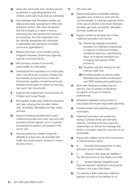- d) Values the community and voluntary sectors as partners in supporting families and children, particularly those that are vulnerable;
- e) Acknowledges that Aboriginal children are disproportionately represented in WA's child protection system. WA Labor recognises that this is largely as a result of trauma stemming from past government decisions and practices, and that responses must be culturally appropriate and developed in partnership with Aboriginal controlled community organisations;
- f) Believes that there must be better service integration between Government agencies and the community sector;
- **g)** Will promote a whole-of-community responsibility for child safety;
- **h)** Understands the importance of a child's early years, and will work to support children and their families during this time to meet the full physical, cognitive, emotional and social developmental needs of children so that they can reach their full potential;
- **i)** Supports the independent Commissioner for Children and Young People;
- j) Will regulate quality early childhood education and care, ensuring that providers deliver safe, accessible, affordable and high-quality services;
- k) Support workforce development in early childhood education and care, and work with providers and the relevant union to achieve professional recognition and wages for the sector; and
- **l)** Improve support for children living with disability to ensure they are provided with health and social support services to reduce the risk of harm.
- **6** WA Labor will:
	- a) Deliver streamlined and flexible childcare regulation and continue to work with the Commonwealth to maximise parental choice in the care of children and ensure childcare providers give safe, accessible, affordable and high-quality services;
	- **b)** Support workforce development in early childhood education and care by:
		- i) Introducing ongoing compulsory education for childcare professionals on aspects of childcare including mandatory reporting, understanding ratios, and national standards and complying with general OH&S provisions;
			- **ii**) Providing induction training for new childcare staff; and,
		- **iii)** Providing student access to quality, affordable early childhood education care TAFE training and qualifications.
	- c) Work with childcare providers and the relevant union to achieve professional recognition and pay for childcare professionals.
	- d) Strengthen legislation and provision to encourage and require responsible parenting;
	- e) Provide families with parenting support information;
	- f) Implement education and awareness raising to prevent family and domestic violence, including promoting respectful relationships, as well as the message that family or domestic violence in any form is not acceptable;
	- g) Ensure that children remain the central focus of child protection action;
	- **h)** h) Consider the development of child advocacy centre models in WA;
	- i) i) Adhere to the measures detailed in the UN Convention on the Rights of a Child;
	- j) i) Update adoption legislation and improve long-term placement outcomes for children in the care of the State;
	- k) Co-ordinate a state wide early childhood agenda, focusing on the delivery of co-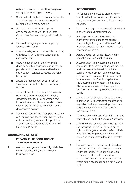ordinated services at a local level to give our young children a flying start in life;

- l) Continue to strengthen the community sector as partners with Government and a vital building block in the community;
- **m)** Maximise take up of family support and concessions as well as keep State Government fees and charges at affordable levels;
- **n)** Improve inter-agency work in supporting families and children;
- o) Introduce safeguards to protect children living with disability while in care at home or in service facilities;
- **p)** Improve support for children living with disability and their siblings to ensure they are provided with opportunities and health and social support services to reduce the risk of harm; and,
- q) Ensure the independent appointment of the Commissioner for Children and Young People.
- r) Ensure all people have the right to form and belong to a family regardless of gender, gender identity or sexual orientation. WA Labor will ensure all those who wish to form a family are not impeded from doing so nor discriminated against.
- s) Commit to reducing the disproportionate rate of Aboriginal and Torres Strait children in the child protection system and to uphold the "Aboriginal and Torres Strait Islander Child Placement Principle".

# ABORIGINAL AFFAIRS

# **PREAMBLE - RECOGNITION OF TRADITIONAL RIGHTS**

**7** WA Labor recognises that Aboriginal decision making processes lay within individual language groups.

# **INTRODUCTION**

- 8 WA Labor is committed to promoting the social, cultural, economic and physical well being of Aboriginal and Torres Strait Islander peoples.
- **9** WA Labor recognises and respects Aboriginal authority and self-determination.
- 10 Past experience and dislocation has significantly contributed to the current disadvantage Aboriginal and Torres Strait Islander people face across a range of socioeconomic indicators.
- 11 Acknowledgement of this history and its impact is vital to Australia's future.
- 12 A commitment from government and the community to substantial change is required, and this can be facilitated through the continuing development of the processes outlined by the Statement of Commitment to a New and Just Relationship between the Government of Western Australia and Aboriginal Western Australians, signed by the Gallop WA Labor government in October 2001.
- **13** These practices should be used to develop a framework for constructive negotiation on legislation that may have a disproportionately negative impact on Aboriginal people in Western Australia.
- 14 Land has an inherent physical, emotional and spiritual meaning to all Aboriginal Australians.
- **15** This way of life has been acknowledged with the recognition of the traditional property rights of Aboriginal Australians (Mabo 1992), who have the full protection of the law in exercising their common law rights of native title.
- **16** However, not all Aboriginal Australians have equal access to the remedies provided for under native title. WA Labor will develop alternative strategies to redress the dispossession of Aboriginal Australians for whom native title recognition is not a viable option.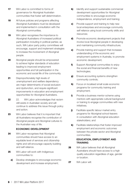- 17 WA Labor is committed to forms of governance for Aboriginal Australian communities that foster self-determination.
- **18** All future policies and programs affecting Aboriginal Australians must be developed and implemented in consultation with the Aboriginal communities.
- 19 WA Labor recognises the importance to Aboriginal Australians of increased political participation including in political parties; as such, WA Labor party policy committees will encourage, support and implement strategies to increase the involvement of Aboriginal people.
- 20 Aboriginal people should be empowered to achieve higher standards of education leading to improved employment opportunities and full participation in the economic and social life of the community.
- 21 Disproportionately high levels of unemployment and welfare dependency are major determinants of social exclusion and dysfunction, and require significant improvements in education and employment opportunities for Aboriginal Australians.
- 22 22. WA Labor acknowledges that racism still exists in Australian society and will continue to address this issue through policy and action.
- 23 WA Labor believes that it is important that all Australians recognise the contribution of Aboriginal people and Aboriginal cultures to the Australian way of life.

# **ECONOMIC DEVELOPMENT**

- 24 WA Labor recognises that Aboriginal communities should have access to an equitable level of services and citizenship rights and will encourage capacity building and self-reliance.
- **25** WA Labor will work with Indigenous communities to:
	- a) Develop strategies to encourage economic development and increase employment;
- **b)** Identify and support sustainable commercial development opportunities for Aboriginal communities to encourage economic independence, employment and training;
- c) Provide support and training to help new local enterprises and encourage community self reliance using local community skills and resources;
- d) Promote economic development projects that involve local Aboriginal people in developing and maintaining community infrastructure;
- e) Provide training and support that increases understanding of the economic and employment systems in Australia, to promote economic development;
- f) Support Aboriginal communities to enjoy the social and financial benefits of new technologies;
- g) Ensure accounting systems strengthen community controls;
- **h)** Focus on localised small scale economic programs for community training and employment;
- i) Provide a business mentor scheme using mentors with appropriate cultural background or training to engage communities with new initiatives;
- j) Facilitate specific labour market entry programs for Aboriginal school-leavers in consultation with Aboriginal education stakeholders; and
- k) Facilitate relationships that foster improved employment and economic outcomes between the private sector and Aboriginal communities.

# **EDUCATION, EMPLOYMENT AND TRAINING**

- **26** WA Labor believes that all Aboriginal Australians should have access to a high quality education regardless of age, gender or location.
- 27 WA Labor will: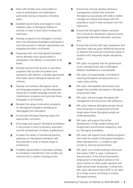- a) Work with families and communities to improve participation and attendance particularly during compulsory schooling years;
- **b)** Establish benchmarks and targets to track retention rates of Aboriginal children at schools in order to best direct funding and resources;
- c) Develop programs and strategies to ensure that more Aboriginal Australians participate in and have access to relevant, appropriate and engaging education at all levels;
- d) Guarantee that more Aboriginal Australians will be afforded more opportunities to participate in the delivery of education at all levels;
- e) Develop and promote access to education programs that provide all students and educators with relevant, culturally appropriate information about Aboriginal histories and cultures;
- f) Develop and enhance Aboriginal culture and language programs, provide adequate resources to enable language renewal and maintenance programs and promote those languages to all students;
- g) Broaden the range of education programs for Aboriginal Australians identifying as disengaged from education;
- **h)** Incorporate Aboriginal learning styles into appropriate curriculum;
- **i)** Encourage and support Aboriginal Australians in the pursuit of post-compulsory education and the achievement of tertiary qualifications;
- j) Increase the variety of transitional learning pathways for Aboriginal Australians with the potential to enter a diverse range of professions;
- k) Facilitate opportunities in education settings for students to benefit from role models and mentors from a variety of backgrounds;
- l) Ensure that schools develop behaviour management policies that empower Aboriginal young people with skills to better manage any behavioural issues with the potential to result in their exclusion from the classroom;
- **m)** Ensure that Aboriginal children excluded from schools for disciplinary reasons receive appropriate alternative education services; and
- n) Ensure that schools with high suspension and expulsion rates are given additional resources to address the social and emotional needs of students who frequently require disciplinary action.
- **28** WA Labor recognises that the general and youth unemployment rate of Aboriginal Western Australians is unacceptable.
- **29** WA Labor is fundamentally committed to reducing Aboriginal unemployment as a major policy priority.
- **30** WA Labor will establish benchmarks and targets that quantify decreases in Aboriginal employment rates.
- **31** WA Labor will encourage Aboriginal selfmanagement and economic self-sufficiency.
- **32** WA Labor believes Aboriginal people should have full access to employment and will target areas where Aboriginal people are underrepresented.
- **33** WA Labor will support the further development of high quality training and employment environments shaped by, and for, Aboriginal Australians.
- **34** WA Labor will support local, flexible programs that meet the needs of Aboriginal Australians either alienated from, or unable to gain access to, learning environments.
- **35** WA Labor, as a model employer will ensure that where CDEP is used, it will lead to the promotion of the full and permanent employment of Aboriginal workers in the same manner as other public servants and State Government employees. Furthermore WA Labor will ensure that CDFP is not used as a cheap source of funding to employ Aboriginal workers.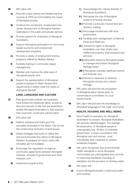- 36 WA Labor will:
	- a) Promote onsite training and flexible learning courses at TAFE accommodating the needs of Aboriginal people;
	- **b)** Continue the recruitment, employment and career development of Aboriginal Western Australians in the public and private sectors;
	- c) Provide support for employers of Aboriginal Australians;
	- d) Support Aboriginal participation in community based economic and employment development programs;
	- e) Promote a variety of employment training programs offered by flexible delivery;
	- f) Facilitate training in community based management;
	- **g)** Maintain and improve the skills base of Aboriginal people; and
	- **h)** Expand the representation of Aboriginal people employed in State Government departments to better meet the needs of Aboriginal clientele.

# **LAND, LANGUAGE AND CULTURE**

- **37** Past government policies and practices have limited the traditional rights, access to land and security of title that are essential to enable Aboriginal Australians to fully exercise their economic, social and cultural rights.
- 38 WA Labor will:
	- a) Defend, preserve and build upon the principles embodied in the Native Title Act for the constructive resolution of land issues;
	- **b)** Adopt strategies that build on native title and accommodate the claims of Aboriginal Western Australians for whom native title remedies are not available;
	- c) Encourage the negotiation of regional community agreements between Aboriginal interests, all levels of government and other interests; and
	- d) Implement programs that:
- i) Acknowledge the cultural diversity of Aboriginal Australians;
- ii) Recognise the role of Aboriginal systems of kinship and law;
- **iii**) Promote community involvement and decision making;
- iv ) Encourage involvement with local government;
- v ) Facilitate joint management of National Parks and Reserves;
- **vi** ) Uphold the rights of Aboriginal Australians over their artistic and intellectual property; their products and services;
- **vii** ) Adequately resource Aboriginal people to manage and protect Aboriginal heritage areas;
- **viii**) Recognise culturally significant events and festivals; and
- ix ) Introduce measures to reinforce Aboriginal cultures and cultural heritage.
- **39** WA Labor will promote the recognition of Aboriginal place names given by nomenclature committees of Local Governments.
- **40** WA Labor will promote the knowledge of Aboriginal languages in the wider community.

# **HEALTH, HOUSING AND WELL-BEING**

41 Good health is necessary for Aboriginal Australians to prosper. Aboriginal Australians are severely disadvantaged. The average life expectancy of Aboriginal people is unacceptably low. All tiers of Australian government, in close consultation with Aboriginal men and women, must immediately take measures to achieve sustained progress.

**42** WA Labor recognises that environmental health standards in some Aboriginal communities are unacceptable and commits to improving standards, including of sanitation and the provision of drinking water.

- 43 WA Labor will:
	- a) Involve Aboriginal people in improving health and housing;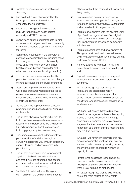- **b)** Facilitate expansion of Aboriginal Medical Services;
- c) Improve the training of Aboriginal health, housing and community workers and encourage their recruitment;
- d) Ensure that Aboriginal Studies is a prerequisite for health and health-related university and TAFE courses;
- e) Support and expand undergraduate training schemes for Aboriginal health and community workers and institute a system of registration for them;
- f) Identify any inadequacy in the provision of services to Aboriginal people, including those in custody, and move promptly to rectify those gaps (e.g. health services, prison health services, birthing centres for both urban and rural women, housing, nutrition);
- g) Examine the relevance of current health promotion policies and practices and change them to take account of cultural differences;
- **h)** Design and implement maternal and child well-being programs which help families to gain access to mainstream services, and which sensitise those services to the needs of their Aboriginal clients;
- i) Devise culturally appropriate sex education programs designed specifically for Aboriginal adolescents;
- **j)** Ensure that Aboriginal people, who wish to, including those in regional areas, are able to access safe, culturally sensitive and publicly funded reproductive health care services, including pregnancy termination care;
- k) Encourage projects which address violence, particularly intra-familial violence, in a culturally appropriate way through education, support facilities, and active community participation;
- l) Ensure that appropriate care for Aboriginal aged and disabled people is available and that it includes affordable and secure accommodation, and services that allow for home care in all communities;
- **m)** Facilitate full participation of Aboriginal communities in the design and construction

of housing that fulfils their cultural, social and living needs;

- **n)** Require existing community services to include courses in living skills for all ages, in a format and in locations which are acceptable and accessible to Aboriginal people;
- o) Facilitate development with the relevant union of professional organisations of Aboriginal health community workers, and encourage their involvement in school and community activities; and
- **p)** Facilitate research into and development of Aboriginal health and health related issues, and investigate the feasibility of establishing a College of Aboriginal Health;
- **q)** Improve strategies to prevent family and domestic violence and assist those affected; and
- r) Support policies and programs designed to reduce the incidence of foetal alcohol syndrome.
- 44 WA Labor recognises that Aboriginal Australians are disproportionately represented in public housing and that public housing policies therefore, should be sensitive to Aboriginal cultural obligations to family members.

WA Labor will ensure that the disruptive behaviour management ('three strikes') policy is used a means to identify and engage appropriate support for tenants at an early stage so that their tenancy can be sustained, rather than as a purely punitive measure that may result in eviction.

WA Labor will remove the barriers that may prevent Aboriginal Australians from gaining access to safe community housing, including ensuring that rent charged is within their capacity to pay.

Private rental assistance loans should be used as an early intervention tool to help Aboriginal tenants to sustain their tenancy when it is at risk due to rent arrears.

**45** WA Labor recognises that suicide remains one of the main causes of preventable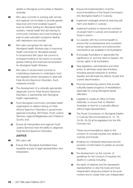deaths in Aboriginal communities in Western Australia.

- **46** WA Labor commits to working with remote and regional communities to provide greater resources and more localised support, such as further training for Aboriginal health workers, mental health first aid training for community members and more funding for peer-to-peer education programs dealing with depression and suicide
- **47** WA Labor recognises the vital role Aboriginal Health Workers play in improving health outcomes for Aboriginal people. In Government WA Labor will commit to increased funding for the sector to provide greater training and improved remuneration for Aboriginal Health Workers.
- **48** WA Labor in Government commits to undertaking measures to understand, fund and legislate (where necessary) to deal with Fetal Alcohol Spectrum Disorders. Such measures include:
	- a) The development of a culturally appropriate diagnostic tool for Fetal Alcohol Spectrum Disorders, in partnership with Aboriginal health organisations;
	- **b)** Fund Aboriginal community controlled health organisaions to deliver training on Fetal Alcohol Spectrum Disorders to government agencies including; WA Police, Youth Justice Services, regional Magistrates and Children's Courts; and,
	- c) Ensure all metropolitan and regional Youth Justice Services have the ability to diagnose Fetal Alcohol Spectrum Disorders.

# **JUSTICE**

- 49 WA Labor will:
	- a) Ensure that Aboriginal Australians have equitable access to legal representation and interpreters;
- **b)** Ensure full implementation of all the recommendations of the Royal Commission into Aboriginal Deaths in Custody;
- c) Implement strategies aimed at reducing self harm and deaths in custody;
- d) Implement policies to reduce the numbers of people held in custody and recidivism of those in prison;
- e) Co-operate with the Commonwealth to ensure that comprehensive and consistent human rights protection and enforcement mechanisms are available to all Australians;
- f) Encourage Australians to appreciate the significance of, and the need to respect, the human rights of all Australians;
- g) Take legislative, administrative and other action to eliminate racial discrimination including special measures to achieve equality and eliminate the effects of past and current discrimination;
- **h)** Promote sentencing options that provide culturally based programs of rehabilitation, especially for young Aboriginal repeat offenders;
- i) Legislate to create an office of Public Defender, to ensure that no Western Australian is tried for a custodial offence without legal representation.
- **50** The Royal Commission on Aboriginal Deaths in Custody Recommendations 8, 15, 16, 18-26, 35-28 all be legislated into the WA Coroners Act.

These recommendations relate to the conduct of coronial inquiries into deaths in custody and include:

- a) timelines for ministerial responses and the provision of information to parties at coronial inquests;
- **b)** the development, by the coroner, of guidelines for the conduct of inquiries into deaths in custody including:
- c) the rights of relatives and the deceased's representative to view the body and have independent observers present at the postmortem and to obtain their own independent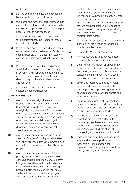post-mortem.

- d) that the post-mortem should be conducted by a specialist forensic pathologist;
- e) awareness and respect of cultural issues that may relate to autopsy and engagement with relatives and organisations such as Aboriginal Legal Services to address these;
- f) that custodial authorities be required by law to immediately notify the Coroner's Office of all deaths in custody;
- g) that autopsy reports, CCTV and other critical evidence be provided to bereaved families as soon as possible after a death in custody or care and in a timely and culturally competent way;
- **h)** that the Coroner's Court fund and engage Aboriginal advocates to provide advocacy, information and support to bereaved families and to presiding coroners from the time of death through to the aftermath of inquest findings; and
- i) that deaths in custody and care be the subject of expedited hearings.

# **JUVENILE JUSTICE**

- **51** WA Labor acknowledges there are unacceptably high Aboriginal and Torres Strait Islander juvenile detention rates. Aboriginal young people are 28 times more likely to be incarcerated than non-Indigenous young people. Further, there are high-levels of economic and social disadvantage in Indigenous communities that lead to such disproportionately high level of contact with the criminal justice system.
- **52** WA Labor recognises that accountability is the core of successful policy implementation. WA Labor will ensure that Government is held accountable for all policy affecting Aboriginal people.
- **53** WA Labor recognises that some of the primary obstacles to breaking the cycle of offending and reducing recidivism stem from intergenerational issues, institutionalised and systemic discrimination. Aboriginal young people are significantly less likely to receive the benefits of court diversionary programs than non- Aboriginal young people, as a

result they have increased contact with the criminal justice system and in turn are more likely to receive a period in detention, either on remand or post sentencing. It is clear there should be a serious examination as to how we can best ensure young Aboriginal people have opportunity and support early in their lives free from involvement with the criminal justice system.

- **54** WA Labor acknowledges that in Government it can play a role in reducing Indigenous juvenile detention rates.
- **55** In particular WA Labor commits to:
	- a) Increase resourcing to evidenced based programs that support early intervention;
	- **b)** Ensuring that young Aboriginal people are provided with holistic support that addresses their health, education, social and economic concerns stemming from the long term effects of intergenerational social issues;
	- c) Developing localised strategies for rural, regional and remote communities that encourage and support young Aboriginal people's engagement with their peers and wider communities;
	- d) Ensuring, legislatively, that incarceration is treated as a last resort, and that diversionary tactics, restorative justice and rehabilitation are the priority for young offenders;
	- e) Developing a focus on evidenced-based education projects that partner with community organisations and education authorities to create strategies to assist young Aboriginal students at risk of disengaging from formal education; and
	- f) Partnering and consulting with Aboriginal elders and leaders in positions of responsibility in the creation and implementation of all policy and legislation directly affecting their communities.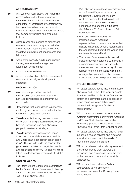#### **ACCOUNTABILITY**

- **56** WA Labor will work closely with Aboriginal communities to develop governance structures that combine the standards of accountability established by contemporary fiscal practice with culturally appropriate institutions. In particular WA Labor will ensure that community policies and programs include:
	- a) Strategies for communities to monitor and evaluate policies and programs that affect them, including reporting directly back to the relevant government departments and Ministers;
	- **b)** Appropriate capacity building and specific training to ensure self management of accountability structures;
	- c) Appropriate consultation; and
	- d) Appropriate allocation of State Government resources to Aboriginal development strategies.

#### **RECONCILIATION**

- **57** WA Labor supports the view that reconciliation between Aboriginal and non-Aboriginal people is a priority in our community.
- **58** Recognising that reconciliation is not simply an Aboriginal concern, but a matter for the whole community, WA Labor will:
	- a) Provide specific funding over and above current DIA funding to facilitate reconciliation between Aboriginal and non-Aboriginal people in Western Australia; and
	- **b)** Provide funding over a three year period to support the establishment of a credible and viable peak reconciliation organisation in WA. The aim is to build the capacity for genuine reconciliation amongst the people and organisations of WA. Funding will not be taken from Indigenous programs to fund this initiative.

#### **STOLEN WAGES**

**59** The Stolen Wages Scheme was established by the Barnett Liberal Government following a recommendation from the Stolen Wages Task Force Report of 2008.

- WA Labor acknowledges the shortcomings of the Stolen Wages established by the Barnett Government. Western Australia became the third state to offer compensation after the scheme was announced and opened on the same day, 6 March 2012, and closed on 30 November 2012.
- WA Labor will work closely with stakeholders and Aboriginal representatives to develop a scheme that delivers justice and genuine repatriation to the Aboriginal workers whose wages and entitlements were withheld.
- The terms of any future settlement will include financial reparations to individuals, a common experience fund, and other measures such as proper recognition and respect for the contributions which many Aboriginal people made to the pastoral industry and other enterprise in this State.

# **STOLEN GENERATION**

- **60** WA Labor acknowledges that the removal of Aboriginal and Torres Strait Islander people from their families has led to an "entrenched pattern of disadvantage and dispossession which continues to wreak havoc and destruction in Indigenous families and communities."
- **61** WA Labor will take into consideration the systemic disadvantage confronting Aboriginal and Torres Strait Islander people when formulating policies and laws which affect Aboriginal and Torres Strait Islander people.
- **62** WA Labor acknowledges that funding for all Indigenous related services and programs, should take into account the needs of members of stolen generations.
- **63** WA Labor believes that a Labor government should continue to work towards the recognition and compensation by the state to the people and communities of stolen generations.
- **64** WA Labor will work with our Federal counterparts to implement the recommendations of the Bringing Them Home Report.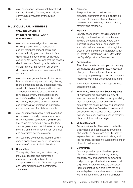**65** WA Labor supports the establishment and funding of Healing Centres, for Aboriginal communities impacted by the Stolen Generation.

# MULTICULTURAL INTERESTS

# **VALUING DIVERSITY PRINCIPLES FOR A LABOR GOVERNMENT**

- **66** WA Labor acknowledges that there are ongoing challenges in a multicultural society. Members of racial, ethnic and cultural minority groups continue to face discrimination, economically, socially and culturally. WA Labor believes that the specific discrimination suffered by racial , ethnic and cultural minority members of our society deserves specific policies to counteract these societal ills.
- **67** WA Labor recognises that Australian society is a racially, ethnically and culturally diverse, liberal democratic society, encompassing a wealth of cultures, histories and traditions. This racial, ethnic and cultural diversity is inseparable from, and guaranteed by, Australia's traditions of egalitarianism and democracy. Racial and ethnic diversity in society benefits Australians as individuals, and as members of society as a whole.
- **68** WA Labor recognizes that a high proportion of the WA community comes from a non-English speaking background (NESB), and that this is not reflected in any of the three arms of government, nor is it reflected in any meaningful manner in government agencies and associated service provision.
- **69** WA Labor believes our multicultural society should apply the principles of the Western Australian Charter of Multiculturalism:

#### **a) Civic Value**

The equality of respect, mutual respect, individual freedom and dignity for all members of society subject to the acceptance of the rule of law, social, political and legal institutions and constitutional structures.

#### **b) Fairness**

The pursuit of public policies free of prejudice, discrimination and exclusion on the basis of characteristics such as origins, perceived 'race',ethnicity culture , religion, ethnicity and nationality.

#### **c) Equality**

Equality of opportunity for all members of society to achieve their full potential in a free and democratic society where every individual is equal before, and under, the law. Labor will also ensure this through the creation and enactment of legislation which will create a Substantive Equity Unit within the Equal Opportunity Commission.

#### **d) Participation**

The full and equitable participation in society of individuals and communities, irrespective of origins, culture, religion, ethnicity and nationality by providing proper and adequate resources within the Governance Structure.

**70** A WA Labor Government will support these principles through:

#### **a) Economic, Political and Social Equality**

All Australians are entitled to equality of freedom, treatment and opportunity, enabling them to contribute to achieve their full potential in the social, political and economic life of Australia, free from discrimination and exclusion on the grounds of race, culture, religion, language, location, gender, ethnicity, place of birth or national origin.

#### **b) Mutual Respect**

Subject to the rule of law established within existing legal and constitutional structures of Australia, all Australians have the right to express their own culture and beliefs, and the reciprocal obligation to accept the right of others to do the same.

#### **c) Community**

Encourage and support the development of culturally diverse community groups, especially new and emerging communities, and provide opportunities for inclusion and engagement across all sectors of society. Promote practical self-help initiatives and leadership by communities to resolve issues within the community or in a multicultural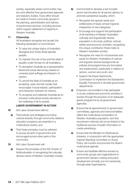society, especially where communities may be more effective than government agencies and statutory bodies. Every effort should be made to involve community groups in the planning, administration and delivery of government services, including services which support settlement of migrants in Western Australia.

#### **71 Citizenship**

All Australians recognise and accept the following declaration of commitment:

- To value the unique status of Australia's Aboriginal and Torres Strait Islander people;
- To maintain the rule of law and the ideal of equality under the law for all Australians;
- To strengthen Australia as a representative liberal and social democracy based on universal adult suffrage and freedom of opinion;
- To uphold the ideal of Australia as an accepting, open and fair society that encourages mutual respect, participation and interaction between its citizens;
- To recognise and celebrate Australia as an inclusive multicultural society devoted to the wellbeing of all its people.

#### **LABOR GOVERNMENT IN ACTION**

- **72** WA Labor Government affirms:
	- a) That policies and strategies promoting cultural diversity through community relations education programs are essential in a multicultural society; and
	- **b)** That these principles must be adhered to across all parts of government and encouraged across other parts of the community.
- **73** WA Labor Government will:
	- a) Support the principles of the WA Charter of Multiculturalism in recognising the culturally diverse nature of Western Australian society;
- **b)** Commit itself to develop a set of public sector benchmarks for all service delivery to promote substantive equality, which:
	- Recognise the special needs and entitlements of newly arrived migrants irrespective of visa categories;
	- Encourage and support the participation of all members of Western Australia's culturally and linguistically diverse population in all social, political, cultural, artistic and economic activities, recognising the unique contribution these make to Western Australia's society;
	- Recognise the need for inclusiveness and equity for Western Australians of cultural and linguistic diverse backgrounds as policies and programmes are formulated and implemented, particularly in relation to seniors, women and youth; and
	- Support the Equal Opportunity Commission to implement the Substantive Equality Framework in all state government departments.
- c) Empower communities to fully participate in social, political and economic activities in society through the provision of an adequate grants programme by all government agencies;
- d) Ensure that all appointments to government committees, agencies and instrumentalities reflect the multicultural composition of Western Australia's population, and that recruitment methods will not be limited to the traditional sources of public information or media advertising;
- e) Ensure that the Minister for Multicultural Interests, in conjunction with the appropriate Cabinet Standing Committee on Social Policy, will monitor and promote the State's multicultural agenda;
- f) Ensure and facilitate effective access by community groups and organisations to government decision making and policy development primarily, but not exclusively, through peak organisations;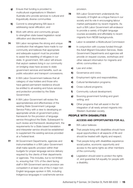- g) Ensure that funding is provided to multicultural organisations in Western Australia who provide services to cultural and linguistically diverse communities
- **h)** Commit to strengthening WA laws in addressing racial vilification; and
- i) Work with ethnic and community groups to strengthen state based legislation racial vilification and discrimination.
- **74** WA Labor recognises the strong and unique contribution that refugees have made to our community and believes that appropriate and adequate support must be provided to assist the resettling of refugees in our state. In government, WA Labor will ensure that asylum seekers living in our community on bridging visas have access to state government services and benefits, such as public education and transport concessions.
- **75** A WA Labor Government believes that all category of visa holders and those who have gained permanent residence should be entitled to all existing and future services and protection provided by the State Government.
- **76** A WA Labor Government will review the appropriateness and effectiveness of the existing State Government Language Service Policy with a view to developing an appropriate whole-of-government policy framework for the provision of language service throughout the State. Subsequent to such review and framework development, the requirements for a State based translation and interpreter service should be established to supplement the existing services provided at a Federal level.
- **77** All Government Departments, agencies and instrumentalities in a WA Labor Government shall make specific provision within their budgets for proper language service delivery required by the clients of their departments or agencies. This includes, but is not limited to, ensuring that 15% of the client facing staff in WA Government service provision are competent in at least one of the 5 major non English languages spoken in WA, including Indigenous languages in rural/remote service

provision.

- **78** WA Labor Government understands the necessity of English as a lingua franca in our society and its role in encouraging labour market participation by recent migrants. As such a WA Labor Government will endeavor to provide a variety of English language courses accessibly and affordably to recent migrants from NESB backgrounds.
- **79** Labor re-establish a Multicultural Commission
- 80 In conjunction with courses funded through the Adult Migrant Education Services, State Government Departments and agencies will provide on request courses, workshops and other relevant information for migrants and ethnic communities on:
	- a) Law and order;
	- **b)** Governance and civics;
	- c) Employment rights and responsibilities;
	- d) Cultural familiarisation programs;
	- e) Cross-cultural programs;
	- f) Community cultural development;
	- g) Sourcing government funding and grant writing; and
	- **h)** Other programs that will assist in the full integration of all newly arrived migrants into Western Australian society.

# PEOPLE WITH DISABILITIES

# **ACCESS AND OPPORTUNITIES FOR ALL**

- 81 WA Labor believes:
	- a) That people living with disabilities should have equal opportunities in all aspects of life and should be treated with dignity and respect;
	- **b)** That people living with disabilities experience social justice, economic opportunity and access to the same rights as other members of the community;
	- c) Legislation should exist to protect the rights of, and guarantee full equality for people with a disability;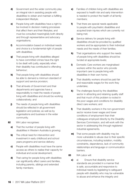- d) Government and the wider community play an integral role in assisting people with disabilities to obtain and maintain a fulfilling independent lifestyle;
- e) People living with disabilities have a right to be involved in decision making processes that affect them and their lifestyles; and must be consulted meaningfully both directly and through representative and advocacy organisations;
- f) Accommodation based on individual needs and choice is a fundamental right of people with disabilities;
- g) That people living with disabilities alleged to have committed crimes have the right to be dealt with justly, especially when their disability has contributed to offending behaviour;
- **h)** That people living with disabilities should be able to demand a minimum standard of support and service provision;
- i) That all levels of Government and their departments and agencies have a responsibility to meet the needs of people living with disabilities and should be working collaboratively; and
- i) The needs of people living with disabilities should be reflected in all government legislation and policies; as well as by organisations and business in the wider community.
- 82 WA Labor recognises:
	- a) That the number of people living with disabilities in Western Australia is growing;
	- **b)** The critical need for intervention and investment in early childhood and school years programs and service delivery;
	- c) People with disabilities must have the same access as others to realise their capacity for individual and social development;
	- d) That caring for people living with disabilities can significantly affect carers and families, including parents, siblings and extended family members;
- e) Families of children living with disabilities are exposed to health risk and early intervention is needed to protect the health of all family members;
- f) That there are special needs applicable to people with psychiatric disabilities and acquired brain injuries which are currently not being met;
- **g)** Service delivery for people living with disabilities should be provided by qualified workers and be appropriate to their individual needs and the needs of their families;
- **h)** That organisations who support the needs of people living with disabilities should be funded at appropriate levels;
- i) Domestic Care workers are marginalised workers within the sector who provide important care to people living with disabilities in their own home;
- i) That disability workers should be paid fair and reasonable wages for the work they undertake;
- k) The challenges faced by the disabilities sector in attracting and retaining quality staff and that much of this problem is rooted in the poor wages and conditions for disability direct care workers; and
- l) That disability workers in the non-government sector receive lower wages and lower conditions of employment than their colleagues employed directly by the Disability Services Commission, and will work with the sector in addressing this through registered industrial agreements.
- **m)** That some people with disability may be more vulnerable to abuse due to their specific circumstances, including isolation, mobility constraints, dependence, lack of community relationships and language or communication barriers.
- 83 WA Labor will:
	- a) a) Ensure that disability service standards are provided in a manner that is safe, accountable and responsive to individual needs by legislating to safeguard people with disability who may be vulnerable to abuse and enhance the integrity and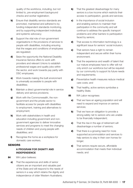quality of the workforce, including, but not limited to, pre-employment background checks and worker registration;

- **b)** Ensure that disability service standards are promoted, maintained and adhered to by funding independent standards monitoring, and by supporting independent individuals and systemic advocacy;
- c) Support the vital role of non-government organisations in the provisions of services to people with disabilities, including ensuring that the wages and conditions of employees are regulated;
- d) Seize the opportunity the National Disability Insurance Service offers to work with providers and relevant Unions to establish professional wages and quality jobs within the sector, and work towards pay parity with DSC employees;
- e) Work towards making the built environment is universally accessible to people with disabilities;
- f) Maintain a direct governmental role in service delivery and service provisions;
- g) Work with the Commonwealth, the nongovernment and the private sector to facilitate access for people with disabilities to employment, training and alternatives to employment;
- **h)** Work with stakeholders in health and education including government and nongovernment agencies to deliver innovative services and programs to meet the changing needs of children and young people with disabilities; and
- i) Recognise the home as a workplace for domestic care workers.

#### **SENIORS**

#### **A PROGRAM FOR DIGNITY AND INDEPENDENCE**

- 84 WA Labor believes:
	- a) That the experiences and skills of senior citizens are an important and valuable part of the State and will respond to the needs of seniors in a way which retains the dignity and independence of older Western Australians;
- **b)** That the greatest disadvantage for many seniors is a low income which restricts their access to participation, goods and services;
- c) In the importance of social inclusion and enabling seniors to maintain their participation in the community and will continue to address the specific transport problems and other barriers to participation faced by seniors;
- d) That access to information technology is a significant issue for seniors' social inclusion;
- e) That seniors have a right to remain independent and secure within their home environment;
- f) That the experience and wealth of talent that our mature employees have to offer will not only enrich our workforce but will be required by our community to support its future needs and requirements;
- g) Preventative health measures reduce medical care costs; and
- **h)** That healthy, active seniors symbolise a healthy State.
- 85 WA Labor recognises:
	- **a)** That we have an ageing population and will need to expand and improve on seniors services;
	- **b)** That we have an obligation to provide a strong safety net to seniors who are unable to be financially independent;
	- c) That the rise in the age of retirement will disadvantage a number of seniors;
	- d) That there is a growing need for more supported accommodation and services to help seniors to stay in their own homes for longer;
	- e) That seniors require secure, affordable accommodation that meets their individual needs; and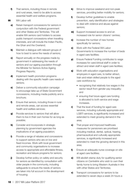- f) That seniors, including those in remote and rural areas, need to be able to access essential health and welfare programs.
- 86 WA Labor will:
	- a) Retain transport concessions for seniors in conjunction with the Federal government and other States and Territories. This will enable WA seniors card holders to access public transport concessions when travelling interstate, and will include the Indian Pacific, the Ghan and the Overland;
	- **b)** Maintain a dialogue with relevant groups of how to best to serve the needs of seniors;
	- c) Report annually on the progress made by government in addressing the needs of seniors and our ageing population through the Minister for Seniors Active Ageing Progress Reports;
	- d) Implement health promotion programs dealing with the specific health care needs of seniors;
	- e) Deliver a community education campaign to encourage take-up of State Government concessions, including media publicity and a brochure;
	- f) Ensure that seniors, including those in rural and remote areas, can access essential health and welfare services;
	- g) Provide services to seniors that will allow them to live in their own homes for as long as possible;
	- h) Consider and incorporate in strategic planning by government agencies the implications of an ageing population;
	- i) Provide a range of rebates and concessions to support seniors who are on low and fixed incomes. Work with local government and community organisations to increase access to appropriate and affordable fitness, recreation and leisure programs for seniors;
	- **i)** Develop further policy on safety and security for seniors as identified by consultation with older people in the community, including safeguards to ensure the needs of seniors are taken into full account in the development of housing;
- k) Strive to improve weekend and non-peak services, providing better mobility for seniors;
- l) Develop further guidelines to enable prevention, early identification and strategies to deal with violence and abuse against seniors;
- **m)** Support increased access to and an increased role for senior citizens' centres;
- **n)** Increase the number of new homes specifically for seniors;
- o) Work with the Federal WA Labor Governments to increase the number of beds in aged care facilities;
- **p)** Ensure Federal Funding contributes to wage increases for care/clinical staff in order to attract and retain staff in aged care facilities;
- q) Work with education organisations and employers in aged care, to better attract, train and retain skilled people to the aged care workforce by
	- recognising that relatively low wages in the sector result from gender pay inequality; and
	- ensuring that future aged care funding is allocated to both service and wage increases.
- r) That the level of funding for aged care services, including culturally appropriate and LGBTI services, is significantly increased and extended to meet growing demand in the area;
- s) That proper and improved healthcare measures for pensioners are prioritised including medical, dental, optical, hearing, pharmaceutical and culturally appropriate services, is significantly increased and extended to meet the growing demand in this area;
- t) Ensure an adequate nurse coverage on site at aged care facilities;
- u) Will abolish stamp duty for qualifying senior citizens on Centrelink who wish to own their family home to bring Western Australia in line with other States and Territories:
- v) Transport concessions for seniors to be extended to seven days a week 24 hours a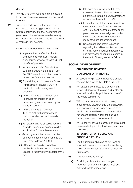day; and

- w) Provide a range of rebates and concessions to support seniors who are on low and fixed incomes.
- 87 Labor acknowledges that seniors now comprise an increasing proportion of our State's population. It further acknowledges growing numbers of seniors are becoming homeless while others have insecure security of tenure in their housing.

Labor will, in its first term of government:

- i) Implement more effective checks and balances to prevent financial elder abuse, especially the fraudulent transfer of property;
- ii) Incorporate a code of conduct for strata managers in the Strata Titles Act 1985 as well as a "fit and proper person test" for such persons;
- **iii)** Expand the jurisdiction of the State Administrative Tribunal ("SAT") in relation to Strata management disputes;
- iv) Amend the Strata Titles Act 1985 to provide for greater levels of transparency and accountability on financial reporting;
- v ) Amend the Strata Titles Act 1985 to prohibit harassment and unconscionable conduct towards residents;
- **vi**) For elderly tenants of public housing, consider if accommodation provided would allow for a for live-in carers;
- **vii**) Promptly enact the second tranche of recommended amendments to the Retirement Villages Act 1992;
- **viii**) Consider accessible complaint mechanisms for residents in retirement villages, a rapidly growing sector of the market;
- ix ) Introduce new laws for park homes where termination of leases can only be achieved through mutual agreement or upon application to the SAT;
- x ) Ensure that any future amendments to the Caravans and Camping Grounds Act 1995 must incorporate transitional provisions to acknowledge and protect the interests of long term residents, many of whom are seniors; and
- **xi**) Develop and implement legislation regulating formalities, content and use of family accommodation agreements and provide for adequate remedies in the event of the agreement's failure.

# SOCIAL DEVELOPMENT

# **SHARING THE BENEFITS**

#### **STATEMENT OF PRINCIPLE**

- 88 All people living in Western Australia should share in the benefits the State has to offer.
- 89 WA Labor is committed to a government which will develop integrated and sustainable economic and social policies which benefit the whole community.
- **90** WA Labor is committed to eliminating inequality and disadvantage experienced by individuals and groups which occurs as a result of income differences, discrimination, racism and exclusion from the decision making processes of government.
- **91** WA Labor will develop, assess and implement policies which give effect to these principles and values.

#### **INTEGRATION OF SOCIAL AND ECONOMIC POLICY**

- **92** The fundamental objective of WA Labor's economic policy is to ensure the well-being and improve the quality of life of all Western Australians.
- **93** This can be achieved by:
	- a) Providing a climate that encourages maximum employment opportunities and delivers liveable wages; and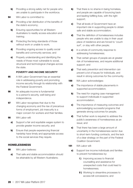- **b)** Providing a strong safety net for people who are unable to participate in the workforce.
- **94** WA Labor is committed to:
	- a) Providing a fair distribution of the benefits of the state's economy;
	- **b)** Ensuring opportunities for all Western Australians to readily access education and training;
	- c) Protecting the living standards of those without work or unable to work;
	- d) Providing ongoing access to quality social benefits and community services; and
	- e) Properly understanding and identifying the needs of those most vulnerable to social, structural and technological changes across the state.

# **POVERTY AND INCOME SECURITY**

- **95** A WA Labor Government has an essential role in addressing poverty and promoting income security through its relationship with the Federal Government.
- **96** An adequate income is fundamental to a person's security, well-being and independence.
- **97** WA Labor recognises that due to the changing economy and the rise of precarious forms of employment, job insecurity is a major concern for workers and their families.
- 98 WA Labor will:
	- a) Support a fair and equitable wages system to provide greater income security; and
	- **b)** Ensure that people experiencing financial hardship have timely and appropriate access to the social services they require.

# **HOMELESSNESS**

- **99** WA Labor believes:
	- a) That safe and stable accommodation should be attainable by all Western Australians;
- **b)** That there is no shame in being homeless, and people are capable of bouncing back and leading fulfilling lives, with the right support;
- c) That all levels of Government have an important role in supporting people to obtain safe and stable accommodation;
- d) That the definition of homelessness includes people who are unable to stay in their usual place of residence and are forced to 'couch surf', or stay with other people;
- e) In a whole-of-community response to addressing homelessness;
- f) That certain groups of people are at greater risk of homelessness, and require additional support; and
- g) That early prevention and intervention can prevent a lot of issues for individuals, and result in strong outcomes for the community.
- 100 WA Labor acknowledges:
	- a) The importance of stable placements in supported accommodation;
	- **b)** The need for ongoing case management to support individuals in supported accommodation;
	- c) The importance of measuring outcomes and acknowledging successful programs that generate strong outcomes for people;
	- d) That further work is required to address the public's awareness of homelessness as an issue; and
	- e) That there has been a large amount of uncertainty in the homelessness sector due to short-term funding contracts, and the lack of a clear strategy on the part of the Federal Coalition Government.
- 101 WA Labor will:
	- a) Support low income individuals and families to prevent homelessness by:
		- i) Improving access to financial counselling and assistance for unexpected costs that could lead to homelessness;
		- **ii**) Working to streamline processes to access bill concessions; and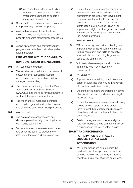- **iii**) Increasing the availability of funding for the community sector to provide emergency assistance to people in immediate financial crisis.
- **b)** Consult with the community sector to assist in implementing policy development;
- c) Work with government at all levels, and the community sector, to achieve the best possible outcomes for homelessness issues; and
- d) Support prevention and early intervention programs and initiatives that deliver stable accommodation.

# **PARTNERSHIP WITH THE COMMUNITY NON-GOVERNMENT ORGANISATIONS**

- 102 WA Labor acknowledges:
	- a) The valuable contribution that the community sector makes in supporting Western Australians in need, as well as building stronger communities;
	- **b)** The primary coordinating role of the Western Australian Council of Social Services (WACOSS), and the need for government to work with the community sector; and
	- c) The importance of Aboriginal controlled community organisations in achieving real and sustained change for Aboriginal people.
- 103 WA Labor will:
	- a) Improve procurement processes and deliver improved security of funding for the community sector; and
	- **b)** Deliver a framework to measure outcomes and assist the sector to provide more integrated, targeted and flexible services;

c) Ensure that non-government organisations that receive state funding adhere to antidiscrimination practices. Non-government organisations that withhold care and/or assistance on the basis of age, gender identification, sexuality, race, disability or impairment, religion or other grounds covered in the Equal Opportunity Act 1984 will have their funding reviewed.

#### **VOLUNTEERS**

- **104** WA Labor recognises that volunteering is an important way for individuals to contribute to their community and fulfils an essential economic function providing large social gains to the community.
- **105** Volunteers deserve respect and protection from those who may misuse their commitment.
- 106 WA Labor will:
	- a) Support the active training of volunteers and establish guidelines that include involvement of volunteers in decision making;
	- **b)** Ensure that volunteers are protected in terms of occupational health and safety and legal responsibilities;
	- c) Ensure that volunteers have access to training and up-skilling opportunities to enable them to meet their legal responsibilities and obligations and perform their volunteer role effectively; and
	- d) Establish a regime to compensate eligible volunteer firefighters who contract cancer as a consequence of their volunteer service.

# SPORT AND RECREATION  **PARTICIPATION IS CRITICAL TO SUCCESS FOR ALL AGES INTRODUCTION**

**107** WA Labor recognises and supports the positive impact that sport and recreational pursuits make on the physical, mental and social well being of all Western Australians.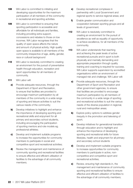- **108** WA Labor is committed to initiating and developing opportunities for the maximum participation of all members of the community in recreational and sporting activities.
- **109** WA Labor is committed to ensuring that sporting participation is accessible and affordable for all individuals and families, including providing extra support, concessions and rebates to those on low incomes. WA Labor recognises that the quality of open space affects the nature and amount of physical activity. High quality open space is available to all members of the community irrespective of age, ability, gender, race or cultural background
- **110** WA Labor is resolutely committed to creating an environment for the pursuit of preventative health through education, recreation and sport opportunities for all members of community.
- 111 WA Labor will:
	- a) Provide adequate resources, through the Department of Sport and Recreation, to ensure that facilities are provided to encourage maximum participation by all members of the community in a wide range of sporting and leisure activities to suit the various needs of the community;
	- **b)** Develop initiatives to highlight and enhance the importance of developing sporting and recreational skills and enjoyment for all primary and secondary school students, including encouraging the participation of sporting mentors and role models eg. professional athletes;
	- c) Develop and implement suitable programs to increase the opportunities for community members to participate in social and competitive sport and recreational activities;
	- d) Review the management and maintenance of community sporting and recreational facilities to ensure effective and efficient utilisation of facilities to the advantage of all community members;
- e) Develop recreational complexes in partnership with Local Government and regional sports to service regional areas; and
- f) Enable greater communication and cooperation between sporting groups and all levels of government.
- 112 WA Labor is resolutely committed to creating an environment for the pursuit of excellence as well as equality of opportunity to achieve excellence, for all members of the community.
- **113** WA Labor understands that reaching and achieving the peak levels of active recreational pursuits and in sport is both physically and mentally demanding and appropriate preparation through quality training and coaching is required for success. WA Labor supports supervision by accredited organisations within an environment of managed risk and challenge. WA Labor will:
	- a) Provide adequate resources, through the Department of Sport and Recreation and other government agencies, to ensure that facilities are provided to encourage maximum participation by all members of the community in a wide range of sporting and recreational activities to suit the various needs of the diverse population in regional, rural and metropolitan areas;
	- **b)** Explore policy options to address gender inequity in the promotion and televising of sport;
	- c) Develop initiatives for generational transition through education and to highlight and enhance the importance of developing sporting and recreational skills for future lifestyles, health and enjoyment for all primary and secondary school students
	- d) Develop and implement suitable programs to increase opportunities for community members to participate in active, noncompetitive and competitive sport and recreational activities;
	- e) Review, ensuring high standards in, the management and maintenance of community sporting and recreational facilities to ensure effective and efficient utilisation of facilities to the advantage of all community members;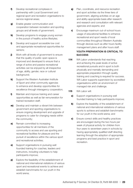- f) Develop recreational complexes in partnership with Local Government and regional sport and recreation organisations to service regional areas;
- g) Enable greater communication and cooperation between recreation and sporting groups and all levels of government;
- **h)** Develop programs to engage young women in the pursuit of healthy active lifestyles;
- i) Develop and support accessible low cost and appropriate recreational opportunities for seniors;
- **j)** Work with all levels of government to ensure that the quality of public open space is improved and developed to ensure that a range of active and passive recreational activities can be enjoyed by all irrespective of age, ability, gender, race or cultural background;
- k) Support the Western Australian Institute of Sport and other community agencies to enhance and develop opportunities for excellence through interagency cooperation;
- **l)** Maintain and improve training and career opportunities as well as fair remuneration for trained recreation staff;
- **m)** Develop and maintain a vibrant link between government and sporting organisations to ensure ongoing development and upgrade of programs to cater for changing needs within the community;
- **n)** Remain committed to increasing opportunities for all members of the community to access and use sporting and recreational facilities for pleasure and the pursuit of excellence within the various sport and recreational activities;
- o) Support organisations in pursuing well founded training for coaches, leaders and instructors, including volunteers to help participants improve;
- **p)** Explore the feasibility of the establishment of national and international visitations of various sport and recreational events to achieve and establish benchmarks for our youth in the world arena;
- **q)** Plan, coordinate, and resource recreation and sport activities via the three tiers of government, aligning activities on an age and ability-appropriate basis after research and research and consultation with relevant agencies and experts; and
- r) Encourage maximum out-of-school hours usage of educational facilities to enhance recreational and sport needs of local communities throughout Western Australia through devices such as after hours facility management plans and after hours staff.

# **YOUTH PREPARATION IS CRITICAL TO SUCCESS**

- 114 WA Labor understands that reaching and achieving the peak levels of active recreational pursuits and in sport is both physically and mentally demanding and appropriate preparation through quality training and coaching is required for success. WA Labor supports supervision by accredited organisations within an environment of managed risk and challenge.
- 115 WA Labor will:
	- **a)** Support organisations in pursuing well founded training to help participants improve;
	- **b)** Explore the feasibility of the establishment of national and international visitations of various sports to achieve and establish benchmarks for our youth in the world arena; and
	- c) Ensure correct skills and healthy practices are encouraged during the two hours per week of physical activity for children from four years to seventeen years in schools by having appropriately qualified staff directing learning through the adoption of appropriate programs and best practice in sport and recreation.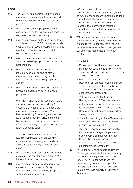# **LGBTI**

- 116 The LGBTIQ community are full and equal members of our society with a unique and diverse contribution to make to Western Australia.
- 117 WA Labor believes all people deserve to experience life as their genuine self and to be recognised as their true identity.
- **118** WA Labor understands the challenges faced and placed upon LGBTIQ people, especially youth, Aboriginal people, people from diverse racial and ethnic backgrounds and those living in regional areas.
- 119 WA Labor recognises specific challenges faced by LGBTIQ people of faith or religious backgrounds.
- 120 WA Labor values LGBTIQ people as individuals, as families and as family members, as workers, young people, seniors, and as a collective group within society.
- 121 WA Labor recognises the needs of LGBTIQ people are diverse and cover a range of policy areas.

WA Labor will endorse the WA Labor Leader for taking overarching responsibility for ensuring the needs of LGBTIQ people are recognised and met as not one Minister has responsibility for ensuring the needs of LGBTIQ people are met and, therefore, all Ministers share responsibility in ensuring LGBTIQ community are supported in line with Labor's Enduring Values.

WA Labor will work toward forming an Equality Commission with an Equality Commissioner overseeing responsibility for the LGBTIQ community across all policy areas.

- **122** WA Labor opposes Gay Conversion Therapy as a cruel and misinformed practice. WA Labor will work toward ending this practice.
- **123** WA Labor recognises that discrimination causes hurt, trauma and suffering. Discrimination towards LGBTIQ people was wrong and remains wrong.

WA Labor acknowledges the impact on LGBTIQ people of past practices, systems, attitudes, behaviours and laws that excluded, discriminated, demeaned or criminalised LGBTIQ people. WA Labor will work to ensure that past wrongs caused by discrimination or criminalisation of sexual orientation are corrected.

124 WA Labor recognises the suffering and distress experienced by people with gender dysphoria. WA Labor believes all people deserve to experience life as their genuine self and to be recognised as their true identity.

WA Labor:

- Endeavours to facilitate and empower transgender people to re-assign to their correct gender as easily and with as much dignity as possible.
- Will take steps to ensure the Gender Reassignment process is as streamlined, efficient and expedient as possible with a minimum of bureaucracy, expense and unnecessary complication.
- Will work to amend the Gender Reassignment Act 2000 to achieve such.
- Will ensure no person who undertakes to transition or who commences Gender Reassignment will be disadvantaged for having done so.
- Commits to working with the Transgender community to achieve the best method possible for achieving 1-4.
- WA Labor opposes the current practice that requires a transgender person to divorce from their marriage, in order to have their correct gender legally recognised on their birth certificate and other identity documentation.
- **125** WA Labor believes all people, regardless of their gender, gender identity or sexuality should have the right to marry the person they love. WA Labor recognises the overwhelming community support for marriage equality and will support efforts to make marriage equality a reality for all Australians.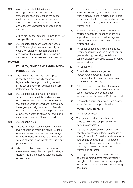**126** WA Labor will abolish the Gender Reassignment Board and will allow transgender people to change the gender marker in their official identity papers to their preferred gender on written request and without the need for hormones and/or surgery.

> A third new gender category known as "X" for 'not specified' will also be introduced

127 WA Labor recognises the specific needs of LGBTIQ Aboriginal people and Aboriginal youth. WA Labor will support programs and policies that provide LGBTIQ-specific services, education, information and support.

#### WOMEN

# **EQUALITY, CHOICE AND PARTICIPATION INTRODUCTION**

- **128** The rights of women to fully participate in society are now partially enshrined in legislation but have yet to be fully realised in the social, economic, political and public institutions of our society.
- 129 WA Labor recognises that it is the right of women to participate fully in all aspects of life: politically, socially and economically, and that our society is enriched and improved by the ongoing and vigorous pursuit of gender equality. WA Labor will promote policies that allow every woman to pursue her own goals as an equal member of the community.
- 130 WA Labor believes:
	- a) That equal gender representation across all levels of decision-making is central to good governance, and as a result will encourage continued efforts to increase the number of women at senior levels in both the public and private sectors;
	- **b)** Affirmative action is vital to encouraging more women into politics and participating in decision making processes across all levels of government;
- c) The majority of unpaid work in the community is still undertaken by women and while this work is greatly valued, a reliance on unpaid work contributes to the social and economic disadvantage of many Western Australian women; and
- d) All women of any age group should have equitable access to life opportunities and support services specific to their age and gender needs, in both their personal and professional lives.
- **131** WA Labor condemns and will act against unfair discrimination on the basis of gender, gender identity, sexuality, marital status, cultural diversity, economic status, disability, religion and age.
- 132 WA Labor will:
	- a) Proactively pursue equal gender representation across all levels of Government, including in the executive and on Government boards;
	- **b)** Actively oppose the inaction of governments who do not establish significant affirmative action measures and/or have underrepresentation of women in Parliament; and
	- c) Proactively pursue equal pay for women for work of equal or comparable value.

#### **WOMEN AND HEALTH**

- 133 WA Labor believes:
	- a) That gender is a key consideration in understanding the complexities of health related disadvantage;
	- **b)** That the general health of women in our society is an important factor in ensuring a strong foundation for healthy and sustainable families and communities. A full range of general health services (including dentistry services) should be made available to all women and children;
	- c) In the rights of women to make choices about their reproductive lives, particularly the right to choose and access appropriate fertility control or abortion services including after-care;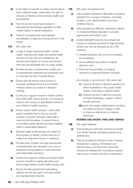- d) In the rights of women to make choices about their maternal health, particularly the right to choose a midwife as their primary health care professional;
- e) That all women must have access to reproductive technology regardless of their marital status or sexual orientation;
- f) There is increased and unacceptable sexualisation of girls and young women in the media
- 134 WA Labor will:
	- a) Locate a range of general health, mental health, reproductive health and dental health services so that they are available for all women and children to access and ensure that they are affordable and of a high quality;
	- **b)** Provide access to professional, quality and compassionate antenatal and postnatal care, to minimise the risk of mental illness;
	- c) Ensure that all women have access to accurate, professional and accountable medical advice as a basis for decisionmaking;
	- d) Continue to support women's health centres and child health clinics and aim to provide all women with access to specialised women's and children's health services;
	- e) Ensure public health services particularly public hospitals have a duty to provide access to abortion services, especially in rural and remote areas, or where there is not another public service provider available within a reasonable distance;
	- f) Require health professionals who object to the provision of fertility control services to make their objections known in advance;
	- **g)** Provide every student with age appropriate comprehensive sex education as a way to empower young people to make informed and responsible decisions;
	- **h)** Continue to support children and adult health services specific to eating disorders and body image related mental health issues; and
	- i) Ensure all state government advertising depicts women and girls in an appropriate and representative manner.
- **135** WA Labor recognises that;
	- a) many people experience difficulties accessing abortions for a range of reasons, including location, cost, discrimination and other inhibitive factors.
	- **b)** often people face difficulty obtaining a referral to medical professionals able to provide appropriate termination care.
	- c) private telehealth services have improved access to medical abortions in regional areas where care can be followed up by a GP, however;
		- medical abortions are not recommended for all patients;
		- some patients may prefer a surgical abortion, and
		- there are few providers of surgical abortions in regional Western Australia.

Accordingly, in government, WA Labor will;

- i) improve access to abortion services for West Australians in the public health system, including in regional areas;
- **ii**) improve access to abortion services for West Australians unable to afford private services;
- **iii**) work with health stakeholders including the AMA and Royal College of GPs to improve referral and on-referral pathways;

# **WOMEN AND WORK: PAID AND UNPAID**

- 136 WA Labor believes:
	- a) That employers and their workforces benefit from family friendly workplace policies and entitlements;
	- **b)** That all workplaces should be free of sexual harassment, bullying, intimidation and discrimination, and that there should be strong and independent workplace umpires that protect workers and their employment;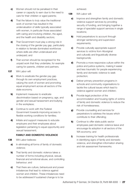- c) Women should not be penalised in their career or capacity to earn due to the need to care for their children or aged parents;
- d) That the failure to truly value the traditional work of women has resulted in the undervaluation of skills typically associated with women, in particular those associated with caring and involving children, the aged, and the health and disability sectors;
- e) That Government must play a strong role in the closing of the gender pay gap, particularly in relation to female dominated workforces where skills are often undervalued and underpaid; and
- f) That women should be recognised for the unpaid work that they undertake, for example caring for parents, children and partners.
- 137 WA Labor will:
	- a) Work to eradicate the gender pay gap through its own employment practices, valuing the work of women and promoting equal employment across all sectors of the state economy.
	- **b)** Implement measures to eradicate discrimination based on pregnancy, age, and gender and sexual harassment and bullying in the workplace;
	- c) Continue to work with the Federal Government towards improving access to flexible working conditions for families;
	- d) Initiate and support measures to educate employers and their employees about legislation pertaining to equal opportunity and sexual harassment;

# **FAMILY AND DOMESTIC VIOLENCE**

- 138 WA Labor believes:
	- a) In eliminating all forms of family of domestic violence;
	- **b)** That family and domestic violence takes a number of forms including physical, sexual, financial and emotional abuse, and controlling behaviour; and
	- c) That there are culture, behavioural and power imbalances that lead to violence against women and children. These imbalances need to be addressed if sustained change is to be

achieved.

- 139 WA Labor will:
	- a) Improve and strengthen family and domestic violence support services by providing security of funding, and bringing together a range of specialist support services in single locations;
	- **b)** Hold perpetrators to account through stronger sentencing and supervision requirements;
	- c) Provide culturally appropriate support services to victims from Aboriginal and culturally and linguistically diverse backgrounds;
	- d) Promote a more responsive culture within the police and justice systems, making it easier and less traumatic for people experiencing family and domestic violence to seek protection;
	- e) Deliver primary prevention programs in schools and community organisations to tackle the cultural issues which lead to violence against women and children;
	- f) Provide legal protection of the accommodation and housing rights of victims of family and domestic violence to reduce the risk of homelessness;
	- g) Provide counselling and services for perpetrators to address the issues which contribute to their offending;
	- h) Continue to offer state public sector employees paid domestic violence leave and encourage its adoption in all sectors of the WA economy; and
	- i) Increase training for health professionals in identifying signs of family and domestic violence, and strengthen information sharing and risk assessment frameworks.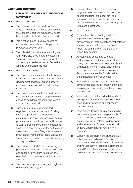# ARTS AND CULTURE

# **LABOR VALUES THE CULTURE OF OUR COMMUNITY**

- 140 WA Labor believes:
	- a) The arts are vital to the quality of life of Western Australians. The arts contribute to the economic, cultural, educations, health, leisure and social fabric of our community;
	- **b)** Participation in and universal access to culture and the arts is a crucial part of a progressive society; and
	- c) That it is vital that national arts funding and touring policies should take into account the unique geography of Western Australia and ensure equitable access to Federal arts funding and programs is vital.
- 141 WA Labor recognises:
	- a) That Government must meet the long-term infrastructure needs of WA's arts and cultural development and foster organic growth and development of culture and creative industries;
	- **b)** That Government must foster quality culture, entertainment and tourism program with an appeal to both local residents and visitors from around the world;
	- c) That public cultural institutions and organisations in receipt of public funding should respect award conditions and structures, and show vigilance in corporate governance and public accountability so as to work transparently with their employees, the Government, private sector partners and the whole community. They should maintain provision for membership that is available to the whole community on a non-discriminatory and equitable basis;
	- d) That indexation of all State arts funding programs is vital to ensure the development and capacity of Western Australian arts organisations, programs and artists across the State;
	- e) The need to support culturally and regionally diverse arts activities; and
- f) The importance of promoting funding programs to encourage and support young people engaging in the arts, new and innovative art forms and technologies, at the same time as respecting our heritage art forms and collections.
- 142 WA Labor will:
	- a) Ensure the public collecting institutions implement a cohesive strategy for the development of State collections that balance international aspirations and the need to reflect the community of the State within which they operate;
	- **b)** Advocate and encourage strategic partnerships across the government and non-government sector to ensure a vibrant and healthy arts community, and to make studying, living and working in Western Australia more attractive for talented and experienced artists of all genres;
	- c) Promote and support creative industries development and the integration of the arts into programs supporting new technology development;
	- d) Value and promote the cultural diversity of Aboriginal Western Australians while also encouraging innovation and connection across cultures;
	- e) Value cultural facilities as vital assets within the community and encourage a whole of government and community approach to ensure ongoing investment in development and maintenance of them to ensure their ongoing viability and relevance to the community;
	- f Support the digitisation of significant state collections, and initiate and support the documentation of significant Aboriginal sites and include them in identified collections so that all State collections may be preserved and made accessible for future generations;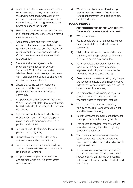- g) Advocate investment in culture and the arts by the whole community as essential for the development and presentation of art and culture across the State, encouraging contribution by all tiers of government, the private sector and individuals;
- h) Work to improve standards of arts education in all educational spheres to ensure a strong creative community;
- **i)** Appropriately fund and work with public cultural institutions and organisations, nongovernment arts bodies and the Department of Education to improve access to arts in Government schools and ensure equity in arts education;
- **j)** Promote and encourage equitable provision of communication services throughout Western Australia (radio, television, broadband coverage or any new communication means), to give choice and access to all areas of the arts;
- k) Ensure that public cultural institutions maintain equitable and open access to programs for the Western Australian community;
- **l)** Support a local content policy in the arts in WA, to ensure that State Government funding is used to develop local arts practitioners and companies;
- **m)** Explore new mechanisms for distribution of arts funding and new ways to support creators and arts organisations in a multiplatform environment;
- n) Address the dearth of funding for touring arts products and programs;
- **o)** Support the activation of under-utilised spaces for arts and cultural activities;
- **p)** Lead a regional renaissance which will put arts and culture are the heart of community life in regional Australia;
- q) Support the development of ideas and arts projects which are uniquely Western Australian; and

r) Work with local government to develop professional and affordable local venues for cultural performances including music, theatre and dance.

# YOUNG PEOPLE

# **SUPPORTING THE NEEDS AND RIGHTS OF YOUNG WESTERN AUSTRALIANS**

- 143 WA Labor believes:
	- a) Young people are not a homogenous group; they represent the diversity of the wider community;
	- **b)** Civil, political, economic, social and cultural rights of young people should be inherent in all levels of government and in law;
	- c) Young people are key stakeholders in the Western Australian community and all legislation and policy should consider the views and needs of young people;
	- d) Government consultations with young people are needed to ensure that legislative change reflects the needs of young people as well as other community members;
	- e) That presenting positive images of young people in our community is central to changing negative community attitude;
	- f **f** That the targeting of young people by politicians seeking to appear tough on antisocial behaviour is wrong;
	- g) Negative impacts of government policy often disproportionately affect young people;
	- **h)** That access to services, employment and education are vitally important for young people's development;
	- i) That the social services sector provides essential services to young people who experience disadvantage and need adequate support to do so;
	- j) The lives of young people are improved by opportunities to develop and participate in recreational, cultural, artistic and sporting activities and these should be affordable and accessible;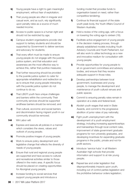- k) Young people have a right to gain meaningful employment, without fear of exploitation;
- **I)** That young people are often in irregular and casual work, and as such, rely significantly upon penalty rates as a source of much needed income;
- **m)** Access to public space is a human right and should not be restricted by age;
- n) Campus student organisations provide vital support to tertiary students and should be supported by Government to deliver services and advocacy for students;
- o) That every effort must be made to ensure young people do not engage with the juvenile justice system, and that education and awareness are the most effective way to achieve this, rather that punitive measures;
- **p)** That further resourcing should be provided to the juvenile justice system to cater for appropriate rehabilitation and redirection so as to ensure that young people interacting with the juvenile justice system do not continue to do so;
- q) That LBGTI youth face unique challenges and barriers within the community Their community services should be supported andthese barriers should be removed; and
- r) That cultural, economic and social barriers and discrimination facing migrant youth in our community should be removed.
- 144 WA Labor will:
	- a) Express and execute all policies in a manner which considers the views, values and outlook of young people;
	- **b)** Promote positive images of young people;
	- c) Work to ensure policy development and legislative change that reflects the diversity of needs of young people;
	- d) Ensure that rural and regional young people are supported and have access to cultural and recreational activities similar to those offered in the metro area. A specific focus should be placed on creating opportunities for Aboriginal young people;
	- e) Increase funding to social services that support young people and introduce a

funding model that provides funds to organisation based on need, rather than competitive tendering;

- f) Continue its financial support of the state youth peak body, the Youth Affairs Council of Western Australia;
- g) Hold a review of the voting age, with a focus on lowering the voting age to sixteen (16);
- h) Facilitate active engagement of young people in the decision making process, through already established models including Youth Advisory Councils and Youth Parliament, but will also work to utilise technology as a new and innovative medium for consultation with young people;
- **i)** Provide opportunities for young people to sit on government committees and advisory bodies, and ensure that they receive adequate support in those roles;
- i) Develop partnerships between local government, businesses and young people, to manage the development and maintenance of youth cultural venues and public spaces;
- k) Commit to ensuring penalty rates remain in operation at a state and federal level;
- **l)** Abolish youth wages that exist in State Awards, and commit to the progressive abolition of junior rates of pay nationally;
- **m)** Fight youth unemployment with the development of a youth employment strategy, including increasing apprenticeships and traineeships through local content rules, improvement of state government graduate programs for non-university graduates, and developing incentives for expanding graduate programs in the public, private and not-for profit sectors;
- n) Introduce 'service hubs' in all Western Australian high schools that provide information and support to at risk young people;
- **o)** Repeal law and order legislation that disproportionately impacts upon youth, including out of control parties legislation and the prohibitive behaviour orders legislation;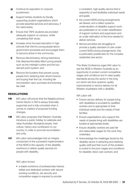- **p)** Continue its opposition to corporal punishment;
- q) Support tertiary students by fiscally supporting student organisations which provide essential services and advocacy, if the need arises;
- r) Ensure that TAFE students are provided adequate support on campus, whilst completing their study;
- s) Increase civics focused education in high schools that informs young people about government processes and encourages them to become active in the community;
- t) Remove discriminatory driving restrictions that disproportionately affect young people, such as the midnight curfew and the four demerit point system; and
- u) Remove the burdens that prevent young people from obtaining their driver's licence and buying their first car, including fair remuneration upon purchase and licensing fee relief.

# RESOLUTIONS

- **145** WA Labor will ensure that the Neighbourhood Centre Sector in WA is always financially supported and is fully consulted when it comes to matters of proposed funding changes.
- **146** WA Labor proposes that Western Australia introduce a public holiday to celebrate and value Australian Aboriginal people, their culture, history and contribution to our country, in order to promote reconciliation and unity.
- **147** WA Labor acknowledges that an integral component of the successful implementation of the NDIS is the capacity of the disability workforce to deliver quality services for people with disability.

WA Labor knows:

• a stable workforce of professionally trained, skilled and dedicated workers with decent working conditions, job security and competitive wages is required to provide

a consistent, high quality service that is respectful of and facilitates individual needs and goals.

- the current NDIS pricing arrangements are flawed, and a reflect systemic undervaluation of disability support work, are predicated on an under classification of support workers and supervisors and an under estimation of the time needed to deliver services.
- Service providers are struggling to provide a quality standard of care under current NDIS pricing arrangements, this is particularly problematic for the complex residential care sector.

This State Conference urges WA Labor to see the NDIS in Western Australia as an opportunity to protect current competitive wages and conditions and to raise quality standards across the sector in the long run which will drive systemic quality improvements in service delivery for all Western Australians with a disability.

WA Labor will:

- Ensure service delivery for people living with disabilities is provided by qualified workers and is appropriate to their individual needs and the needs of their families;
- Ensure organisations who support the needs of people living with disabilities are funded at appropriate levels;
- Ensure disability workers are paid fair and reasonable wages for the work they undertake;
- Acknowledge the challenges faced by the disability sector in attracting and retaining quality staff and that much of this problem is rooted in the poor wages and conditions for disability direct care workers; and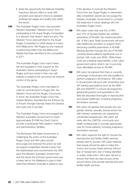- Seize the opportunity the National Disability Insurance Service offers to work with providers and relevant Unions to establish professional wages and quality jobs within the sector.
- **148** The Australian Rugby Union has excluded Western Australia's "Western Force" from participating in the Super Rugby Competition in a decision that doesn't stand scrutiny. The Western Force were admitted to the Super Rugby Competition in 2006 ahead of a team from Melbourne. WA Rugby by any measure is performing better than the Melbourne Rebels franchise admitted to the competition in 2011.

The Australian Rugby Union hasn't been fair and equitable in their support for the Australian Teams participating in Super Rugby and have acted in their own self interest to preserve the old school tie network control of the game.

The Australian Rugby Union has failed to meet its commitments to Rugby WA, the Western Force and the Rugby Community. In short, the Australian Rugby Union has treated Western Australia like the fictional city of Panam (Hunger Games) treats the Districts who exist only to provide.

The Australian Rugby Union encouraged the Western Australian Government to invest approximately \$100M into Perth Oval to provide a rectangular field stadium, training and administration facilities.

The McGowan WA State Government is challenging the action of the Australian Rugby Union and WA Labor should encourage and endorse this action as well as support a bipartisan Senate Inquiry into the relationships and commitments the ARU gave the Western Australian Government and the report the Victorian government pay a lower fee for the Wallabies to play in their state than Western Australia is asked to pay. If the decision to exclude the Western Force from any Super Rugby or rebranded elite competition stands we encourage the Western Australian Government to consider this treatment in future dealings with the Australian Rugby Union.

- 149 WA Labor notes that only 5% of GPs and 10% of Gynaecologists are certified prescribers of RU486, the medical abortion pill. A WA Labor State Government will work with healthcare providers to support them becoming certified prescribers of RU486. Medical abortion through the use of RU486 currently leaves patients significantly out of pocket, with costs over \$500. While these costs are a federal responsibility, a WA Labor government will do what it can to promote more affordable access to RU486.
- **150** WA Labor recognises that there is currently a shortage of physicians who are qualified to perform pregnancy terminations. WA Labor in Government will work with universities and GP training associations such as the AMA WA and WAGPET to ensure all prospective general physicians and specialists in the field are educated thoroughly in reproductive and sexual healthcare, including pregnancy termination services.
- **151** WA Labor recognises that people who are gender diverse, sexually diverse and/or live with intersex variation(s) can experience unintended pregnancies. WA Labor will work with the LGBTQI+ community and health professionals to provide appropriate care for those patients, including pregnancy termination services.
- **152** WA Labor supports the right to choose the reproductive and fertility health services people wish to access. WA Labor believes that people should be able to make this choice and access these services without fear of harassment, fear of being identified or public obstruction. WA Labor will act to ensure that there are safe access zones around clinics that provide reproductive and fertility health services.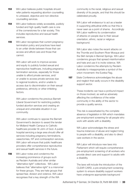- **153** WA Labor believes public hospitals should refer patients requesting abortion counselling to unbiased, objective and non-directive counselling services.
- **154** WA Labor believes widely accessible, publicly funded and high quality health care is one of the cornerstones for a fair society. This includes reproductive and sexual health services.
- **155** WA Labor recognises that current pregnancy termination policy and practices have lead to an unfair divide between those that can access and afford care and those that cannot.

WA Labor will work to improve access and equity to publicly funded sexual and reproductive healthcare, including pregnancy termination services, especially for those unable to afford private services, and/ or unable to access private services due to regional locations, and/or unable to access due to discrimination on their sexual preference, ethnicity or other inhibiting factors.

WA Labor condemns the previous Barnett Liberal Government for restricting publicly funded abortion services and creating an unequal and untenable situation in our community.

WA Labor continues to oppose the Barnett Government's decision to award the tender for Midland Health Campus to Catholic healthcare provider St John of God. A public hospital servicing a large area should offer all services including pregnancy terminations, vasectomies, IVF and contraception services. WA Labor will ensure that public healthcare providers offer comprehensive reproductive and sexual health services in the future.

**156** WA Labor notes and condemns the increasing prominence of groups such as Reclaim Australia and other similar "alternative right" collectives. WA Labor believes that "alternative right" is a misnomer for these groups. They are hate groups that spread fear, division and violence. WA Labor recognises that a key strength of the WA

community is the racial, religious and sexual diversity of its people, and that this should be celebrated proudly.

WA Labor will endeavour to act as a leader in supporting attitudinal shifts so that this is never seen as a point of shame. Accordingly WA Labor reaffirms its condemnation of attacks on people due to their sexual orientation, ethnic, racial or religious background.

WA Labor also notes the recent attacks on the Thornlie and Southern River Mosque and the Sikh temple in Bennet Springs. WA Labor condemns groups that spread misinformation and hate and use it to incite violence. WA Labor condemns the attempts by Reclaim Australia to misappropriate a symbol of the union movement: the Eureka Flag.

**157** State Conference acknowledges the abuse and neglect that sadly occurs in the disability support sector.

> These incidents can have a profound impact on those involved, as well as adversely affecting the confidence of the wider community in the ability of the sector to provide a quality service.

This risk is exacerbated by the complete absence of legislation in WA which mandates pre-employment screening for all people who work with adults with a disability.

WA Labor acknowledges the stress and trauma instances of abuse and neglect bring to people with a disability, and also to direct care workers in the sector.

WA Labor will introduce new laws into Parliament which will require comprehensive pre-employment screening of all workers who provide direct care and support to adults with a disability.

The laws will include the introduction of the CLEAR CARD, a pre-employment screening system to ensure disability support workers have undergone appropriate background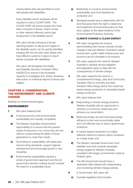checks before they are permitted to work with people with disabilities.

Every disability sector employee will be required to hold a CLEAR CARD. The CLEAR CARD will ensure people who have been convicted of abuse, violent crimes or other relevant offences cannot gain employment in the disability sector.

WA Labor will also introduce a formal reporting system so abuse and neglect in the disability sector can be quickly identified, bringing WA into line with other States who have effective systems in place to report abuse of people with disabilities.

WA Labor will strengthen the Health and Disability Services Complaint Office (HaDSCO) to ensure it has increased capacity to investigate and, where necessary, take action on individual reports of abuse and neglect.

# CHAPTER 3: CONSERVATION, THE ENVIRONMENT AND CLIMATE **CHANGE**

Building our environmental legacy

# ENVIRONMENT

- 1 WA Labor believes that:
	- a) A strong economy and environmental sustainability are mutually compatible;
	- **b)** The Western Australian Government's responsibility is to ensure that the present needs of everyone in our community are met without compromising the ability of future generations to meet their needs;
	- c) Committing to sustainability will create jobs, improve living standards, support regional development and encourage growth in new industries;
	- d) Environmental sustainability requires a whole of government approach and that all government decision-making should consider the need for a sustainable future;
- e) Biodiversity is crucial to environmental sustainability and must therefore be protected; and
- f) Aboriginal people have a relationship with the land that gives them the right to determine and implement environmental policy for that land, subject to the determinations of the Environmental Protection Authority.

#### **CLIMATE CHANGE & CLEAN ENERGY**

- **2** WA Labor recognises the science demonstrating that Human induced climate change is real and Western Australia's natural environment, public health infrastructure and economy are all vulnerable to its impacts.
- **3** WA Labor supports the need for Western Australia to develop strong mitigation and adaptation plans to deal with the consequences of climate change.
- **4** WA Labor supports the need for a comprehensive Energy, Jobs and Community Transition Plan to smoothly and fairly transition WA's energy sector from fossil fuel based energy production to renewable based energy production.
- **5** WA Labor believes that:
	- a) Responding to climate change presents Western Australia with an opportunity to diversify our economy, create jobs and enhance our social fabric;
	- **b)** Reducing energy use and improving energy efficiency is the most economically viable and cost effective way to reduce greenhouse emissions;
	- c) A market-based mechanism is a highly effective method to reduce carbon emissions on a large scale; and
	- d) The Western Australia Government must establish and work towards renewable energy targets for Western Australia, consistent with target commitments made by Federal Labor.
	- e) The WA Government should have a dedicated office tasked with implementing and monitoring climate change policies.
- **6** In Government, WA Labor will:
	- a) Consider legislation that includes: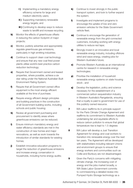- i) Implementing a mandatory energy efficiency scheme for large and medium electricity users;
- ii) Supporting mandatory renewable energy targets; and
- **iii**) Continuing to develop ways to reduce waste to landfill and increase recycling.
- **b)** Monitor the effects of greenhouse offsets in reducing the carbon footprint of major projects;
- c) Monitor, publicly advertise and appropriately regulate greenhouse gas emissions, particularly in high emitting industries;
- d) Continue to support clean coal technology and ensure that any new coal fired power plants utilise world's best practice carbon reduction technology;
- e) Require that Government owned and leased properties, where possible, achieve a six star rating under the National Australian Built Environment Rating System;
- f) Require that all Government owned office equipment is the most energy-efficient available at the time of purchase;
- g) Require energy efficient design principles and building practices in the construction of all Government building works, including schools and public housing;
- **h)** Review all government purchasing and procurement to identify areas where greenhouse emissions can be reduced;
- i) Ensure minimum mandatory energy and water efficiency standards are met in the construction of new homes and major renovations, as well as work towards the introduction of similar standards for existing homes;
- **j)** Establish innovative education programs to target the reduction of greenhouse emissions and increase energy conservation in households, including home energy audits;
- k) Continue to invest strongly in the public transport system, and look to further expand the system;
- **l)** Investigate and implement programs to encourage the uptake of low and zero emission vehicles for the State Government vehicle fleet;
- **m)** Continue to encourage the generation of renewable energy from the grid-connected customers, including working with energy utilities to reduce red tape;
- **n)** Strongly invest in an innovative and local renewable energy industry, including offshore wind and wave energy, creating jobs for Western Australia's future;
- o) Promote Western Australia as an international centre for research in renewable energy technologies;
- **p)** Prioritise the installation of household renewable energy systems on state housing stock ; and
- q) Develop the legislation, policy and science necessary for the establishment of a commercial carbon sequestration industry in Western Australia's Rangelands, ensuring that a royalty is paid to government for use of this publicly owned resource.
- **7** WA Labor reaffirms its in principle support for the Paris Climate Change Agreement and reaffirms its commitment to Western Australia undertaking fair and equitable efforts to reduce carbon pollution to ensure that global temperature rise is kept to 1.5 degrees
- 8 WA Labor will develop a Just Transition Agreement for energy and coal workers to transition into renewable energy over the next ten years. The Agreement will be developed with stakeholders including relevant Unions and environment groups to ensure that energy workers and communities such as Collie and Bunbury are not disadvantaged.
- **9** Given the Party's concerns with mitigating climate change, the increasing cost of energy and the jobs market broadly, a WA State Labor Government commits to commissioning a detailed review into Pumped Hydro Storage technology as a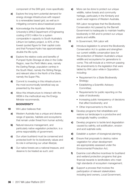component of the SWI grid, more specifically:

- a) Explore the long-term potential demand for energy storage infrastructure with respect to a renewables based grid, as well as in mitigating concerns about baseload power.
- **b)** Acknowledge the Australian National University's (ANU) Department of Engineering costing of \$13 million for a system comparable in capacity to South Australia's Lithium Ion battery project, is 40% of the lowest quoted figure for their capital costs and that Pumped Hydro has approximately double the life cycle.
- c) Explore the relative costs and benefits of Pumped Hydro Storage at sites in the Collie Region, near the Perth Metro area, namely the Darling Range, population centres in the South West, namely the Stirling Range, and relevant sites in the North of the State, namely the Super Pits.
- d) Commit to investing in this infrastructure in the most economically beneficial way as presented by the report.
- e) Allow this infrastructure to interact with the WEM in the methodical way the Energy Minister recommends.

#### **BIODIVERSITY**

- **10** WA Labor believes that:
	- a) Western Australia has a unique and diverse range of species, habitats and ecosystems that remain under threat from human activity;
	- **b)** Natural resource management, and particularly native vegetation protection, is a prime responsibility of government;
	- c) Our urban bushland must be conserved and protected both for its biodiversity values and its role in enhancing our urban lifestyle;
	- d) Our native forests are a national treasure, and deserve to be treated as such; and

e) More can be done to protect our unique wildlife, native forests and community heritage, particularly in the Kimberly and south-west regions of Western Australia.

> WA Labor recognises that the Biodiversity Conservation Act passed by the Barnett Government is inadequate to maintain healthy biodiversity in WA and to protect our unique plants and wildlife.

- 11 In Government, WA Labor will:
	- a) Introduce legislation to amend the Biodiversity Conservation Act to update and strengthen our current wildlife conservation laws for the protection of Western Australia's unique wildlife and ecosystems for generations to come; This will include at a minimum passing the amendments to the legislation that were tabled by WA Labor while in Opposition; including:
		- Requirement for a State Biodiversity Strategy;
		- Establishing a Scientific Advisory Committee;
		- Requirements for public reporting on the state of biodiversity
		- Increasing public transparency of decisions that affect biodiversity; and
		- Other improvements to the Act.
	- **b)** Develop programs that rehabilitate and restore our landscape to a productive and ecologically healthy condition;
	- c) Develop programs to tackle land degradation caused by salinity, soil acidification, erosion and acid sulphate soils;
	- d) Establish a system of bioregional planning;
	- e) Ensure that proposals to destroy native vegetation for urban development are appropriately assessed under the Environmental Protection Act;
	- f) Examine cost effective incentives for bushland and wetland protection programs that give financial rewards to landholders who meet high standards of ecosystem management;
	- **g)** Support a process that involves the participation of relevant stakeholders including land owners, Local Government,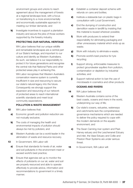environment groups and unions to reach agreement about the management of forests at a regional landscape level, with a focus on transitioning to a more environmentally and economically sustainable approach to meeting our timber demands; and

**h)** Investigate incentives to support a plantation industry and secure the jobs of those workers supported by the forestry industry.

#### **PROTECTING OUR NATURAL HERITAGE**

WA Labor believes that our unique wildlife and remarkable landscapes are a central part of our State's heritage, and important to our culture and identity as Western Australians. As such, we believe it is our responsibility to protect it for future generations and recognise the central role that National Parks and other protected areas play in achieving this.

WA Labor recognises that Western Australia's conservation reserve system is currently insufficient in size and resourcing to secure our state's natural legacy into the future. Consequently we strongly support the expansion and resourcing of our network of protected areas to reach international scientific standards and meet local community expectations.

#### **POLLUTION & WASTE MANAGEMENT**

- 12 WA Labor believes that:
	- a) Economic growth and pollution reduction are not mutually exclusive;
	- **b)** The costs of managing the health and environmental impacts of pollution should always be met by polluters; and
	- c) Western Australia can be a world leader in the elimination of waste and resource recovery.
- 13 In Government, WA Labor will:
	- a) Ensure that standards for levels of air, water and soil pollutants in the environment meet or exceed world's best practice;
	- **b)** Ensure that agencies set up to monitor the effects of pollutants on our air, water and soil are properly resourced and able to operate effectively to provide advice, information and recommendations to government in a timely manner;
- c) Establish a container deposit scheme with refunds on cans and bottles;
- d) Institute a statewide ban on plastic bags in consultation with Local Government;
- e) End the dumping of construction and demolition waste in landfill by insisting that this material is reused wherever possible;
- f) Work with producers to extend their responsibility for eliminating packaging and other unnecessary material which ends up as waste;
- g) Work with industry to eliminate e-waste;
- **h)** Promote world's best practice for tyre recycling;
- i) Support strong, enforceable measures to protect groundwater aquifers from pollution, contamination or depletion by industrial activities; and
- j) Support national action to ban the use of microbeads in cosmetics and other products

#### **OCEANS AND RIVERS**

- 14 WA Labor believes that:
	- a) Western Australia contains some of the best coasts, oceans and rivers in the world, underpinning our way of life;
	- **b)** Our state's oceans, estuaries, waterways and catchments lack the comprehensive governance mechanisms which are needed to deliver the policy required to cope with the modern demands on the aquatic environment; and
	- c) The Swan Canning river system and Peel-Harvey estuary and the Leschenanet Estuary and inlet, the Vase Estuary and Collie and Preston River Systems are under serious threat.
- **15** In Government, WA Labor will: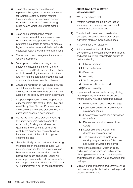- a) Establish a scientifically credible and representative system of marine sanctuaries for Western Australia, at least meeting the standards for protection and science established by Australia's world-leading Ningaloo and Great Barrier Reef marine parks;
- **b)** Establish a comprehensive marine sanctuaries network in state waters, based on international best practice for marine protected area design to protect all areas of high conservation value and the broad-scale ecological health of our marine environment;
- c) Ensure catchment management is a specific task of government;
- d) Develop a comprehensive program to improve the health of the Swan Canning river system and Peel-Harvey estuary, which will include reducing the amount of nutrient and non-nutrient pollutants entering the river system and audits of potential polluters;
- e) Ensure the regulation of river-based activities which threaten the stability of river banks, the sustainability of fish stocks and any other aspect of the ecology of the river system; and
- f) Support the protection and development of a management plan for the Fitzroy River and new Fitzroy River National Park to ensure the health of the river and provide a basis for sustainable economic development
- g) Revise the governance provisions relating to our river systems, with the object of coordinating funding from all levels of government to ensure that all funding contributes directly and effectively to the improved health of them, including their catchments; and
- **h)** Use scientifically proven methods of reducing the incidence of shark attacks. Labor will resource measures that are known to make beaches safer, such as aerial and beach patrols and beach enclosures. Labor will also support new methods to increase safety such as personal shark deterrents. WA Labor will not implement a cull of shark populations.

### **SUSTAINABILITY & WATER MANAGEMENT**

- **16** WA Labor believes that:
	- a) Western Australia can be a world leader in making our urban, regional and remote communities sustainable; and
	- **b)** The decline in rainfall and considerable per capita consumption of water has put significant strain on available resources.
- 17 In Government, WA Labor will:
	- a) Act to ensure that the principles of environmental protection, economic efficiency and social equity are respected in relation to matters affecting:
		- i) Efficient land use;
		- ii) Energy efficiency;
		- **iii**) Water use;
		- iv ) Air quality;
		- v ) Traffic congestion;
		- vi ) Transport efficiencies; and
		- **vii** )Carbon neutrality.
	- **b)** Implement a long term water supply strategy that will provide for climate independent water security, including measures such as:
		- i) Water recycling and aquifer recharge;
		- ii) Desalination, using renewable energy as a power source;
		- **iii**) Environmentally sustainable drawdown on aquifers;
		- iv ) Efficient and sustainable use of dam water;
		- v ) Sustainable use of water from dewatering operations; and
		- vi ) The reintroduction of Waterwise subsidy program for the efficient use and supply of water in the home;
	- c) Promote the adoption of water efficiency and re-use technologies, as well as urban planning measures that improve the quality and integration of urban water, sewerage and drainage;
	- d) Maintain public ownership and control over all major water supply, distribution, drainage and disposal systems; and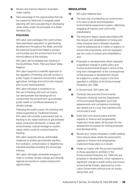- e) Review and improve Western Australia's water market.
- f) Take advantage of the opportunities that will be created by Metronet to integrate water planning with land use planning in developing urban areas under the principles of a Water Sensitive City.

### **FRACKING**

WA Labor acknowledges that communities have expressed opposition to gas fracking development throughout the State, and that the previous Government failed to protect communities and the environment from the harmful effects of this industry.

WA Labor will immediately ban fracking in the SouthWest, Perth, Peel and Swan Valley Regions.

WA Labor supports a scientific approach to the regulation of fracking, and will conduct a public inquiry to examine environment, health, agriculture, heritage and community impacts prior to any fracking activity.

WA Labor will place a moratorium on the use of fracking until such an inquiry can demonstrate that fracking will not compromise the environment, groundwater, public health or contribute adversely to climate change.

Following the public inquiry into fracking and where supported by Traditional Owners, WA Labor will consider a permanent ban on fracking in any water reserves or groundwater areas, productive farmlands, or areas with environmental, cultural heritage or tourism values which could be compromised by fracking.

WA Labor supports strong, enforceable measures to protect groundwater aquifers from pollution, contamination or depletion by industrial activities including the oil and gas industry.

WA Labor will target renewable energies in order to combat climate change and diversify regional economies to create employment opportunities..

### **REGULATION**

- 18 WA Labor believes that:
	- a) The best way of protecting our environment is to have a robust and transparent environmental assessment system, effectively engaging all industry and community stakeholders;
	- **b)** The long term legacy issues associated with the closure and rehabilitation of mining and other industrial sites in Western Australia must be addressed as a matter of urgency to ensure that proponents, and not taxpayers, pay the costs of closure and rehabilitation; and
	- c) Proposals or developments which represent a significant change in public policy and involve environmental threats in terms of the long term management of the consequences of that proposal or development should be subject to a public inquiry in the form specified in s40(2)(c) of the Environmental Protection Act 1986.
- 19 In Government, WA Labor will:
	- **a)** Correctly resource the Environmental Protection Authority and the Department of Environmental Regulation such that assessments and compliance monitoring are carried out in a way that maintains the community's trust;
	- **b)** Insist that mine closure plans and the capacity to finance and progressively implement those plans will be built into the assessment processes for mining proposals and developments;
	- c) Review and, where necessary, modify existing mine closure plans where the proponent's capacity to finance and progressively implement those plans is in doubt;
	- d) Initiate an inquiry with the powers equivalent to those specified in s40(2)(c) of the Environmental Protection Act 1986 into any proposal or development, which represent a significant change in public policy and involve environmental threats, approved by a non-Labor Government without such an inquiry being held; and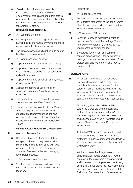e) Provide sufficient resources to enable community groups, NGOs and other environmental organisations to participate in government processes and play a substantial role in ensuring best environmental outcomes for Western Australia.

#### **URANIUM AND THORIUM**

- 20 WA Labor believes that:
	- a) Enriching uranium poses significant risks to human health, the natural environment and is not a solution to climate change; and
	- **b)** Thorium also poses significant risks to human health and the environment.
- 21 In Government, WA Labor will:
	- a) Oppose the mining and export of uranium;
	- **b)** Oppose nuclear enrichment, nuclear power and otherwise the production of dangerous radioactive waste;
	- c) Oppose the storage of nuclear energy waste in Western Australia;
	- d) Oppose the testing or use of nuclear weapons in Western Australia or near our coastline;
	- e) Encourage local governments to declare themselves 'Nuclear Free Zones'; and
	- f **f** Ensure that the mining of thorium in Western Australia only occurs under the most stringent environmental conditions and oppose thorium exports to countries that do not observe the Nuclear Non-Proliferation Treaty.

#### **GENETICALLY MODIFIED ORGANISMS**

- 22 WA Labor believes that:
	- a) Genetically Modified Organisms, if they escape into the wild, may pose a risk to biodiversity including interfering with wild genetic stock, disrupting the breeding systems of native species and damaging agricultural produce.
- 23 In Government, WA Labor will:
	- a) Maintain a moratorium on GMOs and their respective products until these issues are resolved.

#### **HERITAGE**

- 24 WA Labor believes that:
	- a) Our built, cultural and Indigenous heritage is an important monument to the achievement of past generations and is a continuing focus for our sense of community.
- 25 In Government, WA Labor will:
	- a) Continue to provide adequate funding to the National Trust and the Heritage Council to ensure their autonomy and capacity to implement their objectives; and
	- **b)** Encourage government and community heritage organisations in their advocacy of heritage issues and in their education of the professional and wider community about heritage matters.

# RESOLUTIONS

26 WA Labor notes that the former Liberal National Government failed to deliver a credible science-based process for the establishment of marine sanctuaries in the Western Australian marine environment, including creating WA's first ocean marine park with no sanctuary zone at Roebuck Bay.

> Accordingly, WA Labor will establish a scientifically credible and representative system of marine sanctuaries for WA, at least meeting the standards for protection and science established by Australia's worldleading Ningaloo and Great Barrier Reef Marine Parks.

As the last WA Labor Government proved at Ningaloo Reef, creating world class protection in marine sanctuary zones leads to world class environmental, social, economic and political gains.

WA Labor notes that Ningaloo remains a benchmark for marine protection, tourism has grown, the environment has recovered and it also remains a top recreational fishing destination. It has stood the test of time as a major environmental accomplishment of the Gallop and Carpenter Labor Governments.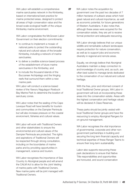WA Labor will establish a comprehensive marine sanctuaries network in the Kimberley, based on international best practice for marine protected areas, designed to protect all areas of high conservation value and the broad-scale ecological health of the unique Kimberley marine environment.

WA Labor congratulates the McGowan Labor Government on their election commitments:

- to continue to implement a mosaic of national parks to protect the outstanding natural and cultural values of the broader Kimberley, including a network of marine sanctuaries;
- to deliver a credible science-based process of the establishment of future marine sanctuaries in the Kimberley; and
- to include the thousand islands of the Buccaneer Archipelago and the fringing reefs that surround them within a new marine park.

WA Labor will conduct a science-based review of the Yawuru Nagulagun Roebuck Bay Marine Park to determine the location of sanctuary zones.

WA Labor notes that the sealing of the Cape Leveque Road will have benefits for tourism and communities on the Dampier Peninsula but will also increase pressure on the coastal environment, fisheries and cultural values.

WA Labor will work with Traditional Owners and other stakeholders to ensure the environmental and cultural values of the Dampier Peninsula are protected. The rights and aspirations of Traditional Owners will be respected through strong consultation, including on the boundaries of marine parks and by providing opportunities in management, science and tourism.

WA Labor recognises the importance of Sea Country to Aboriginal people and will amend the CALM Act to allow for the Joint Vesting of marine parks with Traditional Owners. New marine parks will be joint managed with Traditional Owners.

**27** WA Labor notes the acquisition by government over the past two decades of 7 million hectares of outback areas which hold great natural and cultural importance, as well as economic potential, for future generations of Western Australians. It also notes that, although these areas were acquired for the conservation estate, they are yet to receive formal protection and adequate resourcing.

> WA Labor strongly believes that our unique wildlife and remarkable outback landscapes require protection for nature conservation, as well as to support jobs and economic diversity in regional and remote areas.

Equally, we strongly believe that Aboriginal Australians maintain a deep connection to and knowledge of country and, as such, are often best suited to manage lands dedicated to the conservation of our natural and cultural heritage.

With the free, prior and informed consent of local Traditional Owner groups, WA Labor in government will look at incorporating these areas into the conservation estate. Areas with the highest conservation and heritage values will be declared A Class Reserves.

These parks should be jointly vested with local Traditional Owner groups and have the resourcing to employ Aboriginal Rangers for on-ground management.

WA Labor recognises the vital importance of governmental, corporate and other nongovernment partnerships in building and securing the long term financial capacity and technical expertise of these Ranger Teams to ensure their long-term sustainability.

Labor also supports resourcing these park declarations to ensure that Native Title responsibilities and opportunities are honoured, and sound conservation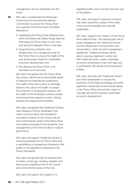management can be undertaken into the future.

- **28** WA Labor congratulates the McGowan Government for the landmark election commitment to protect the Fitzroy River and supports the Environment and Water Ministers in:
	- Establishing the Fitzroy River National Park, which will extend the Geikie Gorge National Park along the Fitzroy River to the north and along the Margaret River to the east;
	- Supporting the protection and development of a management plan for the Fitzroy River to ensure the health of the river and provide a basis for sustainable economic development; and
	- Not allowing the Fitzroy River or its tributaries to be dammed.

WA Labor recognises that the Fitzroy River has unique cultural and environmental values of national and international significance. The health of the Fitzroy River is intimately linked to the culture and health of people, the protection of endangered species, and the health of the Kimberley's pristine coastal environment that supports tourism, fishing, pearling and aquaculture industries.

WA Labor recognises that Traditional Owners have released a Fitzroy Declaration that raises concerns about the potential for cumulative impacts on the unique cultural and environmental values of the Fitzroy River and outlines principles for the protection and management of the river founded on cultural governance.

WA Labor will support Traditional Owners in ensuring protection for the Fitzroy River and in establishing a management framework that builds on the aspirations expressed in the Fitzroy Declaration.

WA Labor recognises that the development of mines, oil and gas, fracking, irrigation and dams pose a significant risk to the cultural and environmental values of the river.

WA Labor will support the creation of a

legislated buffer zone to protect the river and its floodplains.

WA Labor will support measures to ensure that water extraction outside of the buffer zone is environmentally and culturally sustainable.

WA Labor supports the creation of the Fitzroy River National Park. The national park will be jointly managed by the Traditional Owners and the Department of Environment and Conservation. Under the joint management agreement, Traditional Owners will be able to exercise significant control over their traditional lands, create sustainable economic enterprises in their own right and in partnership with private and Government entities.

WA Labor will work with Traditional Owners and other stakeholders to ensure the protection of the National Heritage and other significant cultural and environmental values of the Fitzroy River and provide a basis for culturally and environmentally sustainable economic development.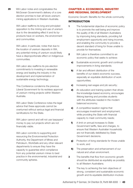**29** WA Labor notes and congratulates the McGowan Government's delivery of a core election promise to ban all future uraniummining applications in Western Australia.

> WA Labor reaffirms its long and principled opposition to the mining and use of uranium due to the devastating effect it and its byproducts have on workers, the environment and communities.

> WA Labor, in particular, notes that due to the location of uranium deposits in WA, any potential mining of uranium would likely have a disproportionate effect on Indigenous communities.

WA Labor also reaffirms its pre-election commitments to investing in renewable energy and leading the industry in the development and implementation of sustainable energy technology.

This Conference condemns the previous Liberal Government for its reckless approval of uranium mining projects within Western Australia.

WA Labor State Conference notes the legal advice that these approvals cannot be overturned without serious legal and financial ramifications for the State.

WA Labor cannot and will not use taxpayers' money to pay out projects which are not financially viable.

WA Labor commits to supporting and resourcing the Environmental Protection Authority, the Department of Mines and Petroleum, WorkSafe and any other relevant departments to ensure they have the capacity to guarantee strict compliance from any potential uranium mines to best practice in the environmental, industrial and community spheres.

### CHAPTER 4: ECONOMICS, INDUSTRY AND REGIONAL DEVELOPMENT

Economic Growth: Benefits for the whole community

### INTRODUCTION

- 1 The fundamental objective of economic policy is to promote the well being and improve the quality of life of all Western Australians by improving living standards, providing full employment opportunity and rising incomes, and enabling the community to provide a decent standard of living for those unable to provide for themselves.
- **2** WA Labor is therefore committed to an economic policy that seeks to achieve:
	- a) Sustainable economic growth and continual improvements in living standards;
	- **b)** A fair and efficient distribution of the benefits of our state's economic success, especially an equitable distribution of work opportunities;
	- c) Increasing real wages and job security;
	- d) An education and training system that drives the knowledge-based economy, encourages lifelong learning and provides students with the attributes needed in the modern balanced economy;
	- e) A competitive taxation regime that encourages investment and employment, while providing the State with financial capacity to meet community needs;
	- f **f** A limit on annual increases to State Government tariffs, fees and charges, to ensure that Western Australian households are not financially debilitated by State Government decisions.
	- g) Protection of living standards for those unable to work; and
	- **h)** The preservation and enhancement of our natural and urban environment.
- **3** The benefits that flow from economic growth should be distributed as equitably as possibly to all Western Australians.
- **4** The key to achieving the twin objectives of strong, consistent and sustainable economic growth and its equitable distribution involves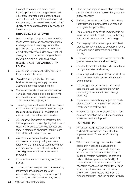the implementation of a broad based industry policy that encourages investment, education, innovation and competition as well as the development of an effective and impartial way to measure the degree to which quality of life has been affected by changes in the economy.

### **STRATEGIES FOR GROWTH**

**5** WA Labor will pursue policies to ensure that the Western Australian economy meets the challenges of an increasingly competitive global economy. This means implementing an industry policy that builds on our natural strengths, promotes economic growth and builds a more diversified industry base.

### **WESTERN AUSTRALIAN INDUSTRY POLICY**

- **6** WA Labor in Government will legislate for a local content policy that:
	- a) Provides a level playing field for local businesses seeking to supply Western Australia's major resources projects;
	- **b)** Ensures that local content commitments of our major resources projects are taken into consideration when considering statutory approvals for the projects; and
	- c) Ensures government makes the local content commitments and performance of our major resources projects publicly available in a manner that is both timely and detailed.
- **7** WA Labor will implement an industry policy that employs a full range of policy instruments designed to facilitate business success and foster a strong and diversified industry base that is internationally competitive.
- 8 WA Labor recognises the development of an imaginative industry policy involves all aspects of the interface between government and industry and does not exclusively revolve around government financial assistance programs.
- **9** Essential features of the industry policy will involve:
	- a) Creating a partnership between Government, industry stakeholders and the wider community, recognising the broad support necessary for a successful industry policy.
- **b)** Strategic planning and intervention to enable the state to take advantage of changes in the global economy;
- c) Fostering our creative and innovative talents that will lead to new markets, business and employment opportunities;
- d) The provision and continual investment in our essential economic infrastructure, particularly in transport, communication and energy;
- e) Encouraging business to adopt world's best practice in such matters as export promotion, innovation and skill formation and online trading;
- f) Promoting research and development and the greater use of science and technology;
- g) The development of a highly skilled workforce through education and training;
- **h)** Facilitating the development of new industries by the implementation of industry attraction arrangements;
- i) Legislating to ensure higher levels of local content and work to facilitate the further processing of raw materials and energy products;
- j) Implementation of a timely project approvals process that provides greater certainty and timely decision making; and
- k) Adopting an 'open for business' taxation and business regulation regime that encourages investment and employment;

### **PARTNERSHIPS**

- 10 WA Labor recognises that broad community and industry support is essential to the implementation of a successful industry policy.
- 11 WA Labor also recognises that the broader community needs to be assured that changes in economic and industry policy will lead to improvements in the quality of life for all Western Australians. To that end, Labor will develop a series of Quality of Life indicators that measure the impact of economic change on the community. These indicators will assess economic, social and environmental factors that affect the broader community and the degree to which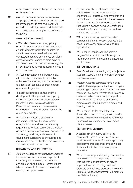economic and industry change has impacted on those factors.

12 WA Labor also recognises the wisdom of adopting an industry policy that enjoys broad industry support. To that end, Labor will consult with industry, unions and the broader community in formulating the broad thrust of the policy.

### **STRATEGIC PLANNING**

- 13 A WA Labor Government's key priority during its term of office will be to implement an active industry policy that enables the state to intervene where it adds value to our natural strengths or improves our global competitiveness, leading to more exports and investment. It will focus on creating jobs in new industries as well as securing those in existing industries.
- 14 WA Labor recognises that industry policy relates to the Government's interaction with the entire economy and the necessity to adopt a collaborative approach across government agencies.
- **15** To assist in strategic planning and the development of long-term industry policy, Labor will maintain the WA Manufacturing Industry Council, reinstate the State Development Forum and create a new consultative process for stakeholders in the oil and gas industry.
- **16** WA Labor will ensure that strategic intervention includes the development of legislation that address the regulatory requirements for local content and develops policies to further processing of raw materials and energy products, and the use of government purchasing to encourage local investment in new technology, manufacturing and building and construction.

### **CREATIVITY AND INNOVATION**

**17** Western Australians have proven themselves to be creative, innovative and capable of identifying new and emerging business and product opportunities. Fostering these talents is essential for new business and employment opportunities.

- **18** To encourage the creative and innovative spirit involves, in part, recognising the importance of intellectual property rights and the protection of those rights. It also involves devising a clear policy within Government that strikes a balance between fostering the innovation effort and the way the results of such efforts are used.
- 19 WA Labor also recognises an important component of the innovation process is the need to constantly explore value-adding opportunities.
- **20** WA Labor will continue to implement a range of initiatives that publicly recognise the importance of innovation and encourage creativeness.

#### **INFRASTRUCTURE**

- 21 One of the keys to attracting major projects in Western Australia is the provision of common user infrastructure.
- 22 Western Australia competes for footloose capital-intensive projects that have the option of locating in various parts of the world where common user capital infrastructure is already available. To be internationally competitive, Western Australia needs to provide and promote such infrastructure in a timely and ongoing manner.
- 23 WA Labor will, to the extent that it is financially prudent to do so, make provision for such infrastructure requirements in order to ensure the state remains an attractive place to invest.

### **EXPORT PROMOTION**

- **24** A central aim of industry policy is the attainment of internationally competitive products and services. But even high quality competitive products and services will not find a market in the absence of proper promotion.
- 25 While it is not responsibility of government to promote individual companies, government working with local industry can play an important role in promoting quality of products and services produced in Western Australia. A Labor Government will promote the State in this way.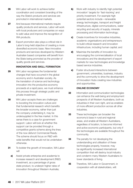- 26 WA Labor will work to achieve better coordination and consistent branding of the way the State's products and services are promoted in international markets.
- 27 And because international markets require quality products and services, Labor will work with local producers and companies on ways to add value and improve the recognition of WA products.
- **28** Export promotion also plays a critical role in Labor's long-held objective of creating a more diversified economic base. New innovative products and services developed by Western Australian based companies will benefit from the State being promoted as the provider of quality goods and services.

#### **INNOVATION AND SKILL FORMATION**

- **29** WA Labor recognises the fundamental changes that have occurred in the global economy and in Australian society. As the translation of science and technology innovation into the productive economy proceeds at a rapid pace, we must enhance this process through strategic public and private investment.
- **30** WA Labor accepts there are challenges to boosting the innovation culture and that fundamental research which benefits the broader economy, rather than just the company undertaking it, may be undersupplied in the free market. In this sense there is a case for government support. Labor will look at whether this support can be provided through a competitive grants scheme along the lines of the now defunct Commercial Ready. The scheme should focus on R&D with wide benefits that would not be undertaken otherwise.
- **31** To bolster the growth of innovation, WA Labor will
	- a) Assist private enterprise and academia to increase research and development (R&D) investment, as a percentage of gross state product, to underpin higher rates of innovation throughout Western Australia;
- **b)** Work with industry to identify high potential innovation' targets for 'fast-tracking' and priority investment. For example high potential sectors include—renewable energy technologies, transport and freight infrastructure, digital communications, water recycling and security of supply, minerals processing and information technology;
- c) Create incentives for innovative industries, academic organisations and entrepreneurs to build critical research and innovation infrastructure, including human capital; and
- d) Maximise the benefits of innovation by encouraging the commercialisation of local innovations and the development of export markets for new technologies and knowledge based service industries.
- e) Foster structured interactions between government, universities, business, industry and the community to drive the development of Innovation Hubs creating new industries and opportunities.

### **ONLINE ECONOMY**

- **32** Information and communication technologies can enhance the well-being and employment prospects of all Western Australians, both as industries in their own right, and as enablers of more efficient production across all other industries.
- **33** These technologies can broaden the economy's base in rural and regional areas, and enable all Western Australians, regardless of location, to become informed and active economic participants, but only if the technologies are available throughout the community.
- **34** The penalty for not developing the understanding and utilisation of these technologies properly, however, may be significantly increased international competition that will destroy local industry and condemn many Western Australians to lower standards of living.

**35** Therefore, WA Labor in Government, in cooperation with all stakeholders, will: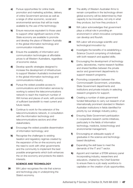- a) Pursue opportunities for online trade promotion and marketing activities, delivery of online Government services as well as a range of other economic, social and environmental services that will be made available by the use of the technology;
- **b)** Ensure resources equivalent to those used to support other significant sectors of the State economy are available to promote and develop the place of Western Australia in the global information technology and communication industries;
- c) Ensure the availability of information and communication technologies at affordable prices to all Western Australians, regardless of economic status;
- d) Develop specific strategies designed to increase the development of infrastructure to support Western Australia's involvement in the global information technology and communications industry;
- e) Pursue the widest possible access to communications and information services by working to extend the telecommunications network to reach the maximum number of WA homes and places of work; with provision of sufficient bandwidth to meet current and future needs;
- f) Continue to work for the extension of the telecommunications network, in consultation with the information technology and telecommunications sectors and other stakeholders;
- g) Encourage the widest possible dissemination of information technology; and
- **h)** Recognise the challenges to existing taxation and regulatory regimes created by the expansion of the on-line economy and the need to work with other governments and the community to implement the best possible arrangements which both enhances the on-line economy and protects the state's interests.

### **SCIENCE AND TECHNOLOGY**

**36** WA Labor recognises the role that science and technology play in underpinning the State's economy.

- **37** The ability of Western Australian firms to remain competitive in the technology-driven global economy will be determined by their capacity to be innovative, not only in what they produce, but how they produce it.
- **38** WA Labor acknowledges that government plays a critical role in providing an environment in which innovative companies can develop and flourish.
- **39** WA Labor will encourage scientific and technological innovation by:
	- a) Investigate the benefits of re-establishing a Science Council comprising of individuals with both research and applied skills;
	- **b)** Encouraging the development of technology parks, laboratories, marine research facilities and shared facilities between the private sector and government departments to support research programs;
	- c) Promoting cooperation between the Commonwealth Government, universities, State Government departments and institutions and private industry in selecting research programs for support;
	- d) Creating a number of state government funded fellowships to carry out research of an internationally prominent standard in Western Australian institutions in fields identified for priority by our strategic industry policy;
	- e) Ensuring State Government participation in cooperative research centre initiatives, particularly in the fields of information technology, medicine, biotechnology and environmental management;
	- f) Encouraging an adequate supply of graduates in the science and technologybased disciplines;
	- g) Expanding the skill base to meet the demands of the IT and T sector.
	- **h)** Appoint and maintain a STEM advisory panel incorporating industry, researchers and educators, chaired by the Chief Scientist to ensure there is a job ready workforce to capitalise on the creation of job opportunities;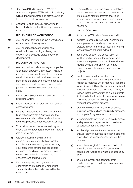- i) Develop a STEM Strategy for Western Australia to improve STEM education, identify STEM growth industries and provide a vision to grow the local workforce; and
- **j)** Sponsor Science Industry fellowships to build links between the University sector and industry.

### **HIGHLY SKILLED WORKFORCE**

- **40** WA Labor will strive to achieve a world class education and training system.
- 41 WA Labor recognises the wider role of education and training as being the catalyst for knowledge-based economic development.

### **INDUSTRY ATTRACTION**

- **42** WA Labor will actively encourage companies to establish operations in Western Australia and provide reasonable incentives to attract new industries that will provide economic benefits to the state by producing goods or services for export, replace imports, create jobs and facilitate the transfer of valuable skills.
- 43 A WA Labor Government will actively promote programs which:
	- a) Assist business in its pursuit of international competitiveness;
	- **b)** Enhance cultural ties, trade and investment links between Western Australia and the overseas markets and financial centres which are most prospective for Western Australia;
	- c) Establish opportunities for networking to enable Western Australian exporters link with international markets;
	- d) A Labor government will invest in research infrastructure which co-locates complementary research groups, industry, education organisations and associated activities to build a critical mass of talented researchers, scientists, innovators, entrepreneurs and investors;
	- e) Encourage quality management and certification to internationally recognised standards where this is demanded by the market; and

f) Promote Sister State and sister city relations based on shared economic and commercial interests and facilitate international trade linkages works between institutions such as government departments, universities and hospitals.

### **LOCAL CONTENT**

- 44 An incoming WA Labor Government will:
	- a) legislate to ensure Skilled Work Agreements are implemented on all major resource projects in WA to maximize local engineering, fabrication and other skilled work.
	- **b)** continue to support the construction of facilities and equipment for resource and infrastructure projects such as the Australian Marine Complex, which can build, and service, major offshore and onshore resource projects.
	- c) legislate to ensure that local content regulations are strengthened, particularly in relation to materials which require a High Risk Work Licence (HRW). This includes, but is not limited to scaffolding, cranes, and forklifts). It follows that the importation of such materials (including but not limited to pre-cast concrete and tilt up panels) will be subject to a stringent assessment process.
	- d) Create more opportunities for businesses, including local small and medium businesses, to complete for government contracts.
	- e) support industry networks to enable business and government departments to maximize opportunities for local suppliers.
	- f) require all government agencies to report annually on their success in creating jobs and supporting the local economy through this process.
	- g) adopt the Aboriginal Procurement Policy of awarding three per cent of all government contracts to Aboriginal owned businesses by 2020.
	- **h)** drive employment and apprenticeship creation through a continuous infrastructure development.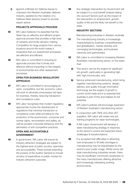i) appoint a Minster for Defense Issues to champion the Western Australian defense industry, assisted by the creation of a Defense West advisory board to provide expert advice.

### **PROJECTS APPROVALS PROCESS**

- **45** WA Labor believes it is essential that the State has an effective and efficient project approval process that provides a high level of certainty and timely decision making. Competition for large projects from various locations around the world makes it imperative that our assessment processes are effective and efficient.
- **46** WA Labor is committed to ensuring an approvals process that is timely and effective without impacting on the integrity of environmental and other assessment processes.

#### **OPEN FOR BUSINESS REGULATORY APPROACH**

- **47** WA Labor is committed to encouraging an open, competitive, but fair, economy. Labor will work to eliminate unnecessary red tape for business, thereby reducing transaction and compliance costs.
- **48** WA Labor recognises that modern regulatory approaches involve the development of regulations that minimize transaction or compliance costs while providing for the protection of the environment, consumer and worker rights, remuneration and safety, as well as prudent corporate behaviour and the elimination of anti competitive practices.

### **OPEN AND ACCOUNTABLE GOVERNMENT**

**49** In government, WA Labor will ensure its industry attraction strategies are subject to the highest level of public scrutiny, openness and accountability. These include extending the powers of the Auditor-General to include scrutiny of expenditure of public monies for industry attraction purposes.

**50** Any strategic intervention by Government will be subject to a cost benefit analysis taking into account factors such as the impact of the intervention on employment, growth, quality of life and the likely net benefit to the state.

#### **INDUSTRY SECTORS**

Manufacturing Industries in Western Australia

- **51** The manufacturing industry is increasingly characterised by business competitiveness and globalisation, market diversity and converging technologies, and business networks and partnerships.
- **52** WA Labor is committed to increasing Western Australia's manufacturing sector, on the basis that:
	- a) This sector can be the engine for significant job growth, particularly in generating high skill, high income jobs; and
	- **b)** Service enhanced manufacturing, which bring together manufacturing systems, design, delivery, and quality through information technology are the engine of growth in current world trade and it is essential that Australia is part of this and realises its full potential.
- **53** WA Labor's policies will encourage expansion of Western Australia's manufacturing sector.
- **54** In conjunction with TAFE and other VET suppliers, WA Labor will create new job training programs for clean technologies.
- **55** A WA Labor Government will develop a state manufacturing strategy in response to the sector's current and expected future challenges & transformations.
- **56** It is accepted that difficulties in attracting new employees to fill skills shortages in manufacturing may be exacerbated by the sector's poor public image. Whilst some oldstyle manufacturing industries remain, there may be insufficient community awareness of the many manufacturers offering attractive and increasingly interesting working environments.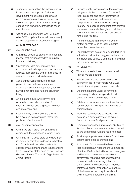- a) To remedy this situation the manufacturing industry, with the support of a Labor government will develop a coordinated communications strategy for promoting the career opportunities in manufacturing, especially in innovative, knowledge based manufacture.
- **b)** Additionally in conjunction with TAFE and other VET suppliers, Labor will create new job training programs for clean technologies.

#### **ANIMAL WELFARE**

- **57** WA Labor believes;
	- a) All animals should be cared for in a humane manner that provides freedom from pain, injury and distress;
	- **b)** 'Animals' includes pet, domestic and companion animals, sport and performance animals, farm animals and animals used in scientific research and wild animals;
	- c) Good animal welfare requires disease prevention and veterinary treatment, appropriate shelter, management, nutrition, humane handling and humane slaughter/ killing;
	- d) Children and adults who commit acts of cruelty on animals are at risk of showing violence and aggression in other circumstances; and
	- e) Acts of cruelty against animals should be prevented from occurring rather than punished after the event.
- **58** WA Labor recognises that;
	- a) Animal welfare means how an animal is coping with the conditions in which it lives;
	- **b)** An animal is in a good state of welfare if (as indicated by scientific evidence) it is healthy, comfortable, well nourished, safe able to express innate behaviour and is not suffering from unpleasant states such as pain, fear and distress. (Source; The World Organisation for Animal Health);
- c) Growing public concern about the practices being used in the production of animals for food, in science and sport (performance or racing etc) as well as how other (pet, companion and wild) animals are being treated. The public is demanding that animals are treated humanely throughout their lives and that their welfare has been adequately met during this time;
- d) The current legal framework in place to protect animals relies on legal remedies rather than prevention; and
- e) The link between acts of cruelty and torture to animals and violent and aggressive behavior in children and adults, is commonly known as the 'Cruelty Connection'.
- **59** WA Labor will;
	- **a)** Work with stakeholders to develop a WA Animal Welfare Strategy;
	- **b)** Review and introduce amendments to strengthen the Animal Welfare Act 2002 thereby improving outcomes for animals;
	- c) Ensure that a state Labor government adequately funds an independent and effective Animal Welfare Inspectorate;
	- d) Establish a parliamentary committee that can have oversight and inquire into. Matters of animal welfare;
	- e) Work with stakeholders to reduce and eventually eradicate intensive farming in favour of humane food production;
	- f) Promote standardised, regulated, labelling of foods so that consumers are better informed as the demand for humane food increases;
	- **g)** Provide appropriate interventions for children caught being cruel to animals; and
	- **h)** Advocate to Commonwealth Government that it establish an independent Commission of Animal Welfare that will monitor, investigate and be able to make commendations to government regarding matters impacting on animal welfare including, inter alia, Commonwealth Model Codes of Practice fir intensive animal production, all aspects of the live export industry, inconsistent and ineffective enforcement of animal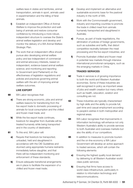welfare laws in states and territories, animal transportation, animals in sport, animals used in experimentation and the killing of feral animals.

- i) Establish an independent Office of Animal Welfare to improve the protection and wellbeing of animals and restore consumer confidence by introducing a more robust, independent structure to oversee the State's animal welfare legislation and develop and monitor the delivery of a WA Animal Welfare Strategic Plan.
- **j)** The work that an independent office should pursue also developing animal welfare policy and law independent of commercial and animal advocacy interests, based on independent, evidence-based animal welfare science; and monitoring and reporting to Government (and Parliament) on the effectiveness of legislation regulations and policies and practices governing animal welfare with the aim of improving animal welfare outcomes.

### **LIVE EXPORT**

- **60** WA Labor recognises that:
	- a) There are strong economic, jobs and animal welfare reasons for transitioning from the live export trade to domestic processing of animals for local consumption and the chilled and frozen meat trade; and
	- **b)** While the live export trade continues, livestock for slaughter from Australia will be treated humanely while being transported and in the country of destination.
- **61** To this end, WA Labor will:
	- a) Require that livestock be transported, unloaded, held and slaughtered in accordance with the OIE Guidelines and stunned using appropriate humane restraints immediately before slaughter, and that there will be independent monitoring and enforcement of these standards;
	- **b)** Ensure adequate transitional arrangements are in place to facilitate the expansion of a chilled and frozen meat trade;
- c) Develop and implement an alternative and sustainable economic base for the pastoral industry in the north of WA;
- d) Work with the Commonwealth government, industry and importing countries to promote the trade in chilled meat from animals humanely transported and slaughtered in Australia;
- e) Pursue, as part of trade negotiations, the elimination of policies of foreign governments, such as subsidies and tariffs, that distort competitive neutrality between the meat processing and the live export industries; and
- f) Promote Australian chilled and frozen meat in potential new markets through intensive international promotional campaigns, such as the emerging markets in China.

### **TRADED SERVICES**

- **62** Trade in services is of growing importance to both the world and Western Australian economies. Some of these industries are well recognised in policy as important areas of jobs and wealth creation but many others such as health, education, aviation and consulting are not.
- **63** These industries are typically characterised by high skills and the ability to provide full, part-time and casual employment according to people's wishes in both metropolitan and regional areas.
- **64** WA Labor recognises that improvements in information technology will enhance not only Western Australia's ability to provide services to both Australian and overseas markets but also the ability of our competitors.
- **65** In addition to measures to promote tourism and the on-line economy a WA Labor Government will develop an active approach to traded services, which will contain the following elements:
	- a) Ensuring the highest quality local demand by delivering to all Western Australian world class public services;
	- **b)** Ensuring that firms have access to world class infrastructure, particularly in relation to information technology and telecommunications;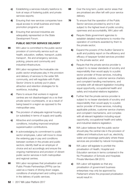- c) Establishing a services industry taskforce to look at ways of fostering public and private services exports;
- d) Ensuring that new services companies have equal access to small business and trade promotion programs; and
- e) Ensuring that serviced industries are adequately represented on the State Development Forum.

### **PUBLIC SECTOR SERVICE DELIVERY**

- **66** WA Labor is committed to the public sector provision of community service such as health, education, welfare, transport, public transport , fire and emergency services, policing, prisons and community and industrial infrastructure.
- **67** WA Labor recognises the invaluable role public sector employees play in the provision and delivery of services to the wider WA community, and will negotiate with Public Sector Unions to actively put in place attraction and retention strategies for its workforce, including:
	- a) Plans to ensure that workers in regional centres are not disadvantaged vis a vis their private sector counterparts, or as a result of being based in a region as opposed to the metropolitan area.
	- **b)** The provision of adequate regional housing (or subsidies) in terms of supply and quality.
	- c) Attractive and competitive pay and conditions, including improved employer superannuation contributions.
	- d) In acknowledging its commitment to public sector employees, Labor will move to close the widening gap in pay and conditions between workers in the private and public sectors; identify itself as an employer of choice and act accordingly and ensure the ongoing maintenance and provision of vibrant public sector services in both metropolitan and regional centres.
- **68** WA Labor recognises that privatisation and Public Private Partnerships (PPPs) can be used as a means of driving down wages, conditions of employment and cutting costs in the delivery of public services.
- **69** Over the long term, public sector areas that are privatised are often left with poor service delivery.
- **70** To ensure that the operation of the Public Sector services provided by and to it are subject to the highest level of public scrutiny, openness and accountability, WA Labor will:
	- a) Require State government agencies to establish detailed mechanisms to monitor the operation of contracts awarded by them to the private sector;
	- **b)** Expand the powers of the Auditor General to audit and publicly report on the efficiency and efficacy of taxpayer funded services provided by the private sector; and
	- c) Require that the private service provider is subject to no lesser standards of scrutiny and responsibility than would apply to a public sector provider of those services, including applicable policies, customer service charters and complaint handling mechanisms, and complies with all relevant legislation including equal opportunity, occupational health and safety and industrial relations legislation.
	- d) Further that the private service provider is subject to no lesser standards of scrutiny and responsibility than would apply to a public sector provider of those services, including applicable policies, customer service charters and complaint mechanisms, and complies with all relevant legislation including equal opportunity, occupational health and safety and industrial relations legislation.
- **71** WA Labor believes that the public sector should play the central role in the provision of utilities and infrastructure such as, electricity, water and sewerage particularly where these services are provided by natural monopolies.
- **72** WA Labor will legislate to prohibit the privatisation of Health, Hospital and Education services in terms contained in the No Privatisation of Schools and Hospitals Private Members Bill 2010.
	- a) WA Labor will legislate so that any privatisation of government business enterprises may only be approved by Parliament where the proposed privatisation would result in: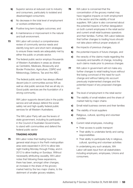- **b)** Superior service at reduced cost to industry and consumers, particularly to isolated and disadvantaged consumers;
- c) No decrease in the total level of employment or workers entitlements;
- d) Positive long term budgets outcomes; and
- e) A maintenance or improvement in the natural and built environment.
- **73** WA Labor will conduct a comprehensive review of community service needs and identify long-term and short-term strategies to ensure these needs are adequately met by either the public or private sector.
- **74** The federal public sector employs thousands of Western Australians in areas as diverse as Centrelink, Medicare, Biosecurity and Border Protection, Agriculture, CSIRO and Meteorology, Defence, Tax and the ABC.

The federal public sector has always offered decent jobs in communities across WA as well as vital public services that we all rely on. Good public services are the foundation of a strong community.

WA Labor supports decent jobs in the public service and will always defend the social safety net and high-quality federal public services for all Western Australians.

The WA Labor Party will use the levers of state government, including its participation in the Council of Australian Governments, to stand with communities and defend the federal public sector

#### **TRADING HOURS**

**75** WA Labor notes that trading hours for general retail shops in the Perth metropolitan area were expanded in 2010 to allow late night trading Monday through Friday, and in 2012 to allow trading on Sundays. Without necessarily attributing causality, WA Labor notes that following these expansions, there has been, amongst other changes, an increase in the share of the grocery market held by the two major chains, to the detriment of smaller grocery retailers.

- **76** WA Labor is concerned that the concentration of the grocery market may have negative impacts on both employment in the sector and the viability of local suppliers. WA Labor is also concerned about the potential impacts of further deregulation on both current employees in the retail sector and current small retail business operators and their families. Further, WA Labor believes that further changes to trading hours should not take place without proper analysis of:
	- a) the impacts of previous changes,
	- **b)** the potential impacts of future changes, and
	- c) the veracity of the claims made regarding the necessity and benefits of change, including such claims made prior to previous changes
- **77** WA Labor in government will not make any further changes to retail trading hours without first being convinced of the need for such change and without taking into account previously implemented changes and the potential impact of any proposed changes on:
	- a) The level of employment in the retail sector
	- **b)** The viability of small retailers and the share of market held by major chains
	- c) Small retail business owners and their families
	- d) The viability of local suppliers
	- e) Religious, cultural, sporting and volunteer activities
	- f) Current retail employees, including:
		- Their access to public transport
		- Their ability to undertake family and caring responsibilities
		- Their ability to participate fully in religious, cultural, sporting and volunteer activities

In undertaking any such analysis, WA Labor will seek input from all stakeholders including employers, employees, Unions and consumers.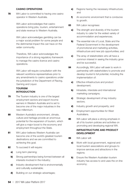#### **CASINO OPERATIONS**

**78** WA Labor is committed to having one casino operator in Western Australia.

> WA Labor acknowledges that casino operations bring jobs, tourism, entertainment and state revenue to Western Australia.

WA Labor acknowledges gambling can be a major social problem for some people and the detrimental impact this can have on the wider community.

Therefore, WA Labor acknowledges the importance of a strong regulatory framework to manage the casino licence and casino operations.

WA Labor will require consultation with the relevant workforce representatives prior to any amendments to casino operations under the jurisdiction of the Department of Racing, Gaming and Liquor.

# **TOURISM INTRODUCTION**

- **79** The Tourism industry is one of the largest employment sectors and export income earners in Western Australia and is set to become one of the major industries in the new millennium.
- 80 Western Australia's environment, climate, culture and heritage provide an enormous potential for the expansion of tourism, which will give a major boost to the economy and employment throughout the State.
- 81 WA Labor believes Western Australia can become one of the world's greatest tourism destinations and we are committed to achieving this goal.
- 82 To succeed it will require:
	- a) Long term planning;
	- **b)** Strong partnerships being formed between all interests involved in the industry;
	- c) Industry development that is environmentally and culturally sustainable;
	- d) Building on our strategic advantages;
- e) Regions having the necessary infrastructure; and
- f) An economic environment that is conducive to growth.
- 83 WA Labor recognises:
	- **a)** The strength and diversity of the tourism industry to cater for the widest variety of accommodation and experiences;
	- **b)** The essential role of Local, State and the Federal Government in the development of promotional and marketing activities, infrastructure and new job opportunities; and
	- c) The array of stakeholders who all have a common interest in seeing the industry grow and be successful.
- 84 Accordingly, WA Labor will seek to work in partnership with stakeholders to promote and develop tourism's full potential, including the implementation of:
	- a) Effective infrastructure and product development;
	- **b)** Intrastate, interstate and international marketing campaigns;
	- c) Strategic development of key industry sectors;
	- d) Industry growth and prosperity; and
	- e) Employment opportunities for West Australians.
- 85 WA Labor will place a strong emphasis in all of its tourism policies and activities on promoting and developing regional WA.

# **INFRASTRUCTURE AND PRODUCT DEVELOPMENT**

- 86 WA Labor will:
	- a) Work with local government, regional and local tourism associations and groups to improve services and attractions in the regions;
	- **b)** Ensure the Western Australian tourism industry has access to and uses the on-line economy;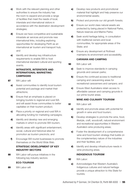- c) Work with the relevant planning and other authorities to ensure the industry has the room to expand and provide a range of facilities that meet the needs of local, interstate and international visitors in accordance with the destination development strategies;
- d) Ensure we have competitive and sustainable intrastate air services and promote new international links, including exploring opportunities for developing Perth as an international air tourism and transport hub; and
- e) Identify and develop key infrastructure requirements to enable WA to host international standard cultural and sporting events.

### **INTRASTATE, INTERSTATE AND INTERNATIONAL MARKETING CAMPAIGNS**

- 87 WA Labor will:
	- a) Assist communities to identify local tourism potential and package and market their attractions;
	- **b)** Ensure that an emphasis is placed on bringing tourists to regional and rural WA and will assist those communities to better capitalise on their tourism product;
	- c) Place a priority on regional and rural WA in allocating funding for marketing campaigns;
	- d) Identify and develop new and emerging markets in which to promote WA tourism;
	- e) Identify areas with significant entertainment, social, cultural and historical sites for promotion as tourism precincts; and
	- f) Encourage WA tourist businesses to promote themselves on the World Wide Web.

# **STRATEGIC DEVELOPMENT OF KEY INDUSTRY SECTORS**

88 WA Labor will pursue initiatives in the following key industry sectors:

# **ECO-TOURISM**

89 WA Labor will:

- a) Develop new products and promotional material that highlight and help preserve our environmental assets;
- **b)** Protect and promote our old growth forests;
- c) Ensure our world class natural assets are protected by being placed in National Parks, Nature reserves and Marine Parks;
- d) Seek world heritage listing, in consultation with traditional owners and local communities, for appropriate areas of the State; and
- e) Ensure any development at Rottnest maintains its environment and accessibility.

### **CARAVAN AND CAMPING**

- 90 WA Labor will:
	- a) Seek to improve standards in camping grounds and caravan parks;
	- **b)** Ensure the continued access to traditional camping and caravanning areas for recreational caravanners and campers; and
	- c) Ensure West Australians retain access to affordable caravan and camping grounds in our prime tourist areas.

### **WINE AND CULINARY TOURISM**

- 91 WA Labor will:
	- a) Identify and promote areas with potential for growth in wine and food tourism;
	- **b)** Develop strategies to promote the wine, food, lifestyle, craft, woodcraft, natural environment and recreational opportunities in Western Australia's wine producing areas;
	- c) Foster the development of a comprehensive wine and food tourism strategy that builds on the complementary nature of the industries and their facilities; and
	- d) Identify and develop infrastructure needs in wine producing areas.

#### **INDIGENOUS TOURISM**

- 92 WA Labor:
	- a) Acknowledges that Western Australia's Indigenous cultures and natural heritage provide a unique attraction to this State for tourists;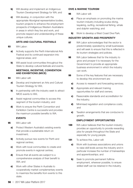- **b)** Will develop and implement an Indigenous Tourism Development Strategy for WA; and
- c) Will develop, in conjunction with the appropriate Aboriginal representative bodies, tourism projects to enhance the employment prospects of Indigenous Western Australians in areas in which they live and work, and promote respect and understanding of these unique cultures.

#### **ARTS AND CULTURAL FESTIVALS**

- 93 WA Labor:
	- a) Actively supports the Perth International Arts Festival and its continued expansion into regional areas; and
	- **b)** Will assist local communities throughout the State to develop cultural festivals and events.

### **MEETINGS, INCENTIVE, CONVENTION AND EXHIBITIONS (MICE)**

- 94 WA Labor will:
	- a) Develop and implement an Arts and Cultural Tourism Strategy for WA;
	- **b)** In partnership with the industry seek to attract MICE events to WA;
	- c) Assist regional communities to access this segment of the tourism industry; and
	- d) Work to ensure the Perth Convention and Exhibition Centre is successful and provides the maximum possible benefits to WA.

### **EVENTS**

- 95 WA Labor will:
	- a) Protect Western Australia's existing events that provide a sustainable return on investment;
	- **b)** Actively pursue new events for Perth and regional centres;
	- c) Work with local communities to create and promote events in regional centres;
	- d) Ensure that all events are subject to a comprehensive analysis of their benefit to WA; and
	- e) Work with other States in Australia to cooperatively market complementary events to maximize the benefits from events to this state.

### **DIVE & MARINE TOURISM**

96 WA Labor will:

- a) Place an emphasis on promoting the marine tourism industry including scuba-diving, kayaking, surfing, recreational fishing, whale and dolphin watching; and
- **b)** Work to develop a West Coast Dive Park.

### **INDUSTRY GROWTH AND PROSPERITY**

- **97** WA Labor acknowledges that the sector is predominately operated by small businesses and will seek to ensure that this is reflected in its tourism strategies and policies.
- **98** WA Labor believes that for the industry to grow and prosper it is necessary for the Government to provide an appropriate business environment in which the industry can work.
- **99** Some of the key features that are necessary to develop this environment are:
	- a) Access to research and forecasting services;
	- **b)** Appropriate and relevant training opportunities for staff and owners;
	- c) Reasonable standards and accreditation for the industry;
	- d) Minimised regulation and compliance costs; and
	- e) Taxation arrangements that are conducive to growth.

### **EMPLOYMENT OPPORTUNITIES**

- **100** WA Labor believes that the tourism industry provides an opportunity to provide rewarding jobs for people throughout the State and especially for young people.
- 101 To achieve this, Labor will:
	- **a)** Work with business associations and unions to raise skill levels across the industry and in particular increase the number of traineeships and apprenticeships; and
	- **b)** Seek to promote permanent fulltime employment, wherever possible, to ensure skilled staff can be retained in the industry.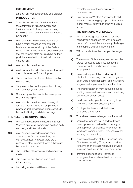#### **EMPLOYMENT**

Employment Maintenance and Job Creation  **INTRODUCTION**

- **102** Since the foundation of the Labor Party the attainment of full employment and the improvement of wages and working conditions have been at the core of Labor's philosophy.
- **103** WA Labor recognises the decisions that have a major impact on employment levels are the responsibility of the Federal Government. However, WA Labor will ensure that the relevant state policies have as their goal the maximisation of well-paid, secure employment.
- 104 WA Labor is committed to:
	- a) Working with the federal government towards the achievement of full employment;
	- **b)** The elimination of all forms of discrimination in employment;
	- c) Early intervention for the prevention of longterm unemployment; and
	- d) Community involvement in the development of these strategies.
	- e) WA Labor is committed to abolishing all forms of modern slavery in employment practices, including forced labour, servitude, human trafficking, and debt bondage.

#### **THE NEED TO BE COMPETITIVE**

- **105** WA Labor recognises the need to maintain Western Australia's competitive position both nationally and internationally.
- **106** WA Labor acknowledges wage costs as one of the factors determining our competitiveness. However there are a number of other important factors that must be taken into account:
	- a) The updating of technology and production methods;
	- **b)** The quality of our physical and social infrastructure;
	- c) Improving workers' skill levels to take

advantage of new technologies and processes; and

d) Training young Western Australians to skill levels to meet emerging opportunities in the labour market, rather than importing skilled labour.

#### **THE CHANGING WORKPLACE**

- **107** WA Labor recognises that there has been considerable change in the workplace and the workforce and there are many challenges in the rapidly changing labor market.
- **108** WA Labor identifies the principal challenges as:
	- **a)** The erosion of full-time employment and the growth of casual, part-time, contracting, use of labour hire and insecure forms of employment;
	- **b)** Increased fragmentation and unequal distribution of working hours, with longer and often unpaid hours for some, and insufficient, irregular and unpredictable hours for others;
	- c) The intensification of work through reduced staffing, increased workloads and monitoring of individual performance;
	- d) Health and safely problems driven by long hours and work intensification; and
	- e) Employer insolvency and the loss of employee entitlements.
- 109 To address these challenges, WA Labor will:
	- a) ensure that working hours and workloads do not pose a risk to health and safety, and do not prevent appropriate involvement in family and community life, irrespective of the industry or occupation;
	- **b)** investigate the effect of the European Union Directive on Working Time, which provides for a limit of an average 48 hours per week, including overtime, in the European Union;
	- c) promote opportunities for increased employment as an alternative to excessive hours of work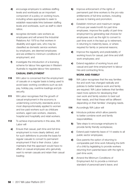- d) encourage employers to address staffing levels and workloads as an important component of a policy on working hours, including where appropriate to seek to establish reasonable links between staffing levels and workloads, such as staff to client ratios;
- e) recognise domestic care workers as employees and will amend the Industrial Relations Act 1979 so that workers in disability and aged care, who may be classified as domestic service workers by employers, are deemed employees and are entitled to minimum conditions of employment; and
- f) investigate the introduction of a licensing scheme for labour hire agencies in Western Australia to regulate labour hire operators;

#### **CASUAL EMPLOYMENT**

- 110 WA Labor is concerned that the employment of casuals on a regular basis is being used to avoid basic working conditions such as sick pay, holiday pay, overtime loadings and job security.
- 111 WA Labor recognises that the growth of casual employment in the economy is undermining community standards and is most disproportionately applied to women and low paid workers such as childcare workers, aged care workers, cleaners, hospital and hospitality and retail workers.
- 112 To achieve improvements in this area, WA Labor will
	- a) Ensure that casual, part-time and full-time employment is more clearly defined, and for such definitions to provide the basis for regular casuals to convert to permanent employment if that is their choice. Labor maintains that this approach would have no effect on casual employees who genuinely want to remain casuals and retain their casual loading;
- **b)** Improve enforcement of the rights of permanent part-time workers to the pro-rata entitlements of full-time workers, including access to training and promotion;
- c) Establish minimum and maximum ranges of hours per week/month for part-time employees. improve the quality of part-time employment by generating real choices for employees such as the right to convert to part-time work in the lead up to retirement, in returning to maternity leave, or where required for family or personal reasons;
- d) Improve the regularity and predictability of working hours for casual, part-time and shift work employees; and
- e) Extend regulation of working hours and casual and part-time employment to labour hire and contracting firms.

#### **WORK AND FAMILY**

- **113** WA Labor recognises that the way families live and work has changed radically and policies to better balance work and family are required. WA Labor believes that families need more options for developing their own work and family solution to best suit their needs, and that these will be different depending on their families' changing needs.
- 114 Accordingly WA Labor will
	- a) Introduce policies which allow parents to better combine work and family responsibilities;
	- **b)** Take steps to encourage employers to provide family friendly workplaces;
	- c) Extend paid maternity leave of 14 weeks to all public sector employees;
	- d) Give parents the option of returning to comparable part-time work following the birth of a child by legislating to provide workers returning from parental leave with the right to part-time work;
	- e) Amend the Minimum Conditions of Employment Act to provide a minimum standard of personal/carer's leave; and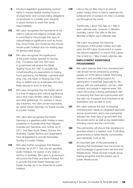- for general retail shops. **116** WA Labor recognises the significance of the public holiday granted for Boxing Day. Consistent with this, WA Labor
	- in government will amend the Retail Trading Hours Act 1987 to provide that, notwithstanding any exemptions to trading hours granted by the Minister, a general retail shop may only trade on Boxing Day if the shop is staffed only by employees who have freely elected to work on that day.

f) Introduce legislation guaranteeing workers' rights to request flexible working hours or arrangements, and corresponding obligations on employers to consider such requests to assist workers to meet their family

115 WA Labor recognises the importance of our

nation's cultural and religious heritage and is committed to the principle that days of cultural/religious significance such as Anzac Day, Good Friday and Christmas Day should remain public holidays and non-trading days

responsibilities.

117 WA Labor recognises that the Easter period is a time of religious and cultural significance and a time many families utilise for holidays and other gatherings. For workers in sevenday industries, this often proves impossible, as neither Easter Saturday nor Easter Sunday is a public holiday.

> WA Labor also recognises that Easter Saturday is a gazetted public holiday in every jurisdiction in Australia other than Western Australia and Tasmania; and, further, as of 2017, that New South Wales, Victoria, the Australian Capital Territory and Queensland have all legislated to provide that Easter Sunday is a public holiday.

**118** WA Labor further recognises that Western Australia, as of 2017, has only ten gazetted public holidays, the lowest of any state or territory in Australia. WA Labor in government will amend the Public and Bank Holidays Act to provide that both Easter Saturday and Easter Sunday are to be observed as public holidays.

119 Labour Day (or May Day) is an annual public holiday which is held to celebrate the achievements of workers not only in Australia but throughout the world.

> Traditionally, Labour Day falls on 1 May in each calendar year. However, in Western Australia, Labour Day falls on the first Monday of March each calendar year.

WA Labor recognises the historical importance of this public holiday and calls upon the WA Labor Government to review the relevant legislation to ensure that Labour Day is held on 1 May of each calendar year.

#### **EMPLOYMENT ASSISTANCE PROGRAMMES**

- 120 WA Labor believes that a low unemployment rate should not be achieved by pushing people out of the labour market. Removing barriers to and providing support for participation is essential, especially for the groups with low participation; women, older workers, and people in regional areas. WA Labor will pursue a strong participation rate by ensuring that there are opportunities and the right mix of support and incentives for all Australians who are able to work.
- 121 WA Labor believes the task of reducing unemployment needs an integrated approach across government, and a new partnership between the three tiers of government and the private sector as well as key stakeholders including unions and the community.
- 122 This partnership will ensure that assistance is provided where it is needed most. It will allow governments to better identify communities and individuals most at risk.
- 123 An important part of this partnership is ensuring that businesses have full access to, and knowledge of government services and infrastructure. These services include group training programs and the pooled use of public infrastructure.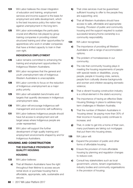- 124 WA Labor believes the closer integration of education and training, employment services and income support is the basis for employment and skills development, which is the best insurance policy the nation has against unemployment in the long term.
- **125** WA Labor acknowledges the particularly crucial and effective role played by group training companies in providing rotated structured training and other opportunities for apprentices who work in smaller companies that have a limited capacity to train in their own right.

#### **INDIGENOUS EMPLOYMENT**

- **126** Labor remains committed to enhancing the training and employment opportunities for Indigenous Western Australians.
- 127 WA Labor recognises that the general and youth unemployment rate of Indigenous Western Australians is unacceptable.
- **128** WA Labor commits to focus on the reduction of Indigenous unemployment as a major policy priority.
- **129** WA Labor will establish benchmarks and targets that quantify decreases in Indigenous unemployment rates.
- 130 WA Labor will encourage Indigenous selfmanagement and economic self-sufficiency.
- 131 WA Labor believes Indigenous people should have full access to employment and will target areas where Indigenous people are under represented.
- **132** WA Labor will support the further development of high quality training and employment environments shaped by and for Indigenous Australians.

#### HOUSING AND CONSTRUCTION

# **THE EQUITABLE PROVISION OF QUALITY HOUSING**

#### **HOUSING**

- 133 WA Labor believes:
	- a) That all Western Australians have the right throughout their lifetime to access secure rental stock or purchase housing that is affordable, appropriate, safe, sustainable and secure;
- **b)** That crisis services must be guaranteed sufficient housing to offer to the people they are supporting; and,
- c) That all Western Australians should have access to safe, affordable and appropriate housing. Provision of public and community housing and the support required to sustain successful tenancy/home ownership is a community responsibility.
- 134 WA Labor recognises:
	- **a)** The importance of providing all Western Australians with a range of accommodation options;
	- **b)** The problem of homelessness in our community;
	- c) The role that community housing plays in meeting the housing requirements of people with special needs or disabilities, young people, people in housing crisis, seniors, people from culturally diverse backgrounds and women and children escaping domestic violence;
	- d) That a vibrant housing construction industry is a critical element in the state's economy;
	- e) The importance of having an effective State Housing Strategy in place to address longterm challenges in Western Australia;
	- f) That the number of Western Australians in 'housing stress' (ie paying more than 30% of their income in housing costs) continues to increase; and
	- g) That, in order to get into a home of their own, many purchasers are taking out mortgages that put them into housing stress.
- 135 WA Labor will:
	- **a)** Expand the provision of public and other forms of affordable housing;
	- **b)** Ensure the provision of more affordable housing by planning and regulation changes to reduce cost;
	- c) Consult key stakeholders such as local government, unions, tenant organisations, industry bodies and community organisations in the provision of housing;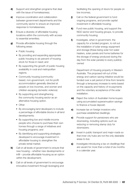- d) Support and strengthen programs that deal with the issue of homelessness;
- e) Improve coordination and collaboration between government departments and the community sector to ensure an improved response to homelessness;
- **f)** Ensure a diversity of affordable housing locations within the community with access to essential amenities;
- g) Provide affordable housing through the following areas:
	- Public housing
	- By providing and expanding appropriate public housing to six percent of housing stock for those in need; and
	- By supporting the growth of public housing availability in rural and metropolitan regions.
	- Community housing (communitybased, non-government, not-for-profit accommodation generally directed at people on low incomes, and women and children escaping domestic violence)
	- By supporting and strengthening the community housing sector as an alternative housing option.
	- Other
	- By encouraging land developers to include a percentage of affordable blocks in all land developments;
	- By supporting low and middle-income people who choose to purchase their own homes through a range of initiatives and housing programs; and
	- By identifying and supporting strategies developed to encourage investment in affordable housing to strengthen the private rental market.
- **h)** Call on all levels of government to ensure that new housing – whether new developments or infill – provide affordable housing as an option within the development;
- i) Call on all levels of government to encourage innovative investment through leveraging and

facilitating the opening of doors for people on low incomes;

- j) Call on the federal government to fund ongoing programs, and provide capital investment in affordable housing;
- k) Fund new public housing, and support the NGO sector and housing groups, to provide community housing;
- **l)** Investigate, when in government, the capacity for a funded program, to roll out the installation of solar energy equipment and storage (these being solar hot water heaters, solar panels and home batteries for the storage of energy produced during the day from the solar panels) to every publiclyowned

Department of Housing property in Western Australia. The proposed roll-out of this energy and carbon saving initiative would be funded over a set period of time from tenants through a temporary increase to rents based on the capacity and history of re-payments and the voluntary acceptance of the solar installation.

- **m)** Reject the notion of Australian home buyers using accumulated superannuation savings to finance a house deposit;
- **n)** Increase tax on foreign investors who purchase established dwellings;
- **o)** Provide support for pensioners who are downsizing, including options such as reducing or removing stamp duty for downsizers;
- **p)** Invest in public transport and major roads so that inner city hubs are not the only desirable areas to live;
- q) Investigate introducing a tax on dwellings that are vacant for more than a total of six months in a calendar year.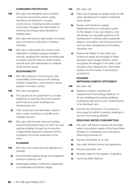#### **CONSUMER PROTECTION**

- **136** WA Labor will strengthen laws to protect consumers and ensure proper quality standards are enforced in housing constructions, including ensuring builders and project managers are responsible for achieving the energy rating stipulated in building plans.
- **137** WA Labor will ensure a high quality of housing and commercial construction in Western Australia.
- **138** WA Labor understands the current social dislocation, including ongoing changes in schools, resulting from families not being able to access long term secure rental housing and will work with stakeholders to address rental security issues.

#### **SUSTAINABILITY**

- **139** WA Labor believes in improving the total sustainability performance of all buildings, whether residential or commercial in nature, publicly or privately owned.
- 140 WA Labor recognises:
	- a) The opportunity for government to provide leadership in improving the environmental performance of public buildings and infrastructure; and
	- **b)** That construction and demolition waste is both a major contributor to landfill, and a valuable resource.
- 141 WA Labor will promote improved building environmental performance for both new and existing buildings through the introduction of appropriate regulatory measures and by increasing community awareness of the issue.

#### **PLANNING**

- 142 WA Labor will modify planning regulations to facilitate:
	- a) Environmental building design and integrated transport solutions; and
	- **b)** Sustainable building construction dependent on sustainable sub-division design.
- 143 WA Labor will:
	- a) Place new emphasis on greater levels of infill urban development to assist in restricting urban sprawl;
	- **b)** Review and introduce Liveable Neighbourhoods as a mandatory guide for the design of new sub-divisions, and will develop an equivalent guide for in-fill development in existing urban residential areas in consultation with local government and the urban development and building industries; and
	- c) Require the design of new urban subdivisions to apply the principles of Water Sensitive Urban Design (WSUD), which recognises the linkages in the water cycle between urban development, stormwater systems and the quality of downstream ecosystems.

#### **HOUSING IMPROVING ENERGY EFFICIENCY**

- 144 WA Labor will:
	- **a)** Develop a program requiring the measurement of the energy efficiency of all new dwellings and existing dwellings undergoing sale and for such measurements to be disclosed; and
	- **b)** Examine the introduction of incentives to encourage the retrofit of existing dwellings to become more energy efficient.

#### **REDUCING WATER CONSUMPTION**

- **145** WA Labor will strive to achieve the domestic water consumption targets of the State Water Strategy by maintaining, and if necessary, enhancing incentives to:
	- a) Harvest stormwater for re-use;
	- **b)** Use water efficient fixtures and appliances;
	- c) Recycle greywater; and
	- d) Minimise water for the irrigation of gardens.
	- e) Improving Water Balance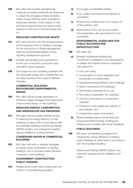146 WA Labor will consider strengthening measures to require residential developments to adopt the principles of Water Sensitive Urban Design (WSUD), which provides for temporary retention of stormwater on site and hence approximates the natural water balance on-site prior to the land being built on.

#### **REDUCING CONSTRUCTION WASTE**

- **147** WA Labor will work with the housing industry and local government to develop a strategy for the introduction of Waste Management Plans for all residential building activity requiring development approval.
- **148** Develop specifications and applications for the use of recycled construction and demolition waste materials;
- **149** Encourage the use of building materials with low embodied energy and materials that can be easily recycled and re-used in Western Australia.

#### **COMMERCIAL BUILDINGS ENCOURAGING ENVIRONMENTAL DESIGN**

**150** WA Labor will encourage developers to introduce design strategies that improve the environmental design of new buildings.

### **REDUCING ENERGY CONSUMPTION AND GREENHOUSE GAS EMISSIONS**

**151** WA Labor will encourage building owners to measure the energy efficiency of their buildings by rating them in accordance with the Australian Building Greenhouse Ratings (ABGR) System, and making the resulting reports available to building tenants.

### **CONSERVING WATER IN COMMERCIAL BUILDINGS**

**152** WA Labor will work to develop strategies to reduce water consumption in existing buildings, and to introduce water efficiency measures in new buildings.

### **GOVERNMENT CONSTRUCTION PUBLIC TENDERS**

**153** Tenders let by a WA Labor Government will conform to the following principles:

- a) Encourage a contestable market;
- **b)** Price, quality of product and timeliness of completion;
- c) Observe the conditions set out in clause 24 of this platform; and
- d) Maximisation of the use of local content that guarantees a fair opportunity for local businesses.

### **ENVIRONMENTAL GUIDELINES FOR PUBLIC BUILDINGS AND INFRASTRUCTURE**

- 154 WA Labor will
	- a) Develop Sustainable Building and Construction Guidelines to provide guidance on design and require minimum standards with respect to:
		- Life cycle costs;
		- Conservation of native vegetation and biodiversity on building sites;
		- Operational energy efficiency (for buildings);
		- Water consumption (for buildings);
		- Stormwater harvesting for re-use;
		- Re-cycling of greywater (for buildings);
		- The Life Cycle impact of construction materials;
		- Protection of the quality and quantity of groundwater; and
		- Construction waste minimisation.
	- **b)** Where possible ensure that all state and local government housing, building and infrastructure complies with these Guidelines.

### **PUBLIC BUILDINGS**

**155** WA Labor will develop a programme to measure the energy efficiency of existing public buildings by rating them in accordance with the Australian Building

> Greenhouse Ratings (ABGR) System, and make the resulting reports available to the public.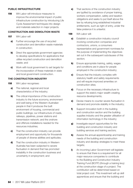#### **PUBLIC INFRASTRUCTURE**

**156** WA Labor will introduce measures to improve the environmental impact of public infrastructure construction by introducing Life Cycle Assessment techniques into design and materials selection in major projects.

#### **CONSTRUCTION AND DEMOLITION WASTE**

- 157 WA Labor will
	- a) Further encourage the use of recycled construction and demolition waste materials in construction;
	- **b)** Direct the appropriate government agencies to develop specifications for applications that utilise recycled construction and demolition waste; and
	- c) Work with local government to set targets for the incorporation of these materials in state and local government construction.

### **THE CONSTRUCTION INDUSTRY**

- **158** WA Labor recognises:
	- a) The national, regional and local characteristics of the industry;
	- **b)** The critical importance of the construction industry to the future economy, environment and well being of the Western Australian people in that it produces the built environment of housing, commercial and public buildings; our infrastructure of roads, railways, pipelines, power stations and transmission network; and the onshore and offshore installations needed for the resources industries;
	- c) That the construction industry can provide employment and opportunity for thousands of people of diverse abilities and aptitudes;
	- d) That the construction industry in Western Australia has been subjected to severe fluctuation in demand that has promoted instability in the construction business and uncertainty in employment; and
- e) That sections of the construction industry are typified by avoidance of proper training, workers compensation, safety and taxation obligations and seeks to put itself above the law by refusing long established industrial entitlements, such as right of entry, under the false pretence it is unlawful.
- 159 WA Labor will:
	- a) Establish a construction industry council involving construction companies and contractors, unions, a consumers representative and government nominees for the purpose of implementing the objectives set out in the subsequent subclauses of this section;
	- **b)** Ensure appropriate training, safety, wages and conditions are in place for people employed in the construction industry;
	- c) Ensure that the industry complies with statutory health and safety requirements and will require improved amenities on construction sites;
	- d) Focus on the necessary infrastructure to support the state's major wealth creating resource developments;
	- e) Devise means to counter severe fluctuation in demand and promote stability in the industry;
	- f) Support innovation both in the building and construction section and the building supplies industry and the greater utilisation of information technology in the industry;
	- **g)** Investigate export opportunities for the building and construction industry and building services and training sectors;
	- **h)** Assess the annual apprenticeship and training needs of the building and construction industry and develop strategies to meet these targets;
	- i) An incoming Labor Government will legislate to ensure that there is a requirement for all major resource companies to contribute to the Building and Construction Industry Training Fund (BCITF) (through a training levy) at the construction stage of a project. The contribution will be determined based on total project cost. This investment will up skill apprentices and ensure that the building and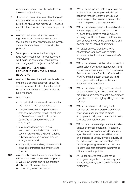construction industry has the skills to meet the needs of the future;

- j) Reject the Federal Government's attempts to interfere with industrial relations in this state by making divisive and regressive IR policies a contractual condition on Federal projects in WA;
- k) WA Labor will establish a mechanism to regulate labour hire companies, to ensure that proper industry benchmark employment standards are adhered to on construction projects.
- **l)** Develop and implement a licensing and registration requirement for tradespersons working in the commercial construction sector engaged on projects over \$5 million.

### **INDUSTRIAL RELATIONS PROMOTING FAIRNESS IN LABOR RELATIONS**

- **160** WA Labor believes that the industrial relations system is a defining statement about the society we want. It helps characterize both our society and the community values we hold important.
- 161 WA Labor will:
	- hold principal contractors to account for the actions of their subcontractors;
	- analyse the benefit of implementing a statutory requirement for a trust scheme on State Government jobs to protect payments to contractors and their employees;
	- implement effective government sanctions on principal contractors that use companies who engage in pyramid subcontracting and sham contracting arrangements; and
	- apply a vigorous auditing process to hold principal contractors and employers to account.
- **162** WA Labor believes that co-operative labour relations are essential to the development of Western Australia and to the equitable distribution of increased benefits, opportunities, wealth and income.
- **163** WA Labor recognises that integrating social justice with economic prosperity is best achieved through fostering constructive relationships between employees and their unions, employers, and governments.
- **164** WA Labor believes constructive relationships in the workplace will be best achieved by good faith collective bargaining over working conditions.. Those conditions are best secured by collective agreements and awards, not by individual contracts.
- **165** WA Labor believes that strong right of entry laws for unions lead to better industrial protections for workers and safer workplaces.
- **166** WA Labor believes that the industrial relations commission plays a vital independent role in our industrial relations system. The Western Australian Industrial Relations Commission (WAIRC) must be easily accessible to all employees and employers in the state industrial relations system.
- **167** WA Labor believes that government should be a model employer and is committed to maintaining core employment in government agencies to produce high quality government services.
- **168** WA Labor believes that quality public services are best delivered by government encouraging and maintaining direct employment in all government departments, agencies and corporations.
- **169** WA Labor will ensure all government bodies behave as model employers. Accordingly management of government departments, agencies and corporations will be based on principles of justice, fairness, equality of opportunity and anti discrimination. As a model employer government will also act to set the highest standards in promoting affirmative action policies.
- **170** WA Labor believes that justice for all employees, regardless of where they work, is best secured by strong unfair dismissal protections.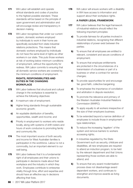- 171 WA Labor will establish and operate ethical standards and codes of practice to the highest possible standard. These standards will be based on the principle of open government and administration and will encourage review and transparency in decision making.
- **172** WA Labor recognises that under our current system, domestic workers employed by individuals to work in their home are specifically excluded from state industrial relations protections. This means that domestic workers employed by individuals do not have the same level of rights as other workers in our state. This puts those workers at risk of working below minimum conditions of employment, without the opportunity for redress. WA Labor commits to ensuring that all domestic service workers are covered by the minimum conditions of employment.

### **RIGHTS, RESPONSIBILITIES AND DUTIES IN THE CHANGING WORKPLACE**

- **173** WA Labor believes that structural and cultural change in the workplace is essential to achieve the following objectives:
	- a) A maximum rate of employment;
	- **b)** Higher living standards through sustainable economic growth;
	- c) An equitable distribution of benefits, opportunities, wealth and income; and
	- d) Priority in employment to workers who reside locally, along with systems of shift rosters and hours of work conducive to promoting family and community life.
- **174** The most important source of both security and income for West Australian families is participation in the workforce. Labour is not a commodity, but an important element to our well being.
- **175** WA Labor believes that it is a fundamental right of all employees and their unions to participate in decisions made about their workplace and the industry in which they work. Employees contribute to enterprise vitality through time, effort and expertise and should have an effective say in decisions affecting their lives.

**176** WA Labor will ensure workers with a disability in WA have access to information and support about their workplace rights.

### **A FAIRER LEGAL FRAMEWORK**

- **177** WA Labor believes that the legal framework of industrial relations should reflect the following important principles:
	- **a)** To provide fairness for all parties involved in industrial relations, recognising that different relationships of power exist between the parties;
	- **b)** To ensure that all employees are entitled to relevant, consistent and secure conditions of employment;
	- c) To ensure that employee entitlements are protected in the circumstances of a transmission of a business or part of a business or when a contract for service changes;
	- d) To provide opportunities for and encourage fair, good faith, collective bargaining;
	- e) To emphasise the importance of conciliation and arbitration in dispute resolution;
	- f) To promote the relevance and primacy of the Western Australian Industrial Relations Commission (WAIRC);
	- g) To apply equally to all workers irrespective of the size of their employers business;
	- h) To be extended beyond a narrow definition of employees to include those in employmenttype relationships;
	- i) To reduce the increasing 'legalism' of the system and remove barriers to workers accessing rights;
	- i) In industries regulated by the State Government such as security, childcare and disabilities, all new employees are required to attend an induction program, to be held by the relevant department and that Unions representing those workers are able to attend; and
	- k) To ensure that any award modernisation process does not disadvantage award dependent workers, and continues to strengthen and improve awards as living documents.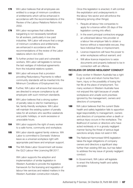- **178** WA Labor believes that all employees are entitled to a range of minimum conditions of entitlements which will be enhanced in accordance with the recommendations of the Review of the Labour Relations Reform Act 2002.
- **179** WA Labor recognises that collective bargaining is not necessarily beneficial for all workers, particularly in low paid industries. WA Labor will ensure that a range of minimum conditions and entitlements are enhanced in accordance with the recommendations of the review of the Labor relations reform Act 2002.
- **180** To further protect low paid and vulnerable workers, WA Labor will legislate to remove the last vestiges of individual agreements from the industrial relations system.
- **181** WA Labor will ensure that a provision providing Redundancy Payments to reflect community standards will be inserted into the Minimum Conditions of Employment Act.
- **182** Further, WA Labor will ensure that resources are directed to ensure compliance by all employers with such minimum standards.
- **183** WA Labor believes that a strong system of penalty rates is vital for maintaining a fair, family-friendly workplace. WA Labor will maintain the existing system of penalty rates for all workers who sacrifice weekends and public holidays, or work excessive or unsociable hours.
- **184** WA Labor supports the right of every worker to a safe home, community and workplace.
- 185 WA Labor stands against family violence. WA Labor is committed to Domestic Violence leave as a universal workplace right with appropriate paid leave and employer support.
- **186** The WA State Labor Government will review the QLD Labour Hire Licencing Bill 2017.

WA Labor supports the adoption and implementation of similar legislation in Western Australia to provide the legislative framework for the licensing and regulation of labour hire services and related matters in the Western Australian construction industry.

Once this legislation is enacted, it will combat the exploitation and underpayments in the labour hire sector and will enforce the following (among other things):

- 1 . Require all labour hire companies to apply for a licence within 28 days of the legislation coming into effect;
- 2 . In the event principal contractors engage an unlicensed labour hire provider or a labour hire employer fails to obtain a licence without a reasonable excuse, they face individual fines or imprisonment;
- 3 . Licence inspectors will have the power to enter workplaces without warrant; and
- 4 . Will allow licence inspectors to seize documents and property believed to be in connection with an offence.

### **RECKLESS OR GROSS NEGLIGENT CONDUCT**

- **187** Every worker in Western Australia has a right to go to work and return home free from harm, injury or the possibility of losing his/ her life at the place of employment. Too many workers in Western Australia have not enjoyed this right because of unsafe workplaces and unsafe work practises ignored by the management, owners and directors of companies.
- **188** WA Labor believes that the current State health and safety legislation fails to apportion legal responsibility to management, owners and directors of companies when a death or serious injury occurs in the workplace. The likelihood of owners or directors who have acted recklessly or in a grossly negligent manner facing the threat of serious legal sanctions simply does not exist in WA.
- **189** The National Harmonised WHS legislation takes the legal obligations of company owners and directors a significant step further than existing WA law, but has failed to address the key issue of grossly negligent conduct.
- 190 In Government, WA Labor will legislate to enact the following health and safety principles: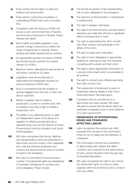- a) Every worker has the right to a safe and healthy work environment;
- **b)** Every person conducting a business or undertaking (PCBU) has a duty to provide this;
- c) Compliance with this duty by a PCBU will ensure a work environment free of hazards and thus free of exposure to hazards, illness, disease and death;
- d) Work Health and Safety legislation must provide a range of sanctions to reflect the range of expeosures to hazards, illness, disease and death experienced by workers;
- e) An appropriate sanction for breach of WHS law should include a jail term for seniors officers of a PCBU;
- f) Maximum terms, reflecting the seriousness of the breach, should be 20 years;
- **g)** Legislation must ensure that jail is a reasonable and foreseeable prospect for serious breaches of WHS duty;
- **h)** Acts or ommissions that are reckless or grossly negligent form the test of what may attract a jail term;
- i) Where a regulator fails to initiate a prosecution, a union or another party with an interest must have a right to initiate a prosecution; and
- j) The ability of any affected person to seek an independent review of the failure of a regulator to initiate a prosecution (by a separate body, such as the Director of Public Prosecutions) must be included in any future WHS legislation.
- 191 WA Labor recognises that strong, effective and representative unions are essential for a democratic and just society. Union delegates are a vital link between employers and workers and ensure that the voice of workers is heard in the workplace
- **192** WA Labor is committed to ensuring that a number of fundamental rights are established in Australian workplaces for workers and union delegates. These include:
- a) The formal recognition of the representative role of union delegates in the workplace;
- **b)** The absence of discrimination or harassment in employment;
- c) The right to bargain collectively;
- d) The right to be informed and consulted before decisions are made that will have a significant effect on employment or work;
- e) The right to reasonable time off to consult with other workers and participate in the affairs of the union;
- f) The right to trade union education;
- g) The right of union delegates to appropriate facilities for carrying out their role including consulting with workers and their union;
- **h)** The right to place appropriate information on a secure notice board which is accessible to all workers;
- i) The right to consult union officials exercising their right of entry; and
- **j)** The requirement of employers to pass on employees banking details to their Union where permission has been given.
- **193** Consistent with its commitment to a democratic and open society, WA Labor will seek to ensure that the above rights are enshrined in legislation and in other initiatives of a Labor government.

### **OBSERVANCE OF INTERNATIONAL ISSUES AND STANDARDS AFFECTING LABOUR**

- **194** Labor recognises that workers are often excluded from access to the Commission if they do not fit neatly into the definition of 'employee'.
- **195** The Commission should have jurisdiction to deal broadly with matters that affect 'workers' and contracts for the performance of work, and/or situations that may give rise to industrial disputation.
- **196** WA Labor recognises the right to join unions, the democratic rights of unions to freely organise within the workforce and to conduct their own affairs.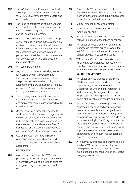- **197** The WA Labor State Conference applauds the support of the Gillard Government in the ASU's equal pay case for the social and community services sector.
- **198** The trend to casualisation of the workforce and other forms of precarious employment should be discouraged in preference for secure, quality employment.
- 199 WA Labor believes that legal action arising out of industrial relations matters should be confined to the industrial tribunal system, where the determination of matters is done fairly, efficiently and between informed parties. In contrast the civil courts are often complicated, costly, rigid and unable to resolve problems.
- 200 WA Labor believes that:
	- a) Legislation must require that all agreements are open to scrutiny, reviewable and fair. Furthermore, WA statute will reflect the primacy of collective bargaining in accordance with ILO convention 87 and ILO convention 98 and a Labor government will actively promote that principle;
	- **b)** Enterprise agreements and industry wide agreements, negotiated with trade unions and employees must be underpinned by the award safety net;
	- c) Unions must have reasonable access to workplaces for the purposes of organisation, recruitment and assistance to workers. This includes the right to convene meetings with members and potential members free of intimidation and without the attendance by employers and/or their representatives; and
	- d) ALL employees must have legislative protection against unfair dismissal and access to adequate compensation where appropriate.

#### **PAY EQUITY**

201 WA Labor is concerned that WA has a persistently higher gender gap than the rest of Australia, and will take action to bring the average earnings of men and women into line.

- **202** Accordingly WA Labor believes that an Equal Remuneration Principle ought to be inserted in the state wage fixing principles for application when the Commission:
	- a) Makes, amends or reviews awards;
	- **b)** Arbitrates industrial disputes about equal remuneration; and
	- c) Values or assesses the work of employees in 'female' industries, occupations or callings.
- **203** WA Labor believes that, when determining increases in the state minimum wage, the WAIRC must include the need to reduce the gender pay gap in its considerations.
- 204 WA Labor in Government commits to fully funding any pay increases required by the social and community services sector arising from the current national pay equity case.

### **VALUING DIVERSITY**

- 205 WA Labor believes that the employment of bilingual workers within all Government departments, especially within the Department of Employment Protection, is vital in ensuring that migrants from non-English speaking backgrounds are made aware of their rights and service entitlements.
- 206 WA Labor believes these bilingual workers in appropriate positions and agencies should take a proactive role in educating migrants of culturally and linguistically diverse (CaLD) backgrounds about employment standards in industries employing CaLD migrants, such as the contract cleaning industry and outwork sector of the clothing industry. It is particularly important to ensure relevant government departments and instrumentalities facilitate access to information.
- **207** All industrial awards and agreements entered into by a WA Labor Government should make provision for employees who have such a need to undertake English as Second Language instruction.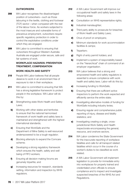### **OUTWORKERS**

- **208** WA Labor recognises the disadvantaged position of outworkers—such as those labouring in the textile, clothing and footwear (TCF) sector—when compared with the rest of the labour force. As workers subjected to the most insecure and vulnerable forms of precarious employment, outworkers require specific regulatory protection in order to control the exploitative conditions under which they are engaged.
- **209** WA Labor is committed to ensuring that outworkers throughout Western Australia Australia are engaged under secure, safe and fair systems of work.

# **WORKPLACE HAZARDS: PREVENTION TREATMENT, COMPENSATION**

#### **WORK HEALTH AND SAFETY**

- 210 People WA Labor believes that all people deserve to work in an environment free of exposure to risk in their workplace.
- 211 WA Labor is committed to ensuring that WA has a strong legislative framework to protect people in the workplace. WA Labor will do this by:
	- a) Strengthening state Work Health and Safety Laws;
	- **b)** Working with other states and territories to ensure that the national harmonised framework of work health and safety laws is maintained and strengthened with the highest international standards;
	- c) Ensuring that WorkSafe and the Department of Mine Safety is well resourced andempowered to be a tough regulator;
	- d) Blocking attempts to expand the Comcare scheme;
	- e) Developing a strong regulatory framework which ensures the health, safety and well being of FlFO workers;
	- f) Ensuring all decision making forums are genuinely tripartite; and
	- g) Increasing resources for research, standards setting, information and inspection by WHS regulators.
- 212 A WA Labor Government will improve our occupational health and safety laws in the following areas:
	- a) Consultation on WHS representative rights;
	- **b)** Industrial manslaughter;
	- c) Third party ability to prosecute for breaches of Work Health and Safety Laws;
	- d) Onus of proof on employers;
	- e) Minimum standards for work accommodation facilities & camps;
	- f) Tripartism;
	- g) Right of entry permit holders; and
	- h) Implement a system of responsibility based on the "hierarchical" chain of command of an employer organisation.
- 213 WA Labor believes that a strong and empowered health and safety regulators is essential to ensure compliance with work health and safety laws. Labor will do this by:
	- a) Increasing funding to WorkSafe;
	- **b)** Ensuring that there are sufficient active inspectors to perform the work expected and efficiently service the entire state;
	- c) Investigating alternative models of funding for WorkSafe including industry levies;
	- d) Ensuring regular and comprehensive public reporting of injury, disease and fatality statistics; and
	- e) Investigating creating a single, crossjurisdictional Work Safety and Health inspectorate encompassing the general, resource, and onshore sectors.
- 214 WA Labor condemns the State Government for the inaccurate reporting of workplace fatalities and calls for all transport related fatalities which occur in the course of a worker's duties to be classified as work related.
- 215 A WA Labor Government will implement legislation to provide for immediate entry into workplaces for properly trained and credentialed union officials to ensure compliance and to inspect and investigate suspected breaches of the WHS Act and Regulations.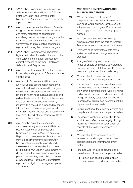- 216 A WA Labor Government will advocate for Safe Work Australia and National Offshore Petroleum Safety and Environmental Management Authority to become genuinely tripartite bodies.
- **217** WA Labor recognises that Western Australia is lagging behind international work health and safety regulators at appropriately classifying cancer causing carcinogens in the workplace and commitments a WA Labor Government to implementing appropriate regulation to recognise these carcinogens.
- 218 A WA Labor Government will implement legislation to allow for trade unions and other third parties to bring about prosecutions against breaches of the Work Health and Safety Act and Regulations.
- 219 WA Labor will legislate in its first term to make industrial manslaughter an Offence under the criminal code.
- 220 WA Labor in Government will introduce an inclusive and secure health monitoring regime for all workers exposed to dangerous materials and substances known to have long term health risks such as asbestos and radioactive isotopes for the life of the worker and that this be fully cost recovered by industry. This should be supported by annual full medicals for these employees whilst working in these industries and 5 yearly once they leave the industry for their whole life at no cost to the worker.
- 221 WA Labor believes that an open and transparent safety environment will deliver better outcomes for employees and businesses working in Western Australia. Reports and managements plans that result from a legislative framework or statutory body or officer are public property and therefore should be available for scrutiny by the public. WA Labor in Government will do everything that is necessary to ensure proper parliamentary and public scrutiny of all Occupational Health and Safety related reports, investigations, management plans and statistics.

# **WORKERS' COMPENSATION AND INJURY MANAGEMENT**

- 222 WA Labor believes that workers' compensation should be available on a nofault basis where an injury "arises out of or in the course of employment", even where it is the aggravation of an existing injury or disease.
- 223 WA Labor believes that the following principles should form the core of Western Australia's workers' compensation scheme:
	- a) Premiums must recover the costs of the system as well as encourage safe work practices;
	- **b)** A range of statutory and common law remedies should be available to injured and diseased workers. Statutory benefits must be measured by thelr equity and adequacy;
	- c) Workers should have equal access to workers compensation regardless of age;
	- d) That workers' compensation self-insurance should only be available to employers who show strong commitment to workers' rights and occupational health and safety and that mange regulatory safeguards are needed to ensure that current self-insurers meet the highest possible standards;
	- e) Unions must have the power to enforce noncompliance with workers compensation law;
	- f) The dispute resolution System should be a quick, easy, effective and legally binding mechanism to resolve disputes about all aspects of the workers' compensation system;
	- g) Workers should have the right to be represented in all stages of the workers compensation and injury management system;
	- **h)** Return to work should be elevated as a central tenant of workers compensation by:
		- i) placing an absolute obligation on employers to provide suitable duties;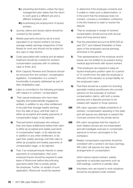- ii) preventing termination unless the injury management plan states that the return to work goal is a different job and a different employer; and
- **iii**) incentivising the employment of injured workers.
- i) Journey claims and recess claims should be covered by the system;
- j) Weekly payments should be set at a level equivalent to an injured worker's ore-injury average weekly earnings irrespective of their fitness for work and should not be subject to any caps or step-downs;
- k) Costs associated with medical and all related treatment should be covered for workers' compensation purposes with no arbitrary caps or limits; and,
- **I)** Work Capacity Reviews and Decisions should be removed from the workers' compensation legislation. Consideration of a worker's functionality is properly addressed as part of their rehabilitation plan.
- 224 Labor is committed to the following principles with respect to workers' compensation:
	- a) That casual employees who have been regularly and systematically engaged be entitled, in addition to any other entitlement, to be paid their average weekly earnings from the date of injury until their claim is either (a) accepted and weekly payments of compensation begin, or (b) rejected.
	- **b)** That permanent employees who exhaust their sick leave entitlements before their claim is either (a) accepted and weekly payments of compensation begin, or (b) rejected are, in addition to any other entitlement, to be paid their weekly earnings until their claim is either (a) accepted and weekly payments of compensation begin, or (b) rejected.
	- c) That, if an employer/insurer intends to cease payments of compensation, then such employer/insurer should be required to seek leave of Workcover before discontinuing payments rather than to simply advise the employee. Further, on receipt of such application, Workcover would be required

to determine if the employee consents and, if unable to make such a determination, or in the event that the employee does not consent, convene a conciliation conference in the first instance to seek to resolve the dispute.

- d) That an employee in receipt of workers' compensation should accrue both annual leave and long service leave.
- e) That the prescribed amount be \$250,000 (in year 2017 and indexed thereafter) or three years of the employee's annual earnings, whichever is the greater.
- f) That representatives of the employer and/or insurer are not entitled to be present during medical appointments with injured workers.
- g) That employers are required to keep an injured employee's position open for a period of 12 months from the date the employee is informed of the decision to accept liability for the employee's claim.
- **h)** That there should be a system for licensing specialist medical practitioners who provide opinions for the purposes of workers' compensation claims, with both a review process and a disputes process to be created with respect to those opinions.
- 225 WA Labor opposes multiple jurisdictions of workers' compensation operating in this state and will oppose any attempts to expand the Comcare scheme into the private sector.
- 226 WA Labor recognises that the majority of work related cancers are uncompensated and will investigate avenues to compensate exposure to known carcinogens in the workplace.
- 227 Weekly compensation payments should be consistent with a worker's ore-injury earnings. WA Labor will oppose any step down arrangements to compensation

which reduce injured workers' weekly payments or excludes payments such as shift loadings, overtime or penalty rates.

228 Volunteers who are injured in work situations should be recognised under workers'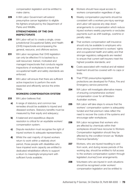compensation legislation and be entitled to make claims.

229 A WA Labor Government will extend presumptive cancer legislation to eligible fire fighters employed by the Department of Parks and Wildlife.

# **STRENGTHENING OF THE OHS INSPECTORATE**

- **230** WA Labor will act to create a single, crossjurisdictional Occupational Safety and Health (OHS) Inspectorate encompassing the general, resource, and offshore sectors.
- 231 WA Labor recognises that OHS legislation can only be effective if it is backed by a well resourced, trained, motivated and managed inspectorate that conducts regular inspections of workplaces to ensure that occupational health and safety standards are enforced.
- 232 WA Labor will ensure that there are sufficient active inspectors to perform the work expected and efficiently service the entire State.

## **WORKERS COMPENSATION SYSTEM**

- 233 WA Labor believes that:
	- a) A range of statutory and common law remedies should be available to injured and diseased workers. Statutory benefits must be measured by their equity and adequacy;
	- **b)** A balanced and expeditious dispute resolution is critical for an equitable workers' compensation system;
	- c) Dispute resolution must recognise the right of injured workers to adequate representation;
	- d) Whilst the vast majority of injured workers return to work within a relatively short period, those people with disabilities who have impaired work capacity are entitled to dedicated rehabilitation efforts to support a return to meaningful employment with sufficient funds available;
- e) Workers should have equal access to workers compensation regardless of age;
- f) Weekly compensation payments should be consistent with a workers pre-injury earnings and Labor will oppose any step down arrangements to compensation which reduce injured workers weekly payments or excludes payments such as shift loadings, overtime or penalty rates;
- g) That workers compensation self-insurance should only be available to employers who show strong commitment to workers' rights and occupational health and safety and that stronger regulatory safeguards are needed to ensure that current self-insurers meet the highest possible standards; and
- h) Costs associated with medical and all related treatment should be covered with no caps or limits.
- i) That PTSD presumptive legislation protections are developed for Police, Fire and Emergency service personnel.
- 234 WA Labor will investigate alternative means of ensuring comprehensive workers' compensation cover for all Western Australian workers.
- 235 WA Labor will take steps to ensure that the workers' compensation system is adequately funded and that premium rates reflect the need to recover the costs of the systems and encourage safer workplaces.
- **236** WA Labor recognises that workers who are affected by chemicals within their workplaces should have recourse to Workers Compensation legislation should they be affected by the condition known as 'Multiple Chemical Sensitivity.'
- 237 Workers, who are injured travelling to and from work, and during recess periods of the working day, should be entitled to full access to the workers compensation system through legislated JourneyCover arrangements.
- **238** Volunteers who are injured in work situations should be recognised under workers' compensation legislation and be entitled to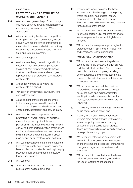make claims.

# **PROTECTION AND PORTABILITY OF WORKERS ENTITLEMENTS**

- 239 WA Labor recognises the profound changes that have occurred in working arrangements and working patterns for many Western Australians.
- **240** With an increasing flexible and competitive working environment many employees lack security with regard to their entitlements or are unable to accrue and attain the ordinary entitlements accepted as a basic right in full time long term employment.
- 241 WA Labor supports:
	- a) Workers exercising choice in regard to the security of their entitlements, particularly the use of ''not for profit'' industry based trust funds with employer and employee representation that provides 100% accrued entitlements;
	- **b)** Choice for workers as to where their entitlements are placed;
	- c) Portability of entitlements, particularly long service leave; and
	- d) Establishment of the concept of service to the industry as opposed to service to individual employers as a basis for accruing entitlements, particularly long service leave.
- **242** WA Labor believes in supporting and promoting by award, arbitral or legislative means the portability of entitlements, particularly in the industries with high levels of casual part time limited duration employment, cyclical and seasonal employment patterns multi-employer engagements, high labour mobility and multi-employer work patterns.
- 243 WA Labor recognises that the current Liberal Government public sector wages policy has been applied inconsistently, resulting in equity between public sector groups, particularly lower wage earners.
- 244 WA Labor will:
	- a) immediately review the current government's public sector wages policy; and
- **b)** properly fund wage increases for those workers most disadvantaged by the policy, where this policy has created inequity between different public sector groups. These increases will remove inequity between those public sector groups.
- 245 WA Labor will work with industry and unions to develop portable LSL schemes for private sector employment areas with high labour turnover.
- 246 WA Labor will ensure presumptive legislation protections for PTSD illness for Police, Fire and Emergency Service personnel.

## **PUBLIC SECTOR EMPLOYMENT**

- 247 WA Labor will amend relevant legislation, such as the Public Sector Management Act and the Industrial Relations Act, to ensure that public sector employees, including Senior Executive Service employees, have access to the industrial relations tribunal for all industrial matters.
- **248** WA Labor recognises that the previous Liberal Government public sector wages policy has been applied inconsistently, resulting in equity between public sector groups, particularly lower wage earners. WA Labor will:
	- a) immediately review the current government's public sector wages policy; and
	- **b)** properly fund wage increases for those workers most disadvantaged by the policy, where this policy has created inequity between different public sector groups. These increases will remove inequity between those public sector groups.
- **249** WA Labor will establish an agreement with relevant unions of government employees on the systems and processes for managing change and organisational reviews and structures.
- 250 WA Labor will, in consultation with relevant unions of government employees, review the use of labour hire, independent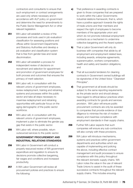contractors and consultants to ensure that such employment or contract arrangements are used only where necessary and in accordance with ALP policy on government and determine the need for amendments to the Public Sector Management Act or other relevant legislation.

- **251** WA Labor will establish a review of the processes and tools used in job evaluation/ classification for assessing positions and offices within Government Departments and Statutory Authorities and develop a job evaluation and classification system that is free from gender bias and racial discrimination.
- 252 WA Labor will establish a process for independent review of decisions on recruitment and selection for appointment and promotion of government employees for both process and outcomes that ensures the primacy of merit selection.
- **253** WA Labor will, in consultation with the relevant unions of government employees, review redeployment, training and retraining systems and processes within the public sector and take all steps necessary to maximise redeployment and retraining opportunities with particular focus on the aging demographic of the public sector workforce.
- **254** WA Labor will, in consultation with the relevant unions of government employees, implement a plan to eliminate the gender pay gap that exists in the public sector.
- **255** WA Labor will, where possible, return outsourced services to the public sector.

# **GOVERNMENT PROCUREMENT AND INDUSTRIAL RELATIONS STANDARDS**

- 256 WA Labor in Government will conduct a properly resourced review of WA government expenditure and regulation to ensure its decisions promote collective bargaining, fair wages and conditions and increased productivity.
- 257 A WA Labor Government will review all procurement policies and practices to ensure the following:
- a) That preference in awarding contracts is given to those companies that are prepared to work within the Labor Governments industrial relations framework; that is, which have a positive approach towards the rights of trade unions and their members and respect the right of employees to become members of the appropriate union and which do not promote individual employment contracts as a mechanism to undermine collective bargaining and the Award system;
- **b)** That a Labor Government will only do business with companies that abide by all employment and employment related laws, including awards, enterprise agreements, superannuation, workers compensation, health and safety and taxation obligations; and
- c) That all successful tenderers for cleaning contracts in Government owned buildings will be signatories of the United Voice ''Cleanstart Principles''.
- d) That government at all levels should be subject to the same reporting requirements as the private sector and should always have regard to ethical labour practices when awarding contracts for goods and services provision. WA Labor will ensure public procurement contracts are only be awarded to companies that provide evidence of due diligence to minimise the risk of modern slavery and maximise compliance with employment standards in their supply chains.
- 258 Further WA Labor expects that such companies will ensure any sub-contractors will also comply with these provisions.
- 259 WA Labor will introduce mechanisms. systems and practices within government departments and authorities which are capable of implementing and policing the above, including effective contract management and audit processes to ensure compliance with this policy throughout the relevant domestic supply chains. WA Labor notes the value in the use of relevant Trade Unions to assist in the audit of these successive contracts throughout the relevant supply chains. This includes ensuring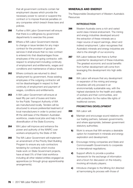that all government contracts contain fair employment clauses which provide the necessary power to cancel or suspend the contract or to impose financial penalties on any companies which breach these laws and policies.

- 260 Further a WA Labor Government will ensure that there is a willingness by government departments to exercise this power.
- 261 Where a WA Labor Government intends to change or issue tenders for any major contract for the provision of goods or services it shall ensure that no new contract is entered into that disadvantages those employees of the out-going contractor, with respect to employment including continuity of employment and entitlements, wages and conditions and maintenance of labour levels.
- 262 Where contracts are returned to direct employment by government, those existing employees of the outgoing contractor will not be disadvantaged in respect to their continuity of employment and payment of wages, conditions and entitlements.
- 263 A WA Labor Government will ensure at least fifty per cent of buses and trains for the Public Transport Authority of WA are manufactured locally. Tenders will be structured to ensure preferential treatment of local manufacturers in order to protect and lift the skill base of the Western Australian workforce, create local jobs and help in the diversification of the State Economy.
- **264** WA Labor will improve and enhance the power and authority of the WAIRC over workers employed by the State of WA
- 265 The WA Labor Government will implement an amendment of the Priority Start Building Program to ensure any sub-contractors tendering for contracts which involve trade work on State Government projects, have at least 5% of their total workforce including all other related entities engaged as apprentices (or through group apprenticeship arrangements).

# MINERALS AND ENERGY

The Responsible Development of Western Australia's **Resources** 

#### **INTRODUCTION**

- 266 Western Australia owns a rich and varied world class mineral endowment. The mining and energy industries developed around the extraction of these minerals are a major source of export earnings, direct and indirect employment. Labor recognises that Australia's minerals and energy industries are vital to the strength of our economy.
- 267 WA Labor believes that there is further potential for development of these industries. The greatest economic and social benefits from further development-will come from leveraging this development into high skills jobs.
- **268** WA Labor will ensure that any development or expansion of the mining and energy industries will only proceed in an environmentally sustainable way, with the highest standards for the health and safety of workers and their communities, and with protection for the native title rights of traditional owners.

#### **PROMOTING DEVELOPMENT**

- 269 WA Labor will:
	- a) Maintain and encourage sound relations with our trading partners, between governments, and where appropriate, between government statutory authorities;
	- **b)** Work to ensure that WA remains a desirable option for investment in minerals and energy exploration and development;
	- c) Encourage mining companies and State and Commonwealth Governments to cooperate in international negotiations;
	- d) Support efforts to provide a positive framework for the exchange of information and a forum for discussion on the industry, involving all industry players;
	- e) Introduce changes to the Mining Act directed at harmonising its process with those of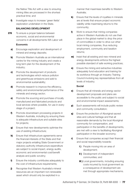the Native Title Act with a view to ensuring mining titles are processed in the shortest practical time; and

f) Investigate ways to increase 'green fields' exploration undertaken in the State.

#### **BALANCING DEVELOPMENT**

**270** To ensure a proper balance between economic, social and environmental concerns in all developments WA Labor will:

## **Economic**

- a) Encourage exploration and development of mineral and energy deposits;
- **b)** Promote Western Australia as an international centre for the mining industry and create a long term plan for the development of the industry;
- c) Promote the development of products and technologies which reduce pollution and greenhouse emissions and add to environmental sustainability;
- d) Promote research to improve the efficiency, safety and environmental performance of the minerals and energy sector;
- e) Promote the sourcing and purchase of locally manufactured and fabricated products and local services where possible, for use in every stage of a project;
- f) Promote downstream processing projects in Western Australia, including by ensuring there is adequate infrastructure and suitable sites for projects;
- g) Ensure that new developments optimise the use of existing infrastructure;
- h) Ensure that infrastructure agreements serve the financial interests of the State and that major projects entailing State Government or statutory authority infrastructure expenditure are subject to social impact, energy audits, economic and environmental cost/benefit analysis and public scrutiny;
- i) Ensure the industry contributes adequately to the cost of infrastructure requirements;
- **j)** Recognise that Western Australia's mineral resources are an important non-renewable asset which should only be exploited in a

manner that maximises benefits to Western Australia;

- k) Ensure that the levels of royalties in minerals are at levels that ensure project economic viability while maximising returns to the community;
- l) Work to ensure that mining companies active in Western Australia do not use their place in the global market to drop the price of commodities in order to drive out other local mining companies, thus reducing employment, community and taxation returns;
- **m)** Insist that all existing and new mineral and energy developments enforce the highest possible standard of safe working practices;
- **n)** Ensure the mining and extractive industries adequately fund education and training for its workforce through an Industry Training Council involving key representatives from all levels of industry;

## **Social**

- o) Ensure that all minerals and energy sector development proposals and plans are accessible to the public and subject to social and environmental impact assessments;
- **p)** Such assessments will include public review and community consultation;
- q) Ensure the protection of Aboriginal sacred sites and cultural heritage and that all reasonable demands by the local Aboriginal community for compensation, and participation in the benefits of developments, are met with a view to facilitating Aboriginal participation in the broader economy;
- r) Ensure that companies accept their financial and social responsibility towards:
	- i) People moving into an area of development;
	- ii) Development of independent communities; and
	- **iii**) Local governments, including ensuring costs incurred by local government as a consequence of development are met through appropriate mechanisms.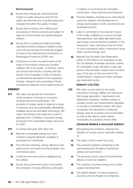#### **Environmental**

- s) Ensure that mining has minimal adverse impact on water resources and that the public are informed and consulted about any changes that affect the quality of water;
- t) Ensure that emissions from refining and processing of mineral products are subject to rigorous environmental and epidemiological reviews.
- u) Ensure that occupational health and safety standards (where workplace radiation levels occur above background levels) are pegged to those of the International Commission on Radiological Protection (ICRP); and
- v) Continue to monitor the performance of all areas of the industry where any possible radiation risk to the public, or workers, exists, and ensure that industry complies with the stricter of the Australian Codes of Practice, or international standards for the separation, storage, transport and processing of these minerals and disposal of any waste products.

## **ENERGY**

- 271 WA Labor recognises the importance of the provision of energy for economic development and householders. The provision of energy needs to balance a range of interests such as sustainability, affordability, available resources and latest technology. WA Labor will develop and implement a plan to generate 20% of Western Australia's energy production from renewable energy resources by 2020.
- 272 To achieve this goal, WA Labor will:
	- a) Maintain a renewable energy buy-back scheme to require electricity suppliers to purchase from individuals;
	- **b)** Promote fuel switching, energy efficiency and green power purchases among domestic and commercial users;
	- c) Continue community service obligations by the utilities;
	- d) Ensure that government policy incorporates the principles of energy efficiency particularly

in respect of commercial and domestic construction, urban planning and transport;

- e) Promote Western Australia as an international centre for research and development in energy technologies in both conventional and renewable sectors;
- f) Labor is committed to the long term future of the Collie coalfields as a source for base load electricity, until viable alternative base load energy sources become available. In this framework, Labor will ensure that the future of coal is developed within a framework using clean coal technology; and
- g) Maintain the Domestic Gas Reservation policy so that there is an oversupply of gas into the Western Australian domestic market. An oversupply of gas will lead to lower gas prices in the domestic market, and innovative uses of the gas, as has occurred in the United States in response to their domestic gas reservation policy.

#### **ENERGY UTILITIES**

273 WA Labor is committed to the public ownership of energy utilities, but will ensure that energy generation, transmission and distribution industries, whether publicly or privately owned, are independently regulated to provide a competitive market. WA Labor recognises the importance of reducing energy costs for business and householders as well as the need to retain natural monopolies as a publicly owned utility.

#### **URANIUM MINING & NUCLEAR ENERGY**

- 274 Recognising the problems, hazards and dangers of nuclear power, especially relating to:
	- a) The safety of the nuclear fuel cycle;
	- **b)** The unsolved problems pertaining to the reprocessing and storage of radioactive wastes and spent plant;
	- c) The growing concern about the biomedical effects of even low radiation;
	- d) The coupling of nuclear energy and nuclear weapon development;
	- e) The added danger of a future plutonium economy and the threats to civil liberties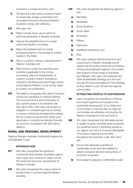involved in a nuclear economy; and

- f) The fact that Labor policy contained herein on fossil fuels, energy conservation and renewable resources will ensure Western Australian energy self sufficiency.
- 275 WA Labor will:
	- a) Reject nuclear power as an option for electricity generation in Western Australia;
	- **b)** Oppose the establishment of a nuclear enrichment facility in the State;
	- c) Reject the establishment of nuclear processing plants or the storage of nuclear wastes in the State;
	- d) Allow no uranium mining or development in Western Australia; and
	- e) Place thorium under the restrictions and conditions applicable to the mining, processing, sale and transportation of uranium currently mined in Australia as outlined in the Resources and Energy section of the National Platform, so far as they relate to nuclear non-proliferation.
- **276** The platform recognises WA Labor's long and continuous opposition to Uranium Mining. The commencement and continuation of any uranium project is inconsistent with WA Labor Policy. WA Labor will accept no obligation to complete approval processes or honour contractual arrangements entered into by a previous government where such approvals or contracts are directed towards an outcome inconsistent with WA Labor's platform.

# RURAL AND REGIONAL DEVELOPMENT

Regional Western Australia: Sustainable Regions for a Sustainable Future

# **INTRODUCTION**

- 277 WA Labor recognises the significant contribution that Western Australia's regions have made, and continue to make, to both the social and economic development of Western Australia.
- **278** WA Labor recognises the unique needs of people living in rural and regional Western Australia.
- 279 WA Labor recognises the following regions in WA:
	- a) Mid West
	- **b)** Wheatbelt:
	- c) Great Southern;
	- d) South West:
	- e) Kimberley;
	- f) Pilbara:
	- g) Gascoyne;
	- h) Goldfields-Esperance; and
	- i) Peel.
- **280** WA Labor believes that the economic and social future of Western Australia and its regions can be further enhanced by fostering strong and sustainable regional communities that support a broad range of industries and lifestyles. WA Labor will implement the State Sustainability Strategy and will work through the recommendations of the Strategy as they relate to rural, remote and regional communities.

#### **ATTRACTING PEOPLE TO OUR REGIONS**

- **281** Labor recognises the importance of strong and vibrant regional communities to the sustainable development of our State and is committed to ensuring that our regional communities are attractive communities for Western Australians to live and work in.
- **282** WA Labor recognises that affordable access to quality housing, including rental properties, is a significant factor in attracting people to our regions and will act to ensure affordability of housing in regional communities throughout the economic cycle. WA Labor will:
	- a) Ensure that adequate quantities of residentially zoned land are available to absorb increased demand during times of economic prosperity;
	- **b)** Encourage the adoption of affordable locally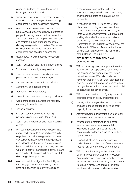produced building materials for regional housing construction; and

- c) Assist and encourage government employees who wish to settle in regional areas through appropriate housing assistance schemes.
- 283 WA Labor recognises the importance of a high standard of service delivery in attracting people to our regions and will implement a 'whole of government' approach to improve and maintain a high standard of service delivery in regional communities. This whole of government approach will enshrine appropriate and affordable access to:
	- a) Health care, including access to specialist services;
	- **b)** Quality education and training opportunities;
	- c) Police and community safety services;
	- d) Environmental services, including service provision for land and water usage;
	- e) Employment and economic opportunity;
	- f) Community and social services;
	- g) Transport and infrastructure;
	- h) Essential services, such as energy and water;
	- i) Appropriate telecommunications facilities, especially in remote areas;
	- **i)** Financial services;
	- k) Arts and cultural activities, including performing arts production tours; and
	- **I)** Quality sporting facilities and major sporting events.
- **284** WA Labor recognises the contribution that strong and vibrant families and community organisations make to regional communities. WA Labor acknowledges that longer hours and inflexible shift structures in our regions have limited the capacity of working men and women to actively participate in family life and community activities and will actively work to discourage these practices.
- **285** WA Labor will investigate the feasibility of relocating government functions, business units and agencies from Perth to regional

areas where it is consistent with their agency's strategic mission and client base, and where the costs of such a move are reasonable.

**286** In recognising that FIFO and other longdistance commuting arrangements have a place in the employment landscape, the State WA Labor Government will implement and legislate all of the recommendations published by the Education Standing Committee of the Legislative Assembly of the Parliament of Western Australia, the Impact of FIFO work practices on Mental Health, dated (Report 5 of June 2015).

## **FLY IN FLY OUT AND REGIONAL COMMUNITIES**

- **287** WA Labor recognises the important role that fly in fly out work operations have played in the continued development of the State's natural resources. WA Labor believes, however, that fly in fly out work practices can also be detrimental to regional communities through the reduction of economic and social opportunities for development.
- **288** WA Labor will seek to limit fly in fly out work practices through policy and practice to:
	- a) Identify suitable regional economic centres and assist those centres to develop their capacity to support industry;
	- **b)** Actively develop partnerships between local businesses and resource developers;
	- c) Investigate the infrastructure and other requirements necessary to establish Kalgoorlie-Boulder and other regional centres as hubs for surrounding fly-in fly-out operations; and
	- d) Support identified community services under threat from the loss of volunteers as a requirement of work away arrangements.
- **289** WA Labor acknowledges that the number of 'fly in fly out' (FIFO) workers in Western Australia has increased significantly in the last ten years and that this work cycle often leads to stress in family relationships, isolation, loneliness, depression and suicide. WA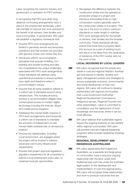Labor recognises the need for industry and government co-operation for FIFO workers.

In recognising that FIFO and other longdistance commuting arrangements have a place in the employment landscape, Labor will mandate to improve this work practice for the benefit of all workers, their families and local communities. In government, WA Labor will establish a regulatory framework that:

- Ensures FIFO work arrangements are limited to genuinely remote and temporary operations and that workers are provided with genuine choice over where they live;
- Introduces uniform accommodation standards that exclude motelling, hotbedding and double-bunking and take into consideration the unique challenges associated with FIFO work arrangements. These standards will address camp operational procedures to ensure workers have rights and freedoms when in accommodation camps;
- Ensures that all camp operators adhere to a uniform set of standards around camp infrastructure. This includes ensuring workers in accommodation villages have uninterrupted access to modern digital technology including the internet, Skype and mobile phone reception;
- Addresses the mental health impacts of FIFO work arrangements and introduces a uniform set of standards to mandate the provision of independent on-site mental health professionals on all resource projects;
- Ensures key stakeholders, including Local Government, are engaged where the project will be located to address social and community infrastructure requirements;
- Ensures that project approval regulations stipulate a requirement for all companies to submit a local employment policy plan, to maximise local job opportunities;

• Recognises the difference between the construction phase and the operations/ production phase of a project and introduce enforceable limits on high compression rosters (generally used in the construction phase of a project). This may be in the form of uniform minimum standards on roster length to optimise FIFO work arrangements for the benefit of workers, their families and the broader community. These standards will also ensure that travel time is properly taken into account as a part of working hours and this is to be taken from the usual place of residence of the FIFO worker and not the point of hire

# **LOCAL DECISIONS BY LOCAL LEADERS**

- **290** WA Labor recognises that the people who reside in rural and regional Western Australia are best placed to identify, develop and apply management policies and strategies to ensure sustainable economic, environmental and social development of their own regions. WA Labor will continue to develop partnerships with regional communities, their Local Government Authorities, Regional Development Commissions, Indigenous groups, Regional Councils and other stakeholders. Labor is committed to consultation and the deployment of local knowledge and resources where it can be most effective.
- **291** WA Labor believes that sustainable regions require the ongoing fostering of new leaders within regional communities. WA Labor will prioritise rural and regional leadership programs within broader leadership fostering strategies.

#### **REGIONAL DEVELOPMENT AND INDIGENOUS AUSTRALIANS**

**292** WA Labor appreciates that Indigenous Australians, as a separate and large group of communities, have a long and ongoing relationship with the land, under both traditional laws and now under the Australian legal system. In the development and implementation of rural and regional policy, WA Labor will recognise these relationships and work to produce outcomes that are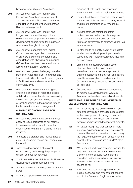beneficial for all Western Australians.

- **293** WA Labor will work with industry and Indigenous Australians to expedite just and positive Native Title outcomes through consultation and negotiation, rather than litigation, where possible.
- **294** WA Labor will work with industry and Indigenous communities to provide a diverse range of employment and enterprise development opportunities for Indigenous Australians throughout our regions.
- 295 WA Labor will cooperate with Federal Government and agencies to, as a matter of urgency, ensure that comprehensive consultation with Aboriginal communities defines their prioritised needs and wants following the abolition of ATSIC.
- **296** WA Labor recognises the largely unrealised benefits of Aboriginal plant knowledge and tourism and will implement further programs to facilitate these endeavours at the community level.
- 297 WA Labor recognises that the long and ongoing relationship of Aboriginal people with land is an essential element in restoring the environment and will increase the role of local Aboriginals in the planning for and implementation of land management.

## **A SOUND ECONOMIC BASE FOR OUR REGIONS**

- **298** WA Labor believes that government must apply policies appropriate to our regions to create a sound economic base that encourages investment in a broad range of industries.
- **299** To ensure the creation and maintenance of a sound economic base in our regions, WA Labor will:
	- a) Foster the development of regional economies by maintaining the principle of uniform charges for services;
	- **b)** Continue the Buy Local Policy to facilitate the development of regional economies;
	- c) Maintain and extend the Regional Investment Fund;
	- d) Investigate opportunities to improve the

provision of both public and economic infrastructure to rural and regional industries;

- e) Ensure the delivery of essential utility services, such as electricity and water, to rural, regional and remote communities, at reasonable prices;
- f **i** Increase efforts to attract and retain professional and skilled people in regional areas. Labor will continue to ask the Australian government to reform the zonal tax rebate scheme;
- g) Bolster efforts to identify, assist and facilitate local economic development, particularly associated with major resource and industrial developments;
- **h)** Utilise the increased purchasing power obtained through the Government's centralised procurement arrangements to enhance economic, employment and training benefits to regional communities from the Government's Buy Local and Local Content policies; and
- **i)** Continue to promote Western Australia and its regions as a destination for Western Australian, national and international tourists.

# **SUSTAINABLE RESOURCE AND INDUSTRIAL DEVELOPMENT IN OUR REGIONS**

- **300** WA Labor recognises both the existing and potential contribution of the resources sector to the development of our regions and will work to attract new investment in major resource and industrial development projects.
- **301** WA Labor recognises that periods of rapid industrial expansion place strain on regional communities and is committed to minimising the negative impacts of such periods, for the benefit of local communities and all Western Australians.
- 302 WA Labor will undertake strategic planning for major resource and industrial development sites on a regional basis. Such planning should be undertaken within a sustainability framework that assesses potential sites according to:
- **303** Economic factors, including the direct and indirect economic and employment benefits to both the State and Regional economies

82 | 2017 WA Labor Platform 2017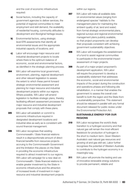and the cost of economic infrastructure required:

- a) Social factors, including the capacity of government agencies to deliver services, the potential of regional communities to meet employment and skill demand, the availability of residential housing, community attitudes to development and Aboriginal heritage issues;
- **b)** Environmental factors, using strategic level EPA assessments that identify all environmental issues and the appropriate industrial capacity of locations; and
- c) Labor will encourage major resource and industrial development projects to locate where there is the optimum balance of economic, social and environmental factors, as identified in the strategic planning process.
- **304** WA Labor will examine local government, environment, planning, regional development and other relevant legislation to assess the extent to which these permit forward strategic environmental assessment and planning for major resource and industrial development projects within our regions. Where possible, WA Labor will amend legislation to facilitate strategic plans, thereby facilitating efficient assessment processes for major resource and industrial development proposals that comply with these plans.
- **305** WA Labor will establish or commit to economic infrastructure required in designated development locations and industrial sites as early as is consistent with sound financial management.
- **306** WA Labor recognises that existing Commonwealth / State financial relations result in a disproportionate amount of direct financial benefits from resources projects accruing to the Commonwealth Government and the limitation this places on the State in providing the economic infrastructure required to attract investment to our regions. WA Labor will campaign for a new deal on Commonwealth / State financial relations to enable greater investment by the State in economic infrastructure and the attraction of increased levels of investment in major resource and industrial development projects

within our regions.

- 307 WA Labor will make all available data on environmental values (ranging from endangered species' habitats to the management plans for maintaining the ambient quality of air, land and water) from formal strategic environmental plans, regional surveys and regional environmental management plans publicly available, so that project proponents can develop their proposals consistent with achieving government sustainability objectives.
- **308** WA Labor will investigate the establishment of a fund to assist regional communities to participate in the environmental impact assessment of major projects.
- **309** As part of a major project proponent's development application, WA Labor will require the proponent to develop a sustainability statement that addresses the economic, social and environmental impacts of the project during the construction and operations phases and following site rehabilitation, in a manner that enables the government to assess the overall costbenefit to both the region and the State from a sustainability perspective. This statement should be released in parallel with any formal document released for public review under the Environmental Protection Act.

## **SUSTAINABLE ENERGY FOR OUR REGIONS**

- **310** WA Labor recognises the world's likely transition to a hydrogen economy and that natural gas will remain the most efficient feedstock for production of hydrogen in the short to medium term. Given Western Australia's vast natural gas resources and growing oil and gas skill set, Labor further recognises the potential of Western Australia to contribute to the hydrogen economy in a meaningful way.
- **311** WA Labor will promote the testing and use of innovative renewable energy solutions to provide permanent, reliable and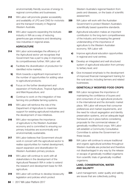environmentally friendly sources of energy to regional communities and businesses.

- **312** WA Labor will promote greater accessibility and availability of LPG and CNG for motorists and the transport industry in Regional Western Australia.
- **313** WA Labor supports expanding the biofuels industry in WA as a way of reducing greenhouse gas emissions and developing new industries in regional areas.

#### **AGRICULTURE**

- **314** WA Labor acknowledges the efficiency of the Agricultural sector yet recognises that Government has a part to play in improving its competitiveness further; WA Labor will:
	- a) Facilitate the diversification of production for identified niche markets;
	- **b)** Work towards a significant improvement in the number of opportunities for adding value to agricultural products;
	- c) Focus on the further development and expansion of Horticulture, Tropical Agriculture and Mari/Aquaculture; and
	- d) Continue to work on the integration of tree farming into profitable farming systems.
- **315** WA Labor will reinforce the role of the Department of Agriculture to maximise support for existing agricultural industries and the development of new initiatives.
- **316** WA Labor recognises the importance of agriculture to the Western Australian economy and is committed to ensuring our primary industries are economically and environmentally sustainable.
- **317** WA Labor believes that Government should work in concert with the agricultural sector to realise opportunities for market development, export expansion and diversification for Western Australia's primary produce.
- **318** WA Labor will continue to work with all stakeholders in the development of the Agricultural Research WA in order to extend the research and development base for WA agriculture.
- **319** WA Labor will continue to develop biosecurity legislation and policies which protect

Western Australia's regional freedom from pests and diseases, on the basis of scientific assessment.

- **320** WA Labor will work with the Australian Government to protect Western Australia's scientifically based quarantine standards.
- **321** Agricultural education makes an important contribution to the long-term competitiveness of the industry and increasing the general understanding of the importance of agriculture to the Western Australian economy. WA Labor will:
	- a) Improve agricultural education opportunities in regional and rural centres;
	- **b)** Develop an integrated and well structured system of agricultural education from primary to tertiary level; and
	- c) Give increased emphasis to the development of improved financial management training for the rural sector, including farmers and related businesses.

#### **GENETICALLY MODIFIED FOOD CROPS**

- **322** WA Labor recognises the importance of maintaining the confidence of buyers and end consumers of our agricultural products in the international and the domestic market place. WA Labor will ensure that consumer preferences and market requirements, and the need for robust segregation and identity preservation systems, and an adequate legal framework are in place before considering proposals for the commercial release of genetically modified food crops. WA Labor will establish a Community Consultative Committee to advise the Government on these issues.
- **323** WA Labor will continue to ensure traditional and organic agricultural activities throughout Western Australia are protected and therefore not disadvantaged in any way by the release or escape of genetically modified organisms from scientific trials of genetically modified organisms.

## **LAND, CONSERVATION, WATER AND SALINITY**

**324** Land management, water quality and salinity are issues that are collectively putting

84 | 2017 WA Labor Platform 2017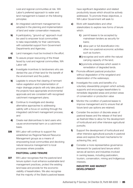rural and regional communities at risk. WA Labor's preferred approach to water and land management is based on the following principles:

- a) An integrated catchment management be adopted in the planning and implementation of land and water conservation measures;
- **b)** A participatory, "ground-up" approach must be used to empower local communities to take responsibility for their catchments, with substantial support from Government Departments and Agencies;
- c) Land managers must be involved in the effort.
- **325** To assure proper resourcing of the threat faced by rural and regional communities, WA Labor will:
	- a) Investigate incentives to landowners who are denied the use of their land for the benefit of the environment and the public;
	- **b)** Legislate to ensure that clearing of remnant native vegetation and implementation of major drainage projects will only take place if the projects have appropriate environmental approvals and are consistent with recognised catchment management plans;
	- c) Continue to investigate and develop alternative approaches to addressing salinity with a focus on working through the integrated catchment management process; and
	- d) Create real disincentives to land users who cause environmental harm on a catchment basis.
- **326** WA Labor will continue to support the established six Regional Natural Resource Management groups as a means of empowering local communities and devolving natural resource management to local processes where possible.

#### **PASTORAL LAND TENURE**

**327** WA Labor recognises that the pastoral land tenure system must enhance sustainable land management practices, protect the existing land base and provide for the economic viability of leaseholders. We also recognise that the majority of the State's pastoral leases

have significant degradation and related productivity issues which should be actively addressed. To promote these objectives, a WA Labor Government will seek to:

- a) Work with leaseholders and other stakeholders to explore new forms of tenure which:
	- i) permit leases to be accepted by mainstream lenders as security for loans;
	- ii) allow part or full diversification into other non-pastoral economic activities such as tourism;
	- **iii)** recognise and work within the natural carrying capacity of the land;
	- iv) promote enterprises which assist in remediation of degraded lands.
- **b)** Promote efficient pastoral production without degradation of the rangeland and deterioration of the waterways;
- c) Investigate the costs and benefits of a voluntary stewardship program which actively supports and encourages leaseholders to remediate degraded areas and protect areas of conservation or production value
- d) Monitor the condition of pastoral leases to improve management and to ensure that all future land-use options are retained;
- e) Consider the excision of discrete areas of pastoral leases and the release of that land as freehold titles to allow for the development of horticultural and other intensive agricultural pursuits;
- f) Support the development of horticultural and other intensive agricultural pursuits in pastoral areas and explore the best mechanisms for achieving this; and,
- g) Consider a more representative governance framework for pastoral land tenure which serves all sectors and industries involved in owning leases, including pastoralism, tourism, conservation, mining and Indigenous interests.

#### **INDUSTRY AND MARKET DEVELOPMENT**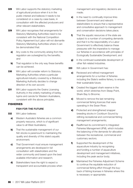- **328** WA Labor supports the statutory marketing of agricultural produce when it is in the public interest and believes it needs to be considered on a case-by-case basis, in consultation with the affected producers and other relevant stakeholders.
- **329** WA Labor recognises that arrangements for Statutory Marketing Authorities need to be consistent with the National Competition Policy Agreement but Labor will not dismantle Statutory Marketing Authorities where it can be demonstrated that:
	- **a)** Any costs to the community arising from the regulation are outweighed by the benefits; and
	- **b)** That regulation is the only way these benefits can be achieved.
- **330** WA Labor will consider reform to Statutory Marketing Authorities where a particular agricultural industry covered by a Statutory Marketing Authority decides to change direction of its own accord.
- **331** WA Labor supports the Grains Licensing Authority in the orderly marketing of barley, lupins and canola for Western Australians, consistent with the above principles.

# **FISHERIES**

#### **FISH FOR THE FUTURE**

- 332 WA Labor believes:
	- a) Western Australia's fisheries are a common property resource, which is of significant value to all West Australians;
	- **b)** That the sustainable management of our fish stocks is paramount to maintaining the quality and diversity of this state's aquatic environment;
	- c) That Government must ensure management arrangements are developed in full consultation with stakeholders and the wider community and based upon the best available information and research;
	- d) Stakeholders have the right to expect a transparent and accountable process when

management and regulatory decisions are made;

- e) In the need to continually improve links between Government and relevant stakeholders to ensure that a representative and consultative approach to management and conservation decisions takes place;
- f) That the aquatic resources of the state are subject to a number of competing demands and that it is the responsibility of a Labor Government to effectively balance these pressures with the imperative to manage our fisheries in accordance with principles of Ecologically Sustainable Development; and
- **g)** In the continued sustainable development of other fish related industries.
- **333** WA Labor in Government has:
	- a) Reviewed and refined management arrangements for a number of fisheries including the State's wetline fishery, to ensure their sustainable future;
	- **b)** Created the biggest shark reserve in the world, which stretches from Steep Point, Shark Bay to Broome;
	- c) Moved to remove the last remaining commercial fishing licences that were operating in the Swan River;
	- d) Protected and strengthened snapper breeding stocks in Cockburn Sound by refining recreational and commercial fishing management arrangements;
	- e) Reaffirmed its commitment to Integrated Fisheries Management (IFM), which includes the balancing of the demands for allocation between the recreational, commercial and customary sectors;
	- f) Supported the development of the aquaculture industry by recognising and funding a number of aquaculture development and management initiatives, including the peak sector body;
	- g) Maintained the Fisheries Adjustment Scheme to continue the equitable reduction of commercial fishing effort through the buyback of fishing licenses in fisheries where this is necessary or appropriate;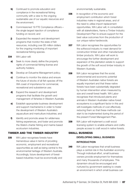- **h)** Continued to promote education and compliance in the recreational fishing community with a view to the ongoing sustainable use of our aquatic resources and the environment;
- i) Commissioned 19 FTE Compliance officersthe single largest injection of compliance funding on record; and
- **j)** Expanded the research and development programs that monitor the state of fish resources, including over \$5 million dollars for the ongoing monitoring of important recreational fishing species.
- 334 WA Labor will:
	- a) Seek to more clearly define the property rights of commercial fishing license and authority holders;
	- **b)** Develop an Estuarine Management policy;
	- c) Continue to monitor the status and ensure the future of stocks of all fish species off the WA coast of importance for commercial, recreational and subsistence use;
	- d) Expand the research and development programs that facilitate the growth and management of fisheries in Western Australia
	- e) Establish appropriate business development and support mechanisms in order to foster the development of Western Australia's aquaculture and mariculture industries; and
	- f) Identify and promote areas for wilderness fishing experiences, and foster and promote the State's charter fishing and marine based ecotourism industries.

# TIMBER AND THE TIMBER INDUSTRY

**335** WA Labor recognises forests have tremendous value in terms of providing economic, employment and recreational opportunities as well as being central to the environmental heritage of Western Australia. Accordingly, future development of forestbased industries must be economically and

environmentally sustainable.

- **336** In recognition of the economic and employment contribution which forest industries make in regional areas, and of the need to utilise import replacement opportunities, WA Labor will, in consultation with all stakeholders, frame a Timber Industry Development Plan to ensure support for the best value outcomes from the production of our unique native hardwoods.
- **337** WA Labor recognises the opportunities for the softwood industry to meet demand for construction timber and other manufactured timber products. WA Labor will work to encourage the further development and expansion of the plantation estate to support the growth of the soft wood timber industry in Western Australia.
- **338** WA Labor recognises that the social, environmental and economic potential of Western Australian native forests are equally important and that these native forests have been substantially degraded by human intervention when measured by size and overall forest health. WA Labor recognises that introduced plants and animals in Western Australian native forest ecosystems is a significant factor in this and will investigate methods of cost effectively reducing them so that these methods can start to be implemented during the period of the present Forest Management Plan.
- **339** WA Labor will implement a craft wood licensing system to enable artisans and crafts people access to craft wood in native forests.

# SMALL BUSINESS  **DEVELOPING SMALL BUSINESS INTRODUCTION**

**340** WA Labor recognises that small business plays a central role in the Australian economy. Through individual effort, small business owners provide employment for themselves and many thousands of employees. This dynamism should be encouraged and nurtured by government seeking to create an environment in which small business can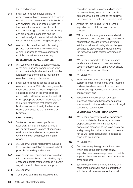thrive and prosper.

- **341** Small business contributes greatly to economic growth and employment as well as ensuring the economy maintains its flexibility and diversity. Small business provides the foundation for innovation and its quick reaction to change enables new technology and practices to be adopted and the competitive edge to be maintained which is critical to the State's on-going development.
- **342** WA Labor is committed to implementing policies that will strengthen the capacity of small business to make a substantial contribution to the state's economy.

## **DEVELOPING SMALL BUSINESS**

- **343** WA Labor will continue to seek the advice of the small business community on ways to improve the legislative and administrative arrangements of the state to facilitate the growth and vitality of the sector.
- **344** Small business needs access to capital to grow and prosper. WA Labor recognises the importance of mature relationships being established between the small business community and the finance sector and will, within appropriate prudent guidelines, seek to provide information that assists small business operators identify the financing options best suited to the nature of their business.

#### **FAIR TRADING**

- **345** Market economies are not perfect or absolutely fair to all participants. This is particularly the case in areas of franchising, retail tenancies and other arrangements where there can be a misuse of market power.
- **346** WA Labor will utilise mechanisms available to it, including legislation, to create the best possible fair trading environment.
- **347** WA Labor is also concerned about small and micro businesses being compelled by larger entities to operate their businesses in certain ways in order to obtain work or supplies.
- 348 WA Labor will:
	- a) Continue to examine the measures that

should be taken to protect small and micro businesses being forced to comply with demands that do not relate to the quality of the service or product being provided; and

- **b)** Amend the Fair Trading Act and related legislation to prohibit unconscionable conduct.
- **349** WA Labor acknowledges some small retail tenants have been disadvantaged by the lack of protection afforded by lease contracts. WA Labor will introduce legislative changes designed to provide a fair balance between the respective rights of retail landlords and tenants.
- **350** WA Labor is committed to ensuring small retailers are not forced to meet excessive accommodation costs, part of which should be the responsibility of others.
- 351 WA Labor will:
	- a) Examine methods of simplifying the legal system in order to ensure that small investors and creditors have access to speedy and inexpensive legal redress against breaches of fiduciary duty; and
	- **b)** Assist with the development of a legal insurance policy or other mechanisms that enable small business to have access to legal advice and representation.

# **MINIMISING COMPLIANCE COSTS**

- **352** WA Labor is acutely aware that compliance costs associated with running a business proportionately diminish the capacity of owners and managers to focus on operating and growing the business. Small business is not as well equipped as larger business to cope with this burden.
- 353 WA Labor will:
	- a) Continue to require requiatory Statements which assess the cost/benefit of new legislation to ensure change does not unduly impact or have unintended consequences for small business;
	- **b)** Systematically eliminate irrelevant and timeconsuming paperwork and in consultation with the small business sector Labor will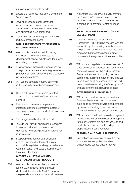remove impediments to growth;

- c) Ensure that business regulations be drafted in "plain english";
- d) Develop mechanisms for identifying unnecessary and costly compliance arrangements, with the view to minimising and eliminating such costs; and
- e) Continue to streamline regulatory functions to reduce compliance costs.

# **SMALL BUSINESS PARTICIPATION IN INDUSTRY POLICY**

- **354** WA Labor is committed to introducing an industry policy that promotes the development of new industry and the growth of existing businesses.
- **355** It is recognised that small business has not always had adequate access to government programs aimed at enhancing the productive performance of firms.
- **356** WA Labor's strategic industry policy will include specific small business programs that:
	- a) Offer small business programs targeted at improving the quality of products and services;
	- **b)** Enable small business to implement strategies designed to improve customer service response times, product development and marketing;
	- c) Encourage small business to export;
	- d) Provide user friendly application procedures to ensure that small business is not dissuaded from taking industry improvement initiatives; and
	- e) Support mutual recognition legislation and the ongoing development uniform compatible legislation and regulation between Commonwealth and State Governments in the area of fair trading.

# **WESTERN AUSTRALIAN AND AUSTRALIAN MADE PRODUCTS**

**357** WA Labor is concerned that successive Liberal Governments have effectively destroyed the "Australia Made" campaign to the great disadvantage of the small business sector.

**358** In contrast, WA Labor will actively promote the "Buy Local" policy and prevail upon the Federal Government to reintroduce a campaign to promote Australian made goods.

# **SMALL BUSINESS PROMOTION AND DEVELOPMENT**

- **359** The Small Business Development Corporation (SBDC) will be charged with the responsibility of promoting small business and providing quality advisory services and programs that meet the needs of small business in the regions and the metropolitan area.
- **360** WA Labor will legislate to ensure the cost of electricity of small business end users is the same as the amount charged by Western Power. In the case of shopping centre and commercial facilities that receive bulk power rates, these must be passed on to the end users, thereby eliminating the "energy profit" and assisting the small business sector.

# **GOVERNMENT PURCHASING**

- **361** WA Labor notes that under the previous Coalition Government, small business supplies to government were disadvantaged by being kept waiting for an inordinate amount of time for their accounts to be paid.
- **362** WA Labor will continue to provide a payment regime under which small business suppliers to the government are paid for services and products provided within thirty days of a proper account being rendered.

# **PLANNING AND SMALL BUSINESS**

**363** Fluctuations in the supply of retail trading space in the metropolitan area has unnecessarily caused undue financial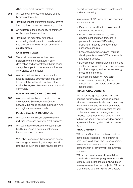difficulty for small business retailers.

- **364** WA Labor will protect the interests of small business retailers by:
	- a) Requiring impact statements on new centres that may have an impact on existing retailers;
	- **b)** Giving retailers the opportunity to comment on the impact statement; and
	- c) Requiring the regulatory authorities considering development proposals to take into account their likely impact on existing small business.

#### **ANTI-TRUST LAWS**

- **365** The small business sector has been increasingly concerned about market domination and concentration that is having a negative impact on consumer choices and the vibrancy of the sector.
- **366** WA Labor will continue to advocate for national legislative arrangements that seek to prevent the further domination of the market by large entities remote from the local community.

#### **RURAL AND REGIONAL CENTRES**

**367** WA Labor will continue to monitor, through the improved Small Business Centre Network, the needs of small business in rural and regional Western Australia.

#### **PUBLIC LIABILITY INSURANCE**

- **368** WA Labor will continually explore ways of reducing insurance costs for small business.
- **369** WA Labor acknowledges the cost of public liability insurance is having a detrimental impact on small business.

WA Labor recognises that renewable energy technology is developing at a exponential rate and as such offers significant economic

opportunities in research and development and manufacturing.

In government WA Labor through economic inducements will:

- Plan for the transition from fossil fuels to renewable technologies.
- Encourage investment in research, development and manufacturing in partnership between WA's tertiary institutions, industry and government economic agencies.
- Encourage new housing and industrial developments to have 50% + renewable aspirational targets.
- Develop greenfield manufacturing centres strategically placed to retrain and redeploy jobs lost in ageing and redundant energy producing technology.
- Develop and retain WA rare earth resources and processing that is critical in the manufacture of renewable technologies.

#### **TRADITIONAL OWNERS**

WA Labor recognises that the long and ongoing relationship of Aboriginal people with land is an essential element in restoring the environment and will increase the role of local Aboriginals in the planning for and implementation of land management this includes recognition of Traditional Owners to have included in any project development agreement the recognition that "no means no".

#### **PROCUREMENT**

WA Labor affirms its commitment to local content and local jobs. This conference calls upon WA Labor, when in government, to ensure that there is a local content component in all government procurement contracts.

WA Labor commits to working with key stakeholders to develop a government audit strategy to regulate construction works on state government funded projects. WA Labor is committed to ensuring that contractors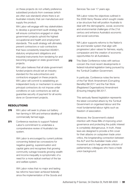on these projects do not unfairly preference subsidised products from overseas (which are often sub-standard) where there is an Australian industry that can manufacture and supply the product.

WA Labor will engage with key stakeholders to develop a government audit strategy that will ensure contractors engaged on state government projects uphold the highest occupational and health and employment standards. This audit strategy will ultimately prevent contractors or sub-contractors that have consistently breached AS4801, statutory employment obligations and industrial instruments from tendering for and becoming engaged on state government projects.

WA Labor believes that all state government funded projects should set an industry standard for the subcontractors and contractors engaged on these projects. WA Labor will commit to establishing an independent body or mechanism to ensure principal contractors do not impose unfair conditions on sub-contractors as well as guarantee security of payment for all works done on Government projects.

# RESOLUTIONS

- **370** WA Labor will seek to phase out battery hen farming in WA and enhance labelling of commercially farmed eggs.
- **371** Conference resolves to support Federal Labor's commitment to undertake a comprehensive review of Australia's tax system.

WA Labor is encouraged by current policies concerning federal tax concessions for negative gearing, superannuation and capital gains and recognises that growing community outrage towards growing wealth and income inequality is symptomatic of a need for a more radical overhaul of the tax and welfare system.

WA Labor notes that no major and lasting tax reforms have been achieved federally since the implementation of the Goods and Services Tax over 17 years ago.

WA Labor notes the objectives outlined in the 2008 Henry Review which sought create a tax structure that will position Australia to deal with the demographic, social, economic and environmental challenges of the 21st century and enhance Australia's economic and social outcomes.

WA Labor supports reforms to the Nation's tax and transfer system that align with progressive Labor values for fairness, equity, compassion and the creation of economic opportunities for all Australians.

**372** This State Conference notes with serious concern the most recent developments in federal industrial legislation being pursued by the Turnbull Coalition Government.

> In particular, Conference notes the terms of the Fair Work Amendment (Corrupting Benefits) Bill 2017 and the Fair Work (Registered Organisations) Amendment (Ensuring Integrity) Bill 2017.

This seriously flawed legislation represents the latest concerted attack by the Turnbull Government on organised labour and the most fundamental labour rights such as freedom of association.

Moreover, the Government's stated intention with these Bills of improving union governance and protecting the public interest is completely disingenuous. In truth, these laws are designed to provide a thin cover for their attacks on outspoken trade union critics, the longstanding connection between the ALP and the Australian trade union movement and to help generate criticism of parliamentary colleagues who have a trade union background.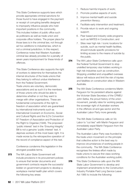This State Conference supports laws which provide appropriate criminal sanctions for those found to have engaged in the payment or receipt of corrupting benefits designed to improperly influence people who hold important positions in the community. This includes holders of public office such as politicians as well as trade union and corporate office holders. The proper place for those laws is in the criminal law, not through ad hoc additions to industrial law, which is not a criminal jurisdiction. In this respect, Conference notes that Western Australian criminal law already provides for a penalty of seven years imprisonment for these kinds of offences.

This State Conference also supports the right of workers to determine for themselves the internal structures of the trade unions that they belong to without undue interference from the Federal Government. Trade unions are voluntary, democratic associations and as such it is the members of those unions who should be able to determine whether or not they want to merge with other organisations. These are fundamental components of the right to freedom of association which are guaranteed by international instruments such as International Covenant on Economic, Social and Cultural Rights and the ILO's Convention 87 Freedom of Association and Protection of the Right to Organise (1948). The proposed 'public interest' test in the 'Ensuring Integrity' Bill is not a genuine 'public interest' test. It deprives workers of this most basic right. It is made worse by the retrospective operation of the record of compliance aspect of this test.

Conference condemns this legislation in the strongest possible terms.

**373** The WA Labor State Government will include provisions in its procurement policies to ensure that tender documents and government contracts require the successful bidder on government projects to develop a workplace mental health plan which covers the following key areas:

- 1 . Reduce harmful impacts of work;
- 2 . Promote positive aspects of work;
- 3 . Improve mental health and suicide prevention literacy;
- 4 . Facilitate early intervention and treatment;
- 5 . Provide return to work and ongoing support;
- 6 . Peer based and industry wide programs such as MATES in Construction; and
- 7 . Sites near high risk / iconic locations for suicide, such as mental health facilities, should include specific provisions for limiting access to the means of suicide by the public.
- **374** The WA Labor State Conference calls upon the Federal Turnbull Government to stop unskilled temporary visa holders working in high risk industries such as construction. Stopping unskilled and unqualified overseas labour will reduce and limit the risk of injuries and fatalities on construction sites in Western Australia.
- **375** The WA State Conference condemns Martin Ferguson for his persistent attacks against the Victorian State Secretary of the CFMEU John Setka, the proud history of the union movement, penalty rates for working people, the sovereign right of Australian workers in the offshore oil and gas sector and the Australian Labor Party more generally.

The WA State Conference calls on Vic Labor to "cut ties" with Martin Ferguson and immediately expel Martin Ferguson from the Australian Labor Party.

The Australian Labor Party was founded by the trade union movement on the principle that collective action is the best way to improve circumstances of working people in the community. The WA State Conference recognises the tireless effort made by trade unions to secure first class working conditions for the Australian working public.

**376** This State Conference calls upon the WA State Labor Government to develop and implement amendments to the Construction Industry Portable Paid Long Service Leave Act 1985 to include the following: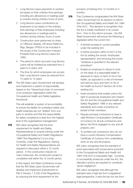- 1 . Long Service Leave payments to workers be based on their ordinary time earnings including any allowances or loadings paid to workers during ordinary hours of work;
- 2 . Long Service Leave contributions by employers to be based on the ordinary time earnings of their employees including any allowances or loadings paid to workers during ordinary hours of work;
- 3 . Construction work performed on ships, on Offshore Vessels, Off-shore Platforms, Rigs, Barges, FPSOs to be included in the scope of the Construction Industry Portable Paid Long Service Leave Act 1985;
- 4 . The period in which accrued Long Service Leave will be forfeited be extended from 2 years to 5 years; and
- 5 . The time for which employees can access their Long Service Leave be reduced from 15 years to 10 years.
- **377** The WA State Labor Government will develop and implement a system of responsibility based on the "hierarchical chain of command of an employer organisation within the Occupational Health and Safety legislative framework.

This will establish a system of accountability to ensure the liability for workplace safety and health breaches are not "shifted" from one party to another and that the responsibility for safety compliance is lead from the highest level of the organisations management.

**378** WA Labor recognises that the time requirement for Health and Safety Representatives to acquire training under the Occupational Safety and Health Regulations 1996 ("the Regulations") is too long. Currently, under the Regulations, training for Health and Safety Representatives are required to take place within a 12 month period. In the construction industry (in many instances), the construction project is completed well within the 12 month period.

> In this regard, this State Conference moves that the WA State Labor Government will develop and implement amendments to Part 2 Division 1 2.2(3) of the Regulations by reducing the time requirement for the

provision of training from 12 months to 3 months.

- **379** This Conference congratulates the WA State Labor Government for its decision to reform the Occupational Safety and Health Act 1984 ("the Act"). This decision is recognition that the Act is totally insufficient in its current form. Prior to this reform process , the WA State Government will ensure the following is legislated within the current Act:
	- 1 . A tenfold increase in current penalties under the existing Act;
	- 2 . A further provision within S.24(1) of the Act by adding the words "employees' representative" and removing the words "whatever is specified in the relevant procedure";
	- 3 . Enable an employee to refuse to work on the basis of a reasonable belief of exposure to injury or harm to his or her health, as opposed to a risk of imminent and serious injury and harm to his or her health as found in Section 26 of the existing Act;
	- 4 . Insert provisions that enable unions the right to prosecute employers who breach the Act and the Occupational Health and Safety Regulation 1996 or any relevant standards and codes of practice on behalf of their members;
	- 5 . Require principal contractors to have a valid Workers Compensation Certificate of Currency for all sub-contractors and labour hire firms engaged on any and all projects; and
	- 6 . To prohibit sub-contractors who do not have a current Workers Compensation Certificate of Currency from undertaking work on any and all projects.

WA Labor recognises that the standard of proof associated with prosecutions pursuant to the Occupational Safety and Health Act 1984 ("the Act") is impossibly high. Currently, to successfully prosecute under the Act, the offender's actions are required to constitute "gross negligence".

WA Labor recognises that although this standard sets a high bar from a legislative/ legal perspective, it sets the bar too low from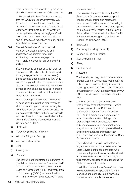a safety and health perspective by making it virtually impossible to successfully prosecute. In this regard, this State Conference moves that the WA State Labor Government will, through its reform of the Act, develop and implement amendments to the Occupational Safety and Health Act 1984 ("the Act") by replacing the words "gross negligence" with "non-compliance" throughout the Act, any and all associated regulations and any and all associated codes of practice.

**380** The WA State Labor Government will consider developing a licensing and registration requirement for all subcontracting companies engaged on commercial construction projects over \$5 million.

> Sub-contracting companies which work on projects over \$5 million should be required to only engage trade qualified workers (or those deemed trade qualified by WA TAFE) and to comply with all statutory requirements including employment laws. Sub-contracting companies which are found to be in breach of such requirements will have their licence suspended or revoked.

> WA Labor supports the implementation of a licensing and registration requirement for all sub-contracting companies working the commercial construction sector engaged on projects over \$5 million in the following fields with consideration to the classification in the current Building and Construction General On-site Award 2010):

- a) Brickwork;
- **b)** Carpentry (including formwork);
- c) Window Fixing and Glazing;
- d) Wall and Ceiling Fixing;
- e) Tiling;
- f) Painting; and
- **g)** Plastering.

The licensing and registration requirement will prohibit workers who are not "trade qualified" or have not obtained a Recognition of Prior Learning Assessment ("RPL") and Verification of Competency ("VOC") as determined by WA TAFE to work on large scale, commercial

construction sites.

- **381** This state conference calls upon the WA State Labor Government to develop and implement a licensing and registration requirement for all tradespersons working in the commercial construction sector engaged on projects over \$5 million in the following fields (with consideration to the classification in the current Building and Construction General on-site Award 2010):
	- a) Brickwork;
	- **b)** Carpentry (including formwork);
	- c) Window Fixing and Glazing;
	- d) Wall and Ceiling Fixing;
	- e) Tilers;
	- f) Painting; and
	- g) Plastering.

The licensing and registration requirement will prohibit workers who are not "trade qualified" or have not obtained a Recognition of Prior Learning Assessment ("RPL") and Verification of Competency (VOC") as determined by WA TAFE, to work on commercial construction sites.

**382** The WA Labor State Government will within its first term of Government, rescind the Western Australian Building and Construction Industry Code of Conduct 2016 and introduce a procurement policy which considers a new building code prohibiting principal contractors and or sub-contractors who breach employment law, fail to comply with occupational health and safety standards or breach other statutory obligations from tendering for State Government projects.

> This will include principal contractors who engage sub-contractors (whether or not on State Government funded projects) who breach employment laws, occupational health and safety standards or don't comply with their statutory obligations from tendering for State Government projects.

In addition, the WA Labor State Government will establish a new inspectorate with the resources and capacity to audit principal contractors and or sub-contractors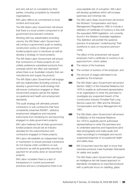and who will act on complaints by third parties, including complaints by industrial organisations.

WA Labor affirms its commitment to local content and local jobs.

The WA State Labor Government will ensure that there is a local content component in all government procurement contracts.

Working with key stakeholders (including unions), the WA State Labor Government will conduct a government audit on existing construction works on State government funded projects prior to handover as well as develop a strategy on future projects.

The WA State Labor Government will ensure that contractors on these projects do not unfairly preference subsidised products from overseas (which are often sub-standard) where there is an Australian industry that can manufacture and supply the product.

The WA State Labor Government will engage with key stakeholders (including unions) to develop a government audit strategy that will ensure contractors engaged on State Government projects uphold the highest occupational and health and employment standards.

This audit strategy will ultimately prevent contractors or sub-contractors that have consistently breached AS4801, statutory employment obligations and industrial instruments from tendering for and becoming engaged on state government projects.

WA Labor believes that all state government funded projects should set an industry standard for the subcontractors and contractors engaged on these projects.

WA Labor will establish an independent body or mechanism to ensure principal contractors do not impose unfair conditions on subcontractors as well as guarantee security of payment for all works done on Government projects.

WA Labor considers there is a lack of transparency in current procurement practices and as a consequence there is an unacceptable risk of corruption. WA Labor will develop guidelines which will increase openness and minimise risk.

**383** The WA Labor State Government will amend the Workers' Compensation and Injury Management Regulations 1982 to include a definition of Certificate of Currency in line with the equivalent NSW legislation, not currently found in the Western Australian legislation. This definition will prohibit the systemic practice of employers "underinsuring" their workforce to save on insurance premium costs.

> The effect of this amendment will require employers hold a certificate of currency in an approved form, which states:

- a) The nature of the business;
- **b)** The number of workers of the employer; and
- c) The amount of wages estimated to be payable by the employer.
- **384** The WA State Labor Government will amend Section 49(I)(1) of the Industrial Relations Act 1979 to enable an authorised representative of an organisation to enter the premises to investigate any suspected breach of the Construction Industry Portable Paid Long Service Leave Act 1985 and the Workers' Compensation and Injury Management Act 1981.
- **385** The WA State Labor Government will amend S.49(I)(2)(c) of the Industrial Relations Act 1979 to explicitly permit authorised representatives to enter the premises and to undertake searches and inspections (and take photographs and make audio and video recordings) to investigate and record suspected breaches of occupational health and safety laws.
- **386** WA Consumers have the right to know that imported products meet Australian Standards for safety and quality.

The WA State Labor Government will support an intelligence led risk based approach to standards compliance on imported products with a particular focus on cladding, glass,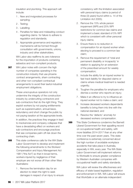insulation and plumbing. This approach will include:

- 1 . New and invigorated processes for sampling;
- 2 . Testing;
- 3 . Labelling;
- 4 . Penalties for false and misleading conduct regarding claims for failure to adhere to regulation and standards;
- 5 . Appropriate governance and regulatory mechanisms will be formed through consultation with governments, unions, industry and other stakeholders.

WA Labor also reaffirms its zero tolerance for the importation of products containing asbestos and non-compliant products.

**387** WA Labor notes with concern the high number of companies operating in the construction industry that use phoenix contract arrangements, sham contracting and other non-compliant contractual arrangements to avoid their lawful industrial employment obligations.

> These unscrupulous operators not only undermine the integrity of the construction industry by undercutting contractors and sub-contractors that do the right thing. They exploit workers by not paying entitlements such as superannuation, annual leave, redundancy and short change the public by not paying taxation at the appropriate levels. In addition, the practices they engage in lead to insolvencies and company collapses that have a devastating effect on workers and sub-contractors and encourage practices that see companies palm off risk down the contracting chain.

- **388** This state conference calls for the WA State Labor Government to develop and implement the following amendments to the Workers' Compensation and Injury Management Act 1981 ("the Act") so that in broad terms, workers injured by negligence of their employer are not worse off than other West Australians:
	- 1 . Remove the termination day for an election to retain the right to seek damages in respect of an injury to ensure

consistency with the limitation associated with personal injury claims (a period of three (3) years) found within s. 14 of the Limitation Act 2005);

- 2 . Remove the 15% whole person impairment (WPI) and 25% WPI restrictions for common law claims and implement a basic standard of 5% WPI which is consistent with other personal injury claims;
- 3 . Ensure there is no reduction in compensation for an injured worker when electing to proceed to a common law claim;
- 4 . Remove the requirement of 'total and permanent disability or incapacity' in relation to applying for an extension of the prescribed amount for weekly compensation;
- 5 . Include the ability for an injured worker to fast track liability for disputed claims or claims where medical treatment is needed urgently;
- 6 . Toughen the penalties for employers who dismiss a worker who reports an injury;
- 7 . Make it an offence to try to influence an injured worker not to make a claim; and
- 8 . Increase deceased workers dependants benefits to bring them into line with the national standard; and
- 9 . Resolve the 'defacto' anomaly for deceased workers compensation.
- **389** This State Conference condemns the Barnett Liberal Government for their appalling record on occupational health and safety, with more fatalities 2014-2017 than at any other time over the past seven years. This state conference is extremely concerned about the high number of avoidable workplace accidents that take place in Australia, especially in WA, every year. The WA State Labor Government will implement reforms to Worksafe to ensure greater compliance by Western Australian companies with occupational health and safety standards.

WA Labor will review the effectiveness and efficacy of state based legislation, regulation and enforcement in WA. WA Labor will ensure that WorkSafe or an alternate independent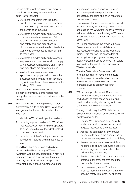inspectorate is well resourced and properly positioned to actively enforce health and safety laws, including:

- 1 . WorkSafe Inspectors working in the construction industry must have sufficient experience in high risk disciplines within the construction industry;
- 2 . Worksafe is funded sufficiently to ensure it prosecutes all employers who fail to comply with occupational health and safety laws and regulations in circumstances where there is potential for workers to be exposed to injury or harm to their health;
- 3 . Worksafe is funded sufficiently to ensure employers who continue to fail to comply with occupational health and safety laws and regulations are prosecuted; and
- 4 . Worksafe Inspectors to issue on-thespot fines to employers who breach the occupational safety and health laws and regulations with such fines to assist in the funding of Worksafe.

WA Labor recognises the need for a proactive safety regulator to restore high safety standards, as well as confidence in the system.

- **390** WA Labor condemns the previous Liberal Government's cuts to WorkSafe. WA Labor recognises that these cuts have had the effect of:
	- 1 . abolishing WorkSafe inspector positions
	- 2 . reducing support positions for WorkSafe inspectors, causing WorkSafe inspectors to spend more time at their desk instead of at workplaces; and
	- 3 . reducing WorkSafe's ability to perform its functions in regional and remote areas of WA.

In addition, these cuts have had a direct impact on health and safety in Western Australian workplaces, particularly in high risk industries such as construction, the maritime industry, electrical industry, transport and manufacturing. In these industries workers

are operating under significant pressure and are required to respond and react to consistently changing and often hazardous work environments.

This state conference unequivocally supports the right of every worker to go home safely and calls on the WA State Labor Government to immediately reinstate funding to Worksafe and/or implement a self-funding model to the same level.

WA Labor condemns the previous Liberal Government's cuts to WorkSafe which has reduced the funding to the WorkSafe library. This has had the direct effect of reducing the support given to safety and health representatives to achieve high safety standards in the construction industry in Western Australia.

The WA State Labor Government will reinstate funding to WorkSafe to ensure the librarian position within WorkSafe is maintained to enable safety and health representatives to properly research breaches.

**391** WA Labor supports the WA State Labor Government's inquiry into the effectiveness and efficacy of state based occupational health and safety legislation, regulation and enforcement in Western Australia.

> Through this inquiry, the WA State Labor Government will institute amendments to the legislative regime to:

- 1 . Ensure WorkSafe inspectors regularly undertake random, unannounced and targeted inspections of workplaces;
- 2 . Assess the competency of WorkSafe inspectors to ensure the highest quality inspectors are employed within WorkSafe;
- 3 . Assess the remuneration of WorkSafe inspectors to ensure WorkSafe inspectors receive wages commensurate to the industry they are working in;
- 4 . Establish the right for unions to prosecute employers for breaches that affect the workers that they represent;
- 5 . Incorporate a system of "on the spot fines" to motivate the creation of a more effective safety framework by principal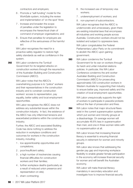contractors and employers;

- 6 . Promote a "self-funding" model for the WorkSafe system, including the review and implementation of 'on the spot' fines;
- 7 . Increase and broaden the scope of penalties under the legislation to encompass the hierarchical chain of command of employer organisations; and
- 8 . Ensure that penalties for employers are reflective of the seriousness of the harmful act.

WA Labor recognises the need for a proactive safety regulator to restore high safety standards as well as confidence in the system.

**392** WA Labor condemns the Turnbull Government for its targeted attacks on construction workers through the resurrection of the Australian Building and Construction Commission (ABCC).

> WA Labor notes that the ABCC's overwhelming purpose is to "police" workers and their representatives in the construction industry and to constrain construction workers' access to representation, pay equality, better safety and local employment opportunities.

WA Labor recognises the ABCC does not address any substantial issues within the construction industry. In fact, the existence of the ABCC has only inflammed tensions and exacerbated problems within the construction industry.

Further, the ABCC and associated Building Code has done nothing to address the reduction in workplace conditions and outcomes for workers in the construction industry, including:

- 1 . low apprenticeship opportunities and completions;
- 2 . poor/insufficient safety;
- 3 . a high number of insolvencies causing financial difficulties for construction workers and their families;
- 4 . further workplace deaths (particularly as a result of reduced union presence and representation on site);
- 5 . sham contracting;
- 6 . the increased use of temporary visa workers;
- 7 . underemployment of workers; and
- 8 . non-payment of subcontractors.

WA Labor recognises that the ABCC is undemocratic and unnecessary, given there are existing industrial laws that encompass all industries and working people across Australia. Construction workers should not be isolated and subject to oppressive laws.

WA Labor congratulates the Federal Parliamentary Labor Party on its commitment to abolish the ABCC upon gaining government.

**393** WA Labor condemns the Turnbull Government for its war on workers through its harsh and unfair industrial relations policies. In particular, this WA Labor Conference condemns the anti-worker Australian Building and Construction Commission (ABCC) for prosecuting approximately 530 construction workers in Western Australia for supporting their industry to ensure better pay, improved safety and the creation of local employment opportunities.

> WA Labor unequivocally supports the right of workers to participate in peaceful protests without the fear of prosecution and fines.

**394** WA Labor notes that major structural flaws exist in the current superannuation systems which put women and minority groups at a disadvantage. On average women will accumulate 46.6% less in superannuation than men; and one in three women retire with no superannuation at all.

> WA Labor knows that increasing financial literacy is essential to ensuring financial security in retirement for women and minority groups.

WA Labor also knows that addressing the gender pay gap and improving workplace flexibility to enable greater female participation in the economy will increase financial security for women and will benefit the Australian economy.

WA Labor will make financial literacy mandatory in secondary education and investigate how to improve financial security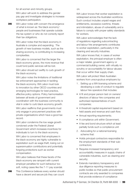for all women and minority groups.

WA Labor will work to address the gender pay gap and investigate strategies to increase workplace participation.

**395** WA Labor notes with concern the emergence of what is known as 'the black economy': people and businesses that operate outside the tax system or who do not correctly report their tax obligations.

> WA Labor notes that the black economy in Australia is complex and expanding. The growth of new business models, such as the sharing economy, is contributing to increasing complexities.

> WA Labor is concerned that the larger the black economy grows, the more revenue that could fund public services will be lost.

> WA Labor should act swiftly to curb growth of the black economy.

WA Labor notes the limitations of traditional tax enforcement approaches in tackling the black economy. WA Labor must look to innovation by other OECD countries and emerging technologies for best practice, effective policy options. Policy harmonisation between all levels of government and coordination with the business community is vital in order to curb black economy growth.

WA Labor reaffirms that governments must only engage in procurement practices with private organisations which have a good tax record.

WA Labor condemns the low wage growth condoned under the Federal Liberal Government which increases incentives for individuals to turn to the black economy.

WA Labor is concerned that employees in the black economy are highly vulnerable to exploitation such as wage theft, losing out on superannuation contributions and potentially forgoing protections such as worker compensation.

WA Labor believes that these facets of the black economy are rampant with current employer penalties for such behaviour too soft, noting cases like the 7-11 pay scandal.

**396** This Conference believes every worker should have a decent and secure job they can count

on.

WA Labor knows that worker exploitation is widespread across the Australian workforce. Such conduct includes unpaid wages and entitlements, excessive overtime, threats and intimidation, abuse of vulnerability and a failure to comply with proper safety standards for workers.

WA Labor acknowledges that the lack of regulations regarding subcontracting and labour hire arrangements contributes to worker exploitation, particularly in the cleaning and security industries.

WA Labor knows that, in cases of worker exploitation, the principal employer is often a major retailer, government agency or commercial building owner, with virtually no scrutiny or accountability for labour abuses that occur within their supply chain.

WA Labor will protect West Australian workers from unscrupulous employers by:

- 1 . Setting up a WA licensing scheme and developing a code of conduct to regulate labour hire operators that includes:
- A fit and proper person test on owners/ directors of labour hire companies and authorised representatives of such companies;
- A threshold capital requirement based on held assets and revenue and cash flow;
- Annual reporting requirements;
- A compliance unit within Government;
- A fee and bond structure which at least partially funds such a compliance unit
- 2 . Advocating for a national licensing scheme that:
- Holds principal contractors responsible for the employment standards of their subcontractors;
- Requires increased transparency and accountability measures in supply chains of vulnerable industries, such as cleaning and security;
- Extends mandatory transparency and due diligence reporting measures to public bodies so that public procurement contracts are only awarded to companies that provide evidence of compliance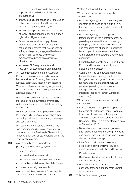with employment standards throughout supply chains both domestically and internationally;

- Imposes significant penalties for the use of unlicensed or unregistered labour hire firms by 'host' or 'primary' employers.
- Establishes a public, centralised repository of supply chains transparency and human rights due diligence reports.
- Promotes responsible supply chains practices to companies including multistakeholder initiatives that include worker voice; and regularly engage with relevant government, business and worker representative bodies on a genuinely tripartite basis.
- Increases OHS requirements and regulation of accommodation standards.
- **397** WA Labor recognises that the Australian Dream of home ownership is becoming harder and harder for many Australians to achieve, particularly those on low incomes. West Australians are spending longer renting due to increased costs of living and a lack of affordable housing.

WA Labor believes that, as well as tackling the issue of home ownership affordability, action must be taken to assist those renting their homes.

West Australians in rental properties deserve the opportunity to have a place where they can enjoy their lives, raise a family, have a pet and call their home.

WA Labor will commence a review of the rights and responsibilities of those renting properties and the Residential Tenancy Act, in consultation with all stakeholders within the residential rental market.

- **398** WA Labor affirms its commitment to a publicly controlled energy system that:
	- Ensures reliability
	- Protects the disadvantaged
	- Supports jobs and industry development
	- Is not a financial drain on the State Budget
	- Is environmentally sustainable.

WA Labor will keep Western Power in public hands and enable it to be the platform for

Western Australia's future energy network.

WA Labor will keep Synergy in public ownership and:

- Re-focus Synergy's corporate strategy on maintaining its position as a public utility that delivers economic and social value to the community.
- Re-focus Synergy on leading the transformation of the electricity sector by providing a renewed focus on meeting the rapidly changing needs of customers and managing the changes in generation technologies to a low emission future with increasing distributed and renewable generation.
- Establish a Ministerial Energy Consultation Forum and increase community and stakeholder consultation.
- Continue on the path towards removing the cost burden of energy on the State Budget (to encourage innovation, provide for more efficient and sustainable use patterns, provide greater customer engagement and to reduce taxpayer subsidies that do not target vulnerable customers).

WA Labor will implement a Just Transition Plan that will:

- Initiate a Working Group made up of local Members of Parliament, industry workers, local councils and relevant energy unions. This group would begin convening before 1 December 2017, with a projected end date of December 2018.
- Recognise that coal-powered generation and related industries are facing increasing challenges due to rapid changes in energy demand and technologies.
- Identify and build renewable energy projects in existing energy producing communities such as Collie and Bunbury.
- Provide new jobs.
- Re-train workers for the transition to new energy technologies.
- Build community capacity to help with economic transition and maintain vibrant communities.
- **399** This Conference recognises: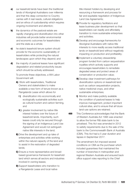- a) our leasehold lands have been the traditional lands of Aboriginal Australians over millennia and that this deep connection to Country carries with it real needs, cultural obligations and an ethos of custodianship which requires ongoing involvement and attention;
- **b)** the dynamics of the pastoral estate are rapidly changing and diversification into other industries will provide better environmental and economic outcomes for leaseholders and the state as a whole;
- c) he state's leasehold tenure system should provide for the economic sustainability of leaseholders while protecting the natural landscapes upon which they depend; and
- d) the majority of pastoral leases have significant degradation and related productivity issues which should be actively addressed.

To promote these objectives, a WA Labor Government will:

- A) Work with leaseholders, Traditional Owners and stakeholders to make available a new form of tenure known as a Rangelands Lease which allows for
	- i) diversification into economically and ecologically sustainable activities such as cultural tourism and carbon farming, and
	- **ii**) greater involvement by native title interest holders over the future of leasehold lands. Importantly, such leases could only be secured through the signing of an Indigenous Land Use Agreement and would not extinguish native title interests in the land;
- **B)** Drive the development and up-take of enterprises and activities while working within the natural capacity of the land and to assist in the restoration of degraded lands;
- C) Ensure a more representative and broadbased governance framework for leasehold land which serves all sectors and industries involved in owning leases;
- D) Support leaseholders who transition to a Rangelands Lease and local native

title interest holders by developing and resourcing a framework and process for fair and equitable negotiation of Indigenous Land Use Agreements;

- E) Provide for regulatory facilitators and lease business plan development so that leaseholders can readily and affordably transition to more sustainable enterprises and activities;
- F) Develop and encourage frameworks for Aboriginal Australians with native title interests to more readily access traditional lands on leasehold land without negatively impacting on production and profitability;
- G) Implement a voluntary stewardship program funded from carbon sequestration royalties which actively supports and encourages leaseholders to remediate degraded areas and protect areas of conservation or production value;
- H) Develop clear investment pathways for diversification options on leasehold land such as carbon sequestration projects, native medicinal crops, and other sustainable enterprises;
- I) Monitor and make publicly available the condition of pastoral leases to help improve management, protect important cultural sites, and to ensure that all future land-use options are retained.
- **400** This Conference acknowledges that the Bank of Western Australia Act 1995 was enacted to allow the former R&I state bank to be privatised. This Act was amended in 2012 to satisfy requirements due to the sale of the bank to the Commonwealth Bank of Australia (CBA). This Act had a 5 year duration and lapses in September 2017.

The amendment Act imposed several conditions on CBA as the purchaser which included guarantees that maintained the number of branches in metropolitan and regional Western Australia and ensured back office support roles reporting to the Chief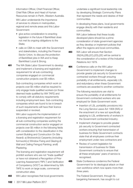Information Officer, Chief Financial Officer, Chief Risk Officer and Head of Human Resources remain in Perth, Western Australia.

WA Labor understands the importance of services to citizens in metropolitan, regional and remote areas and this Labor Government:

- give active consideration to enacting legislation in the future if BankWest does not met its ongoing obligations to the State;
- calls on CBA to meet with the Government and stakeholders, including the Finance Sector Union, to discuss the protection of BankWest jobs in WA and to Keep BankWest Local & Strong.
- **401** The WA State Labor Government to develop and implement a licensing and registration requirement for all sub-contracting companies engaged on commercial construction projects over \$5 million.

Sub-contracting companies which work on projects over \$5 million shall be required to only engage trade qualified workers (or those deemed trade qualified by WA TAFE) and to comply with all statutory requirements including employment laws. Sub-contracting companies which are found to be in breach of such requirements will have their licence suspended or revoked.

WA Labor supports the implementation of a licensing and registration requirement for all sub-contracting companies working the commercial construction sector engaged on projects over \$5 million in the following fields with consideration to the classification in the current Building and Construction On Site Award): a) Brickwork;b) Carpentry (including formwork);c) Window Fixing and Glazing;d) Wall and Ceiling Fixing;e) Painting; andf) Plastering.

The licensing and registration requirement will prohibit workers who are not "trade qualified" or have not obtained a Recognition of Prior Learning Assessment ("RPL") and Verification of Competency (VOC") as determined by WA TAFE to work on large scale, commercial construction sites.

**402** WA Labor recognises that local governments

undertake a significant local leadership role by developing Strategic Community Plans that represent the needs and desires of their communities.

In developing these plans, local governments engage directly with their residents and communities.

WA Labor believes that these locally developed plans should be a prime consideration of state government agencies as they develop or implement policies that affect the regions and local communities.

- **403** WA Labor will ensure that Section 26(2A),(2B),(2C),(2D),(2E) will be central to the consideration of a review of the Industrial Relations Act 1979.
- 404 Conference calls on the WA Labor Government to implement changes to provide greater job security to Governmentcontracted workers through ensuring portability of all entitlements, especially LSL and redundancy when these Government contracts are awarded to another contractor.

The following resolutions are vital to ensure the portability of all entitlements for Government-contracted workers who are employed for State Government work:

- Insertion of LSL portability provisions into the Long Service Leave Act 1958 (WA) or the enactment of a new act specifically applying to LSL entitlements of workers in the Government contracted industry;
- Implement changes to provide greater job security to Government contracted workers ensuring that transmission of business for State Government contracts state that all employees continue their employment under new contractors and
- Review of current legislation for transmission of business for State Government contracts to ensure that all these employees' years of service is recognised.
- **405** State Conference condemns the Federal Government for its ideological attack on their own workforce which now spans more than three years.

The Federal Government, through its bargaining framework, has sought to cut

102 | 2017 WA Labor Platform 2017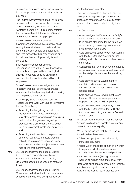employees' rights and conditions, while also forcing employees to accept below inflation pay-rises.

The Federal Government's attack on its own employees fails to recognise the important work these employees undertake serving the Australian community. It also demonstrates the disdain with which the Abbott/Turnbull Governments hold working people.

State Conference recognises that government employees play a critical role in serving the Australian community and, like other employees, should be treated fairly and with respect by their employer and able to maintain their employment rights and conditions.

State Conference recognises that inadequacies within the Fair Work Act allow intractable employers with an ideological agenda to frustrate genuine bargaining and threaten the rights and conditions of employees.

State Conference acknowledges that it is important that the Fair Work Act provide workers with a level playing field when dealing with employers in bargaining.

Accordingly, State Conference calls on Federal Labor to work with unions to improve the Fair Work Act by:

- Amending the bargaining provisions of the Fair Work Act to establish a better legislative system for workers in bargaining, that provides for genuine bargaining processes and allows for effective action to be taken against recalcitrant employers; and
- Amending the industrial action provisions of the Fair Work Act to ensure workers' rights to take protected industrial action are protected and not subject to excessive restrictions that currently apply.
- **406** WA Labor condemns the Federal Liberal Government's approach to public sector science which is having broad ranging deleterious effects on science and research in WA.

WA Labor condemns the Federal Liberal Government in its inaction to call out climate sceptics and those who denigrate science

and the knowledge sector.

This Conference calls on Federal Labor to develop a strategy to support the funding of jobs and research, as well as scientists' salaries, attraction and retention of jobs in WA.

- 407 This Conference:
	- Acknowledges the Federal Labor Party's commitment at the last Federal Election to lift service standards for the Australian community by converting casual jobs at DHS into permanent jobs.
	- Calls on Federal Labor to continue working with the CPSU to improve vital service delivery and public service provision to our community.
	- Condemns the Turnbull Government for its ongoing attacks on its own workforce and on the vital public services that we all rely on.
	- Calls on the Federal Government to maintain and increase public sector employment in WA metropolitan and regional areas.
	- Calls on the Federal Government to end the use of labour hire arrangements to displace permanent APS employment.
	- Calls on the Federal Labor Party to work with the CPSU to restore the APS jobs that have been cut by successive Federal Governments.
- **408** WA Labor reaffirms its view that the gender pay gap in all its forms constitutes a serious barrier to women's equality.

WA Labor recognises that the pay gap in Australia takes three forms:

- 'glass ceilings' (the domination of high status jobs by men),
- 'glass walls' (majorities of men and women in separate industries where female majority industries are less well paid) and
- employment status (the high levels of women doing part-time and casual work).

Glass walls exist because individuals' choices are influenced by structural factors and social norms. Caring responsibilities and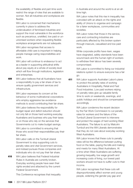the availability of flexible and part-time work restrict the range of roles that are available to women. Not all industries and workplaces are flexible.

WA Labor is concerned that mechanisms currently in place to address the undervaluation of feminised industries and support the most vulnerable in the workforce such as precarious, unskilled, low paid or ununionised workers when requesting flexible workplace arrangements are not adequate.

WA Labor recognises that access to affordable child care is important in helping people manage caring responsibilities and work.

WA Labor will continue to endeavour to act as a leader in supporting attitudinal shifts about pay equity at a whole-of-society level which will flow through institutions, legislation and enterprises.

**409** WA Labor believes that all Australians have a responsibility to pay a fair share of tax to ensure quality government services and infrastructure.

> WA Labor expresses its concern at the behaviour of some multinational corporations who employ aggressive tax avoidance methods to avoid contributing their fair share.

> WA Labor believes the responsibility for budget repair and deficit reduction should not only fall on those hard working everyday Australians and business who pay their taxes or on those who rely on the services that Governments cut to make budget savings.

WA Labor is committed to ensuring that those who avoid their responsibilities pay their fair share.

WA Labor calls on the Turnbull Liberal Government to stop supporting cuts to penalty rates and vital Government services, and instead pursues those companies and individuals who do not pay their fair share.

**410** WA Labor believes that Federal Industrial Rules in Australia are currently broken. Everyday working people have seen their rights eroded and attacked by the current Federal Government.

This Conference recognises that inequality

in Australia and around the world is at an alltime high.

WA Labor notes that this rise in inequality has coincided with an attack on the rights and ability of Unions to organise and campaign for a fairer workplaces, communities and societies.

WA Labor notes that those in the service. care and contracting industries are particularly affected by this broken system through insecure, casualised and low paid work.

While corporate profits have risen, wages have stagnated, safety standards have been wound back and the human right of workers to withdraw their labour has been severely compromised.

WA Labor is committed to fixing our industrial relations system to ensure everyone has a fair go.

411 WA Labor supports Australian Labor's plans to protect the penalty rates of working Australians in Hospitality, Retail and Fast Food industries. Low paid workers relying on penalty rates give up valuable family time to work on weekends, evenings, and public holidays and should be compensated accordingly.

> WA Labor condemns the recent decision by the Fair Work Commission to cut penalty rates for workers and the failure of the Turnbull Liberal Government to intervene and protect the wages of hard working West Australians. The failure to act by Malcolm Turnbull and the WA Liberals demonstrates that they do not care about everyday working West Australians.

WA Labor knows that these cuts to penalty rates will be the difference between putting food on the table, paying the bills and making end meets for many West Australians. At a time when West Australians are suffering growing inequality, low wage growth and increasing costs of living, our lowest paid workers should not have to suffer cuts to their income.

WA Labor recognises that these cuts will disproportionately affect women and young people, widening the gender pay gap and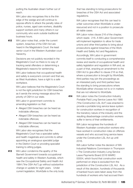putting the Australian dream further out of reach.

WA Labor also recognises this is the thin edge of the wedge and will continue to oppose efforts to attack the penalty rates of police, nurses, aged care workers, disability support workers and many others in our community who work outside traditional business hours.

**412** WA Labor notes that, under the current system, breaches of the OSH Act are heard in the Magistrate's Court: the least senior court in the Western Australian court hierarchy.

> Decisions are not publicly recorded in the Magistrate's Court so there is no way of tracking serial offenders or determining a Magistrate's reasons for sentencing.

WA Labor believes that occupational health and safety is everyone's concern and that we, as West Australians, have a right to a safe workplace.

WA Labor believes that the Magistrate's Court is not the right jurisdiction for OSH breaches as it sends the wrong message about the priority of OSH in our state.

WA Labor in government commits to amending legislation so that:

- Alleged OSH breaches can be heard as indictable offences;
- Alleged OSH breaches can be heard as indictable offences;
- Alleged OSH breaches can be heard as indictable offences;

WA Labor also recognises that the Magistrate's Court has a specialist safety and health magistrate and commits to either appointing an analogous specialist judge in the District Court or providing specialist training to sitting judges.

**413** WA Labor condemns the apathy of the Barnett Government towards occupational health and safety in Western Australia, which saw the Occupational Safety and Health Act 1984 ("the OSH Act") go without substantive change or update for eight years. Under current legislation, WorkSafe is the only body that has standing to bring prosecutions for breaches of the OSH Act and associated regulations.

WA Labor recognises that this can lead to unfair outcomes when WorkSafe is underresourced and not in a position to prosecute all viable cases.

WA Labor notes clause 216 of the chapter, which reads: 216. A WA Labor Government will implement legislation to allow for trade unions and other third parties to bring about prosecutions against breaches of the Work Health and Safety Act and Regulations .

Accordingly, WA Labor in government commits itself to conducting a comprehensive review and rewrite of occupational health and safety legislation and regulation in WA and, as a part of that, enacting an amendment to the OSH Act to give effect to clause 216 so that, where a prosecution is brought by WorkSafe, third parties may join the proceedings as an interested party and third parties have the standing to bring prosecutions where WorkSafe either chooses not to or in matters that are not referred to WorkSafe.

414 WA Labor notes the Construction Industry Portable Paid Long Service Leave Act 1985 ("the Construction LSL Act") was enacted to provide a portable long service leave system for construction workers in recognition of the transitory nature of the industry and the resulting disadvantage construction workers suffer in terms of their entitlements.

> WA Labor recognises the hundreds of Western Australian construction workers who have worked in construction roles on offshore vessels and who accrued long service leave under the Construction LSL Act up until 2016.

> WA Labor further notes the decision of WA Industrial Relations Commission in Thompson v The Construction Industry Long Service Leave Payments Board 2016 WAIRC 00054, which found that construction work performed on ships is excluded from the jurisdiction of the Construction LSL Act. As a result of this decision, hundreds of thousands of banked hours were taken away from the hundreds of workers who had accrued them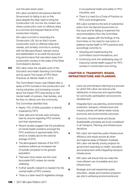over the past seven years.

WA Labor condemns the previous Barnett Government for failing to act on this issue despite the clear need to bring the Construction LSL Act into the modern era: where construction work on offshore ships is a common and frequent feature of the construction industry.

WA Labor commits to amending the Construction LSL Act so that it covers construction work on offshore ships and vessels, and similarly commits to working with the MyLeave Board, relevant unions and stakeholders to re-credit the accrued long service leave that was taken away from construction workers in the wake of the State Commission's decision.

**415** WA Labor notes the valuable work of the Education and Health Standing Committee and its report The Impact of FIFO Work Practices on Mental Health in 2015.

> The Committee's inquiry was initiated after a spate of FIFO suicides in the construction and mining industries, and increasing concern about the impact FIFO was having on the mental health of workers, their families, and the flow-on effects onto the community.

The Committee identified that:

- Nearly 10% of WA's population is directly impacted by FIFO;
- Clear data and records were not being kept by anyone regarding FIFO workers and their experiences;
- Recent studies suggest that the prevalence of mental health problems amongst the FIFO workforce is approximately 30%, which is notably above the national average of 20%;
- The demographic features of the FIFO workforce reflects an increased risk of suicide compared to the general population;
- That even-time rosters are the most favourable FIFO rosters for mental wellbeing;
- Further specific research is needed into the mental health of FIFO workers;
- There is a clear need for legislative change

in occupational health and safety in FIFO industries; and

• There is a need for a Code of Practice on FIFO work arrangements.

WA Labor condemns the lack of substantive action from the Barnett Government on this issue and for failing to implement the recommendations from the Committee.

WA Labor agrees with the findings of the Committee on the need for real action to address mental health in FIFO practices and accordingly commits to:

- Adopting and implementing the Committee's recommendations; and
- Continuing work into addressing ways of improving mental health support for FIFO workers in construction and mining.

# CHAPTER 5: TRANSPORT, ROADS, INFRASTRUCTURE AND PLANNING

- 1 Land use and transport planning is a process by which WA Labor can ensure a fair distribution of resources and opportunities for community participation and economic development.
- **2** Integrated land use planning, environmental protection, transport, infrastructure and industry policies will deliver better social, economic and environmental outcomes.
- **3** Economic, Environmental and Social Sustainability principles are to be considered in all Transport, Planning and Infrastructure decisions.
- **4** WA Labor will maximise public infrastructure efficiency and equity across all urban and regional areas of Western Australia. WA Labor will identify priority projects for government spending on health, education and employment while integrating transport infrastructure.
- **5** WA Labor will ensure that we make the most efficient use of available land and infrastructure.
- **6** Strategic and well researched public education, rebate and incentive programs are vital to achieving environmental and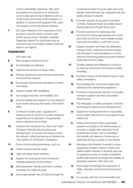social sustainability objectives. WA Labor recognises the importance of continuing current state government initiatives such as Travel Smart and Living Smart programs. In addition to Government programs WA Labor will support community based initiatives.

**7** WA Labor believes in the importance of the provision of public sector common user berths across ports in Western Australia. Regionally based Port Authorities play an important role in providing a stable economic base in our regions.

### TRANSPORT

WA Labor will:

- 8 Plan transport infrastructure to:
	- a) Be affordable and efficient;
	- **b)** Optimize the amenity of urban areas;
	- c) Reduce greenhouse gas emissions and other environmental impacts;
	- d) Incorporate best practice standards of health and safety;
	- e) Support people with disabilities;
	- f) Encourage innovation and flexibility; and
	- g) provide facilities and support for long distance truck drivers servicing the needs of the North West.
- **9** Continue to review, plan, upgrade and extend access to all forms of public transport supported by the allocation of appropriate levels of government funding.
- **10** Examine the mechanism by which the Public Transport Authority fare structures are decided upon, to ensure cost equity across the network, while maintaining an efficient low cost system for all Western Australians.
- 11 Focus on promoting alternatives, such as:
	- a) Public transport priority lanes;
	- **b)** Light and rapid transit systems;
	- c) Support for local government to improve existing pedestrian environments;
	- d) Safe pedestrian friendly precincts in central, suburban and regional areas;
	- e) Encourage greater use of cycling through the

continued provision of cycle ways and cycle friendly roads that are fully integrated with the public transport network;

- f) Increase capacity for bicycles to be taken to Public Transport Hubs and safely stored during peak and off peak times; and
- g) Provide incentives to businesses that promote and encourage flexible work hours and travel to and from work outside of peak hours and the ability to work from home.
- 12 Support research and trials into alternative transport fuels, methods and technologies with the goal of reducing reliance on fossil fuels and improving greenhouse gas emission levels and local air quality.
- 13 Develop policies and initiatives to continue to improve community and transport safety, including:
	- a) Constant reviews of the effectiveness of road safety campaigns;
	- **b)** Encouraging new community awareness initiatives and underpinning legislation;
	- c) Provision of appropriate security on all public transport systems and their associated infrastructure;
	- d) The integration of safety principles in all land and transport planning and developments;
	- e) Support for local government in road safety and accident prevention on local government roads; and
	- f) Initiate and fund pro-active road safety research and trials on the effectiveness of a power to weight ratio restriction for all probationary drivers, and to investigate the benefits and delivery of Advanced or Defensive Driving Courses to new drivers.
- 14 Recognise that Western Australia's unique geographic location makes a vibrant and viable aviation industry a necessity and use its regulatory power to create competition whilst balancing the coverage and stability of intrastate networks. WA Labor will:
	- a) Encourage and develop the expansion of State, interstate and international services; and
	- **b)** Co-operate with the Commonwealth and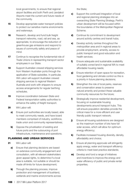local governments, to ensure that regional airport facilities and both Perth and Jandakot Airports meet the current and future needs of the community.

- **15** Develop appropriate water transport policies to protect our sensitive marine environments and waterways.
- 16 Research, develop and fund bulk freight transport networks, road, rail and sea, as appropriate, to encourage the reduction of greenhouse gas emissions and respond to issues of community safety and peace of mind.
- 17 Continue to recognise the fundamental role of Trade Unions in representing transport sector employees in our State.
- **18** Support Australian crewed shipping services from Western Australian ports through the application of State subsidies. In particular, WA Labor will support Australian crewed shipping services to regional Western Australia and work with shippers to ensure access arrangements for regular berthing schedules.
- 19 Improve coordination between State and Federal transportation safety authorities to enhance the safety of freight transport.
- 20 WA Labor will:
	- a) Ensure port authorities are locally based, able to meet community needs, and have board members comprised of industry, workforce, trade union and community representatives;
	- **b)** Oppose the privatisation of existing and future ports and the outsourcing of port infrastructure, maintenance and operations.

### PLANNING AND URBAN SERVICES

- 21 WA Labor will:
	- a) Ensure that planning decisions are based on extensive community engagement and consultation, with all relevant stakeholders given appeal rights, to determine if a local area is suitable, not suitable or should be made off-limits for future development;
	- **b)** Through the planning process, improve protection and management of bushland, wetlands and marine environments across

the State;

- c) Support the continued integration of local and regional planning strategies into an overarching State Planning Strategy. Perth's urban development will be focused within the boundaries of the Metropolitan Regional Scheme;
- d) Continue its commitment to development around activity centres and transit hubs;
- e) Develop activity centres throughout the metropolitan area and in regional areas to provide employment, amenity, access to public transport and good education and health services;
- f) Ensure adequate and sustainable availability of suitably zoned land in regional WA to meet affordable housing needs;
- g) Ensure retention of open space for recreation, food gardening and climate control so this is a priority in future planning decisions;
- h) Strengthen the role of local parks, reserves and conservation areas to preserve natural amenity and protect these valuable community resources for the future;
- i) Strategically improve residential development, focusing on sustainable housing developments around transport hubs. This will ensure population densities provide the critical mass for a more efficient and user friendly public transport network;
- **j)** Ensure all housing subdivisions are designed so the maximum number of lots have full solar access, which will allow for optimum energy efficiency;
- k) Facilitate increased housing diversity, density, affordability and choice;
- **l)** Ensure all planning approvals will stringently apply energy, water and transport efficiency criteria to meet best practice standards;
- **m)** Develop and fund a range of initiatives and incentives to improve the energy and water efficiency of public and private rental properties;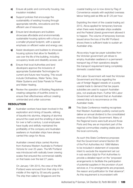- n) Ensure all public and community housing, has insulation installed;
- o) Support policies that encourage the sustainability of existing housing through appropriate retrofits, renovations and the efficient use of resources;
- **p)** Ensure land developers and builders showcase affordable and environmentally sustainable housing options with a focus on a smaller physical footprint, with a special emphasis on efficient water and energy use;
- q) Assist developers and builders to showcase housing options that allow for flexibility in use over the life of the building, including occupancy levels and disability access; and
- r) Ensure that local Authorities and land developers approve the inclusions of appropriate Sustainable Technologies for current and future new housing. This would include Clotheslines, Water Tanks, Grey Water Systems and Solar Panels for Power and Water Heating.
- s) Review the operation of Building Regulations creating categories of bushfire zones to ensure their effectiveness without creating unintended and unfair outcomes

# RESOLUTION

22 Australian workers have been involved in the exploration and mining of bauxite, refining of bauxite into alumina, shipping of alumina around the coast and the smelting of alumina for over a half a century. Local employees have loyally and skilfully maintained the profitability of the company and Australian seafarers on Australian ships have always carried this cargo for Alcoa.

> Australian crewed ships carried Alumina from Kwinana Western Australia to Portland Victoria for over 25 years. The MV Portland was introduced with radically lower crewing scales that ensured the commercial viability on that basis over the last 27 years.

On January 13th 2015, the crew of the MV Portland were removed from their ship in the middle of the night by 30 security guards. The ship then sailed to Singapore and the

coastal trading run is now done by Flag of Convenience vessels with exploited overseas labour being paid as little as \$1.25 per hour.

Exploiting the intent of the coastal trading act 2012, Alcoa applied for temporary licences when there were Australian ships available and the Federal Liberal government allowed it to happen. The volume of temporary licences issued since the loss of the MV Portland shows there is sufficient trade to sustain an Australian ship.

Alcoa enjoy huge tax payer subsidies from the Victorian government yet refuse to employ Australian seafarers in a permanent transport leg of their operations despite this transport requirement being completely domestic coastal trade.

WA Labor Government will meet the Victorian Government and Alcoa regarding the use of foreign flagged vessels on a purely coastal trade to demand that tax payers subsidies are used to support Australian jobs, not eradicate them. Further WA Labor Government will demand that an Australian crewed ship is to recommence on this Australian trade.

23 This State Conference meeting recognises that Western Australia's publicly-owned ports deliver an annual dividend to the consolidated revenue of the State Government. Many of the Regional towns were built around those Ports and they are an important part of the regional communities creating stable jobs for the local community.

> As such this State Conference proposes that the Government amend Section 60 of the Port Authorities Act 1999 Matters to be included in statement of corporate intent to exclude the requirement set out in sub-section (k)(a) for Port Authorities to provide a detailed report on the "proposed arrangements to facilitate the participation of potential suppliers in the provision of port services or, if no arrangements are proposed, the reason and justification for their absence". As this requirement is inconsistent with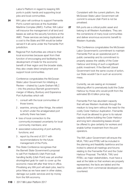Labor's Platform in regard to keeping WA ports in public hands and supporting local jobs and local communities.

- 24 WA Labor will continue to support Fremantle Port's current services at the Australian Maritime Complex (AMC). Further, WA Labor will insource the management of all land and leases as well as the security functions at the AMC. These services are being duplicated at a cost to the State and WA would be better served if it all came under the Fremantle Port jurisdiction.
- **25** Regional Port Authorities are critical to their local economies because apart from their function of encouraging and facilitating the development of trade for the economic benefit of their region and the broader state, they also create direct employment and support local communities.

Conference congratulates the McGowan State Labor Government for initiating a Review – chaired by Laurie Graham MLC – into the previous Barnett government's merger of Albany, Bunbury and Esperance Port Authorities which will:

- 1 . consult with the local communities of those towns;
- 2 . examine, among other things, the extent to which under the amalgamated port authority there has been:
- loss of local connection to the community;increased uncertainty for local community members; and
- associated outsourcing of port authority functions; and
- 3 . report by the end of 2017 with recommendations for the future management of the Ports.
- **26** This State Conference recognises that the Barnett State Government's proposal to sell Port Hedland's Utah Point bulk handling facility (Utah Point) was yet another shortsighted grab for cash to cover up the economic mess left after their time in office. Privatising any WA port will slash jobs, lead to price hikes as we have seen in other states, damage our public services and rip money from the WA economy.

Consistent with the current platform, the McGowan State Labor Government will commit to ensure Utah Point is not be privatised.

**27** WA ports are a critical public asset and belong to all Western Australians. They are the cornerstone of many local communities and deliver enormous economic benefit to Western Australia.

> This Conference congratulates the McGowan Labor Government's commitment to maintain Fremantle Port as an operational port in public ownership and its commitment to properly assess the validity of the Outer Harbour and timing of such a significant public investment. If the Barnett Liberal Government took the same course of action, our State wouldn't be in such an economic mess.

Currently, we are seeing an increased lobbying effort to prematurely build the Outer Harbour by those who would profit from the estimated \$5-6 billion price tag.

Fremantle Port has abundant capacity that will see Western Australia through the medium to long term without the need for the costly Outer Harbour duplication. Fremantle Port must be allowed to grow to its natural capacity before building the Outer Harbour and long term stevedoring leases should be offered to give certainty for workers and enable further investment from the port operators.

The WA Labor Government will ensure the MUA, TWU and RTBU will be included in the planning and feasibility taskforce and be invited to attend all meetings and forums relating to the Fremantle Port and the Outer Harbour Proposal. The MUA, TWU and RTBU, as major stakeholders, must have a seat at the table so that workers are properly represented, the facts are tabled and the sales pitch from commercial developers are countered.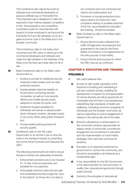This Conference also rejects the push by lobbyists and commercial developers to place an artificial cap on Fremantle Port. This proposed cap is designed to make the expensive Outer Harbour appear competitive. In fact, this proposal is anti-competitive, constitutes a plan for redundancies with respect to those employed in and around the Fremantle Port and will ultimately come at a great economic cost to the State and to the broader community.

This Conference calls on the trade union movement and WA Labor to stand up to the commercial developers and lobbyists and make the right decision in the interests of the State once the facts are made clear for all to see.

- 28 State Conference calls on the State Labor Government to:
	- 1 . funding to provide for additional security measures inside busses such as clear protective screens;
	- 2 . Impose greater response targets on Government-contracting security companies, as well as more security officers and mobile security being assigned to trouble hot spots; and
	- 3 . Implement tougher penalties for individuals who abuse or assault public sector transport workers, damage busses or are unruly whilst using public transport; and
	- 4 . Provide added policing powers for security guards.
- 29 Conference calls on the WA Labor Government to do all that it can to stop the crisis in the transport industry by amending the Owner Driver (Contract and Disputes) Act 2007.

The following amendments are vital to ensure transport workers are adequately protected.

- 1 . Enforcement provisions are to be included for 14-day minimum payments and penalties for non-payment;
- 2 . Enforceable minimum rates that are safe and sustainable and discourage the 'race to the bottom' by those who cut rates to

win contracts even if at a financial loss need to be implemented; and

3 . Provisions to include protections from repercussions for those who raise complaints relating to possible breaches of the Act, accompanied by education and training, should be enacted.

**30** State Conference calls on the State Labor Government to:

- 1 . Ensure that all monies collected from traffic infringements are protected and guaranteed to be used by the Road Safety Commission or its replacement for the sole purpose of road safety.
- 2 . Ensure that the sole purpose for which the RSC was set up continues.

# CHAPTER 6: EDUCATION AND TRAINING PREAMBLE

- 1 WA Labor believes that:
	- a) Access to high quality education is the keystone to building and maintaining a just and cohesive society, enabling the development of respect for and appreciation of cultural diversity providing opportunity for meaningful and rich lives to be experienced, establishing high standards of health and wellbeing, cultivating economic prosperity for individuals and the broader community, as well as supporting an active engagement of citizens in the democratic life of the state.
	- **b)** Schools cultivated as a central aspect of the community enhance opportunities for deeper whole of community commitment, engagement and investment in education and the implementation of more holistic strategies with improved outcomes for students.
	- c) Education is an essential investment by government in, and for the community, and should be accessible to all residents as a fundamental right.
	- d) A key responsibility for the WA Government is the direct provision for and promotion of quality, free, educational opportunity through public schools.
	- e) Central to the principles of educational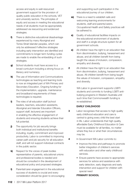access and equity is well-resourced government support for the provision of quality public education in the schools, VET and university sectors. The principles of equity and access in meeting the educational needs of all students must be appropriately addressed via resourcing and evidenced strategies.

- f) There is distinctive educational disadvantage experienced by many Aboriginal and Torres Strait Islander peoples, which can only be addressed if effective strategies including early intervention are identified and commitments to longer term funding cycles are made to enable the embedding of such strategies.
- **g)** School students must have access to a broad curriculum including a strong focus on literacy and numeracy.
- **h)** The use of Information and Communications technologies as teaching and learning tools is now an integrated part of WA Primary and Secondary Education. Ongoing funding for the implementation, upgrade, maintenance and broadband requirements of these technologies is required.
- i) The roles of all education staff (school leaders, teachers, education assistants, Aboriginal and Islander Education Officers, support staff, lecturers) are important in enabling the effective engagement of students and ensuring students achieve their full potential.
- **j)** The opportunity for job security brings both individual and institutional benefits including, loyalty, commitment and improved productivity. Labor is committed to improving career path and job security for all education staff, and will not support individual contracts in the public sector.
- k) Respect for the voices of peak bodies representative of parents, educational unions and professional bodies is needed and should be consulted in the development of educational policy and proposed strategies.
- l) Parental/carer engagement in the educational success of students is crucial and every consideration should be given to encouraging

and supporting such participation in the educational journey of our children.

- **m)** There is a need to establish safe and welcoming learning environments for students, staff and parents/carers. Occupational Health and Safety practices will be adhered to.
- **n)** Quality of educational facilities impacts on the educational environment of students and staff in a single structure system for all government schools.
- o) All children have the right to an education free from discrimination, bullying, harassment and abuse, and all children benefit from being taught the values of inclusion, compassion, empathy and diversity.
- 
- **2** All children have the right to an education free from discrimination, bullying, harassment and abuse. All children benefit from being taught the values of inclusion, compassion, empathy and diversity.

WA Labor in government supports LGBTI students and commits to funding LGBTI antibullying programs in Western Australia until such time that Commonwealth funding is re-established.

#### **EARLY CHILDHOOD**

- **3** Labor recognises that access to high quality early childhood education and care is central to giving every child the best start in life. Labor understands that high quality, affordable Early Childhood Education & Care must be available for all families, no matter where they live or what their circumstances may be.
- **4** In Government WA Labor commits to:
	- Improve the links and pathways to promote better integration of children's services with education and other early childhood services.
	- Fnsure parents have access to appropriate services for advice and assistance with early detection, early diagnosis and early intervention and support for children with special need

### **PRIMARY SCHOOL**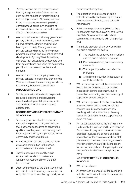- **5** Primary Schools are the first compulsory learning stage in student's lives, and as such set the foundation for later learning and life opportunities. All primary schools in the government system will provide a comprehensive curriculum and right of access to local students – no matter where in Western Australia people live.
- **6** WA Labor will ensure that every government primary school is a well-maintained, wellfunded, efficient, effective and inclusive learning community. Every government primary school will provide for the proper physical, emotional and intellectual care and development of young West Australians, celebrate their educational endeavours and learning excellence and value the democratic participation of parents, teachers and students.
- **7** WA Labor commits to properly resourcing primary schools to ensure that they provide West Australian children a strong foundation in numeracy, literacy and social skills.

#### **MIDDLE SCHOOLING**

8 Middle years education should be properly resourced, designed and delivered to meet the developmental, personal, social and intellectual requirements of young adolescents.

### **SECONDARY AND UPPER SECONDARY SCHOOLING**

- **9** Secondary schools should be properly resourced to provide a range of courses that best enables students to achieve the qualifications they seek, in order to grow in knowledge and skills, and participate in the community and the workforce.
	- a) All employees in our public schools make a valuable contribution to the school communities and the state of WA
	- **b)** That the provision of a quality public education in local communities is a fundamental responsibility of the State Government;
	- c) Direct employment by the State Government is crucial to maintain strong communities in our public schools, and the high quality of our

public education system;

- d) The operation and existence of public schools should be motivated by the pursuit of education and learning, and not profit maximisation;
- e) Public private partnerships (PPPs) reduce transparency and accountability by allowing the State Government to hide behind commercial arrangements with third parties; and
- f) The private provision of any services within our public schools will lead to:
	- i) The weakening of school communities and the public education system;
	- **ii**) Profit margins being put before quality standards;
	- **iii**) The propensity to be over reliant on PPPs; and
	- iv) A significant reduction in the quality of our Public Schools

10 WA Labor recognises that the Independent Public School (IPS) system has created inequities in staffing placement, public perception, resourcing and the availability of support for school principals.

11 WA Labor is opposed to further privatisation, including PPPs, with regards to front line services in public schools (specifically teaching, education assistants, cleaning, gardening and administrative support staff) does not occur.

12 WA Labor acknowledges the findings of the Parliament's Educations and Health Standing Committees Inquiry which reviewed current practices involving IPS schools and their implication for the system as a whole, staff placement procedures, the emergence of a two-tier system, the availability of support for school principals and the perception and reality of the level of autonomy principals have.

### **NO PRIVATISATION IN OUR PUBLIC SCHOOLS**

- 13 WA Labor believes:
	- a) All employees in our public schools make a valuable contribution to school communities and the state of WA;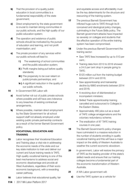- **b)** That the provision of a quality public education in local communities is a fundamental responsibility of the state government;
- c) Direct employment by the state government is crucial to maintain strong communities in our public schools, and the high quality of our public education system;
- d) The operation and existence of public schools should be motivated by the pursuit of education and learning, and not profit maximisation; and
- e) The private provision of any services within our public schools will lead to:
	- i) The weakening of school communities and the public education system;
	- ii) Profit margins being put before quality standards;
	- **iii**) The propensity to be over reliant on public/private partnerships; and
	- iv) A significant reduction in the quality of our public schools.
- 14 In Government WA Labor will:
	- a) Avoid further roll out of public private schools where possible and will have zero tolerance to any breaches of existing contractual arrangements.
	- **b)** Where possible, maintain direct employment by the State Government for all school support staff not already employed under existing public private partnership contracts as a result of the former Barnett Government policy.

### **VOCATIONAL EDUCATION AND TRAINING**

- **15** Labor recognises that Vocational Education and Training plays a vital role in addressing the economic needs of the state and our key state institution to train and deliver our current and future training needs is TAFE. High quality vocational training is one of the best mechanisms to address social and economic disadvantage and provide all West Australians, regardless of their socio economic background, with a rewarding career pathway.
- **16** Labor believes that educational quality, fair

and equitable access and affordability must be the key determinants for the structure and resourcing of the training system.

- 17 The previous Barnett Government has inflicted huge cuts to TAFE through its illconceived and ideological policy changes, culminating in the Future Skills policy. The Barnett government attacks have impacted so severely on colleges and students that the effective operation of the entire training system has been compromised.
- **18** Under the previous Barnett Government the training sector:
	- Saw TAFE fees increased by up to 510 per cent.;
	- Training data from 2013 to 2016 showed a 24.5 per cent drop in people going to TAFE;
	- \$120 million cut from the training budget between 2014 and 2016;
	- Saw apprenticeship and traineeship decline by 6860 enrolments between 2014 and 2016;
	- A revolving door of disinterested or incompetent ministers;
	- Skilled Trade apprenticeship training cancelled and outsourced to Colleges in the Eastern States;
	- Approximately 480 jobs cut as a result of TAFE college amalgamations and the voluntary redundancy scheme;
	- The eradication of 87 TAFE training courses in one year;
- 19 The Barnett Government's policy changes have culminated in a massive reduction in the number of students enrolling in quality vocational training and this will have a major impact on the ability of Western Australia to weather the current economic slowdown.
- **20** In government, Labor will restore the primacy of TAFE as the leading provider of the state's skilled needs and ensure that our training colleges become a fundamental part of the economic transformation of Western Australia.
- 21 A WA Labor government will:
	- **a)** Use the TAFE system as a vehicle for

114 | 2017 WA Labor Platform 2017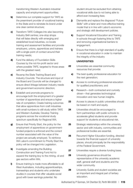transforming Western Australia's industrial capacity and employment opportunities;

- **b)** Determine our complete support for TAFE as the preeminent provider of vocational training in the State and to reinstate its brand under one clear central structure;
- c) Transform TAFE Colleges into also becoming Industry Skill centres; one-stop shops that will liaise directly with emerging and established local industries, co-locate training and assessment facilities and provide employers, unions, apprentices and trainees with a single point of contact around their training needs;
- d) Fund the delivery of Foundation Skills Courses by the not-for-profit sector and where possible TAFE, targeted to those areas with the greatest need;
- e) Revamp the State Training Board and Industry Councils. The structure and input of the Board and Councils will be changed to ensure direct linkage between industry needs and government economic direction;
- f) Establish and promote programs to encourage both the employment of a greater number of apprentices and ensure a higher rate of completion; Create training outcomes that allow apprentices from craft industries with small numbers to still study within TAFE and Western Australia; Develop Training programs across the vocational study spectrum specifically for Regional WA;
- g) Ensure that Priority Start, the policy for the employment of apprentices on governmentfunded projects is enforced and the correct number associated with the value of the project are actually employed. To reinforce WA Labor's commitment to Priority Start the policy will be changed into Legislation.
- **h)** Investigate amending the Building Construction and Training Fund Act to expand the training levy to the mining, oil and gas sectors within WA;
- **i)** Ensure training is made more affordable to all West Australians, including apprenticeships, traineeships and students who undertake studies in courses that offer valuable social good with lower earnings potential. No

student should be excluded from attaining vocational skills due to not being able to afford ever increasing fees;

- **i)** Dismantle and replace the disgraced "Future" Skills" with a fairer and more effective training model that is in line with Labor's economic and strategic skill development policies.
- k) Support Vocational Education and Training in schools through fostering links to TAFE and removing organisational barriers to engagement.
- **l)** Ensure that there is a high standard of quality in vocational education in order to maintain the integrity of the industry

#### **UNIVERSITIES**

- **22** Universities are essential community resources that provide:
	- a) The best quality professional education for the next generation;
	- **b)** Access to continuing professional education for qualified practitioners; and
	- c) Research—both contracted and curiosity driven—that generates technological innovation and new human insights.
- **23** Access to places in public universities should be based on merit and equity.
- 24 Universities should be encouraged to form partnerships with public schools to accelerate gifted students and provide support for students at educational risk.
- **25** Strategic relationships within the university sector and with industry, communities and professional bodies are essential.
- 26 Recurrent Higher Education funding, directed towards the financial support of university places, should principally be the responsibility of the Federal Government.
- **27** Universities require a diverse funding base;
- **28** University governance should be representative of the university academic staff, general staff and students and the wider community.
- **29** University Guilds and student societies are an important and integral part of tertiary education.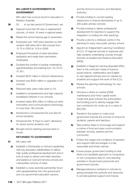#### **WA LABOR'S ACHIEVEMENTS IN GOVERNMENT**

WA Labor has a proud record in education in Western Australia.

- **30** 30. In our last period of Government, we:
	- a) Opened more than 60 new or replacement schools, of which 16 were in regional areas;
	- **b)** Raised the school leaving age to seventeen;
	- c) Employed over 1400 extra teachers so that student staff ratios fell in WA schools from 15.75 in 2000 to 13.9 in 2008;
	- d) Employed thousands of extra education assistants and made them permanent employees;
	- e) Doubled the number of people undertaking apprenticeships and training from 18,743 to 37,421;
	- f) Invested \$540 million in School maintenance;
	- g) Invested over \$300 million in upgrades of 42 schools;
	- **h)** Reduced early years class sizes to 24;
	- i) installed a comprehensive and high-capacity broadband network in our schools;
	- i) Invested nearly \$50 million in rolling out extra information and communications technology to more than 180 schools
	- k) Introduced a concessional 50c bus fare for school students;
	- **I)** Introduced the "It Pays to Learn" allowance for senior school students; and
	- **m)** Brought school cleaning services back in house.

### **RETURNED TO GOVERNMENT**

- 31 WA Labor will:
	- a) Establish a Partnership on School Leadership with key education stakeholders to deliver high quality professional development and to look at ways to attract and retain teachers and leaders at rural and remote schools and metropolitan schools of need;
	- **b)** Establish a cross sectorial partnership forum with representatives from the government and non-government education sectors,

and the School Curriculum and Standards Authority;

- c) Provide funding to convert existing classrooms to science laboratories in up to 200 public primary schools;
- d) Provide funding to deliver professional development for teachers to support the integration of coding into their teaching;
- e) Provide a site for a childcare centre in the planning for every new public primary school;
- f) Appoint an Independent Learning Coordinator (ILC) in 10 regional schools to supervise and help students undertaking courses through Schools of Isolated and Distance Education (SIDE);
- g) Establish a Regional Learning Specialist (RSL) team in the curriculum areas of science, social science, mathematics and English to visit regional schools and run classes for students and support the work of the ILC's;
- **h)** Review the planning methodology for new schools;
- i) Introduce a direct-to-market (D2M) maintenance and minor capital works model that gives schools the authorisation and funding pool to directly engage their own contractors for works up to a value of \$20,000;
- **j)** Transform the system to make local government schools the schools of choice for students, parents and teachers;
- k) Take positive steps to encourage and support a culture of trust and open communication between schools, parents and the community;
- l) Protect the wages and conditions of teachers and support staff and bargain in a fair, reasonable and timely manner;
- **m)** Ensure proper government funding so that there is an equitable approach to compulsory or non-compulsory fees for core teaching activities in Government preschools and government schools;
- **n)** Manage behaviour problems in schools by giving principals the authority and resources to provide pastoral support and impose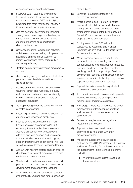consequences for negative behaviour;

- o) Supports LGBTI students and will seek to provide funding for secondary schools which choose to run LGBTI anti-bullying programs that meet their school needs, if Commonwealth funding is withdrawn;
- **p)** Use the power of governments, including strengthened parenting control orders, to reintegrate into formal education those students otherwise excluded through disruptive behaviour;
- q) Challenge students, families and schools, with the resources of police, child protection, health and criminal justice workers, to improve attendance rates, particularly in secondary schools;
- r) Restore community volunteering programs to schools;
- s) Use reporting and grading formats that allow parents to see clearly how well their child is doing at school;
- t) Require primary schools to concentrate on teaching literacy and numeracy, so every child can read, write and deal consistently with numbers at transition to middle or secondary education;
- u) Develop strategies for the active recruitment of males into teaching;
- v) Ensure equitable and meaningful support for students with diagnosed disabilities;
- w) Seek to ensure that students from non-English speaking backgrounds (NESB), especially those from families in Western Australia on Section 457 visas, receive effective language support and orientation to the Australian community, and ongoing support throughout their schooling - not just while they are at Intensive Language Centres;
- x) Consult with relevant professionals in order to develop and implement programs promoting resilience within our students;
- y) Create and properly resource structures and processes that provide genuine professional development and support for teachers;
- **z)** Invest in new schools in developing suburbs, systematically upgrade and rebuild schools in

older suburbs;

- aa) Continue to support canteens in all government schools;
- **ab)** Where possible, seek to retain in-house cleaners in all public schools which are not already under a public private partnership arrangement implemented by the previous Barnett Government and ensure they are properly trained and equipped;
- ac) Employ an additional 300 education assistants, 50 Aboriginal and Islander Education Officers and 120 teachers in WA Government schools;
- ad) Where possible, seek to prohibit further privatisation of or contracting out of public school functions including, but not limited to, cleaning, gardening, education assistants, teaching, curriculum support, professional development, security, administration, library services, information technology, psychology support services and dental services.
- ae) Support the existence of tertiary student amenities and services fees;
- **af)** Advocate incentives to universities to provide facilities to increase the participation of regional, rural and remote students;
- **ag)** Encourage universities to address the underrepresentation of Indigenous Australians and students from low socio- economic backgrounds;
- ah) Develop strategies to encourage local research and innovation;
- **ai)** Support professional development of principals to help them with their management roles;
- **aj)** Will seek to address the equity issues outlined by the 2016 Parliamentary Education and Health Standing Committee's Inquiry into the Independent Public Schools program; and will:
	- i) Work with stakeholders to address these inequities;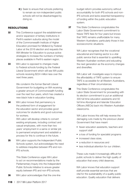ii) Seek to ensure that schools preferring to remain as non-independent public schools will not be disadvantaged by doing so.

## RESOLUTIONS

- **32** This Conference support the establishment and/or expansion of tertiary institutions in Perth's eastern suburbs along the model of the Commonwealth Institute of Higher Education promised for Midland by Federal Labor at the 2016 election and requests the WA Minister for Education to pursue active strategies to increase the numbers of tertiary places available in Perth's eastern region.
- **33** WA Labor is opposed to changes made to Federal schools funding by the Federal Liberal Government which will see WA public schools receiving \$224 million less over the next three years.

We condemn the former Barnett Liberal Government for budgeting on WA receiving a greater amount of Commonwealth funding over the next four years, which has created a new black hole in education funding.

**34** WA Labor knows that permanency is the preferred form of engagement for the education sector and provides good outcomes for students and good outcomes for workers.

> WA Labor will develop criteria to convert existing employees, including contract and casual employees, with more than two years' employment in a same or similar job to permanent employment and establish a process for this to continue in the future.

**35** WA Labor supports the Independent Public Schools system, but acknowledges the need to address inequities between IPS and non-IPS schools.

> This State Conference urges WA Labor to act on recommendations made by the Parliamentary Inquiry into the Independent Public Schools Initiative to ensure greater equity between IPS and non-IPS schools.

**36** WA Labor acknowledges that the one-line

budget reform provides autonomy without accountability for both IPS schools and non-IPS schools and lacks essential transparency of funding within the public education system.

**37** This State Conference congratulates the Labor State Government commitment to freeze TAFE fees for four years but knows that TAFE remains unaffordable for many Western Australians: particularly those in low socioeconomic situations.

> WA Labor recognises that the vocational educational and training sector is a vital public service that is essential to upskilling Western Australian workers and educating the next generation as the economy changes and diversifies.

WA Labor will investigate ways to improve the affordability of TAFE system to ensure TAFE is accessible for all Western Australians, regardless of their circumstances.

**38** This State Conference congratulates the Labor State Government for proceeding with its election commitment to put an additional 300 full time education assistants and 50 full time Aboriginal and Islander Education Officers (AIEOs) back into Western Australian classrooms.

> WA Labor knows this will help reverse the damaging cuts made by the previous Liberal Government that have meant

- fewer education assistants, teachers and support staff
- a loss of funding for specialist programs
- increased class sizes.
- a reduction in resources and
- less individual attention for our children.

These cuts made it increasingly difficult for public schools to deliver the high quality of education that every child deserves.

WA Labor knows that education support staff provide essential services that are vital for the sustainability of a quality public education. Quality education that delivers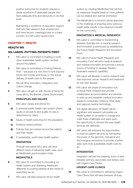positive outcomes for students requires a stable workforce of dedicated people who have adequate time and resources to do their work.

Maintaining a workforce of education support staff who feel valued in their employment and have secure, meaningful jobs is a major concern of a WA Labor government.

### CHAPTER 7: HEALTH

## HEALTH WA

# WA LABOR: PUTTING PATIENTS FIRST

- 1 WA Labor is committed to building a world class sustainable health system centred around the patient.
- **2** WA Labor is committed to Putting Patients First' – because it is now time to look beyond bricks and mortar, and focus on the actual delivery of health care to the people.
- **3** We will drive innovation, integration and culture change.
- **4** WA Labor will get on with the job of fixing the mess left by the Barnett Liberal Government.

# **PRINCIPLES AND VALUES**

- **5** WA Labor values and strives for:
	- a) A universal public health care system where equity of access to and quality of care is determined by need;
	- **b)** Equity of health outcomes for the population;
	- c) Evidence based policies;
	- d) Policies that are centred around the patient and their needs
	- e) A sustainable, world class health system

### **INNOVATION**

Through innovation WA Labor will drive different ways of delivering health care, such as Medihotels and Innovation Hubs

# **MEDIHOTELS**

**6** WA Labor is committed to innovating our health system and delivering healthcare differently by putting patients at the centre of everything we do.

system by creating Medihotels that will free up expensive hospital beds so more patients can be treated and wait list shortened.

8 The Medihotel is a common sense approach to the challenge of ensuring every precious health dollar results in the maximum benefit for the community.

# **INNOVATION & MEDICAL RESEARCH**

- **9** WA Labor is committed to transforming Western Australia into a medical research and innovation powerhouse by establishing the Future Health Research and Innovation Fund.
- 10 WA Labor's Future Health Research and Innovation Fund will drive medical research and medical innovation and provide a secure source of funding to develop Western Australia's research capability.
- 11 WA Labor will develop a cancer research plan that improves cancer research and treatment for the next decade.
- 12 WA Labor will create an innovation hub at Royal Perth Hospital and provide collaborative accommodation and services to start up and establish medical innovation research companies, linked to other state and regional medical technology
- **13** The digital disruption of Health will be significant and research will enable our health system to be ready to change and meet these challenges and seize upon the opportunity to reinvent the way health services are delivered.
- 14 WA Labor will embrace the opportunities to improve patient services by harnessing the power of the genomic, biological and technological revolutions to provide a better, safer, and more sustainable health care for all.

# **INTEGRATION**

Integration will see the breaking down of silos between primary, secondary and tertiary care with Urgent Care Clinics

# **URGENT CARE CLINICS**

- **15** WA Labor is committed to delivering Urgent Care Clinics that will take pressure off busy
- **7** WA Labor will take pressure off our health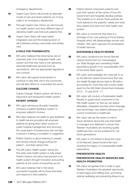emergency departments.

- **16** Urgent Care Clinics will provide an alternate model of care and divert patients out of long waits in an emergency department.
- **17** Through Urgent Care Clinics we will innovate our health system and drive different ways of delivering health care that puts patients first.
- 18 Urgent Care Clinics will mean better integrated care and the breaking down of silos between primary, secondary and tertiary care.

### **A ROLE FOR PHARMACISTS**

- **19** WA Labor believes that pharmacies are an important part of an integrated health care system and that they have a role delivering essential healthcare services such as vaccinations, with the appropriate regulations and controls.
- 20 WA Labor will support pharmacists to continue to play their role in the community and will fight efforts to corporatise the sector.

## **CULTURE CHANGE**

Culture Change. Patient opinion will drive a responsive and transparent health system.

### **PATIENT OPINION**

- 21 WA Labor will ensure all public hospitals introduce a patient feedback system to empower patient's choices.
- **22** WA Labor believes the ability to give feedback to health service providers will empower patients by giving them direct access to public hospital management and removing the usual layers of bureaucracy and red tape involved in making a complaint or suggestion.
- 23 Patient Opinion is about listening to people and driving cultural change putting the patient – and their opinion first.
- **24** The WA Labor Health system will be the first state wide health system to fully adopt Patient Opinion and drive improvement in its health system through innovation and putting patients at the centre of everything we do.
- 25 WA Labor believes that in the future successful hospitals will be those that listen and respond to their patients.
- 26 Patient Opinion empowers patients and puts their opinion at the centre of how the Government and hospitals develop policies. This enables us to ensure those policies are more tailored to the patients' needs and what they require and want from their health care system.
- 27 WA Labor is concerned that there is a shortage of low cost parking at Fiona Stanley Hospital which will disadvantage women and children. WA Labor opposes the privatisation of health services.

#### **SUSTAINABLE HEALTH REVIEW**

- 28 WA Labor condemns the former Barnett Liberal Government for mismanaging our State Budget and overseeing Health expenditure growth of an unsustainable 30% of the entire State spend.
- 29 WA Labor acknowledges the mess left to us by the Barnett Liberal Government that saw the Health Budget almost triple to \$9 billion, accounting for more than half of every dollar spent by the WA State Government between  $2013 - 14$  and  $2016 - 17$ .
- **30** WA Labor will conduct a Sustainable Health Review to guide future investment in the WA health system so that we can deliver affordable, integrated services which leverage new technology, new patient pathways and current investment in healthcare.
- **31** WA Labor will use the review to inform future decisions about the way that health is managed and delivered to ensure that Western Australians are receiving quality healthcare than can be sustained for our future generations.
- **32** WA Labor is committed to fixing the mess of the Barnett Liberal Government and reversing the legacy of unsustainable health expenditure.

### **PREVENTATIVE HEALTH**

### **PREVENTATIVE HEALTH SERVICES AND HEALTH PROMOTION**

**33** WA Labor recognises that in order to give Western Australians the greatest opportunity to lead happy and fulfilling lives, promoting optimal wellbeing and preventing illness is as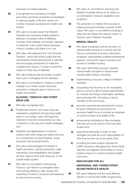important as treating disease.

- **34** It recognises the importance of health promotion and illness prevention as strategies to improve quality of life and, reduce the number of people accessing the health care system.
- **35** WA Labor is acutely aware that Western Australia has a growing obesity epidemic leading to increased rates of diabetes, coronary heart disease, and stroke. Diabetes in particular is the world's fastest growing chronic condition and there is no cure.
- **36** WA Labor will implement the "Let's Prevent Program" which will involve a pilot that will use evidence-based approaches to educate and encourage participants to make the changes they need to, in order to avoid the impact on their lives of diabetes.
- **37** WA Labor believes that prevention is better than cure in managing chronic diseases.
- **38** WA Labor is committed in creating a cultural change in our health system that sees prevention of disease given a focus in our health care system.

## **ALCOHOL, TOBACCO AND OTHER DRUG USE**

- **39** WA Labor recognises that:
	- a) Problematic alcohol, and other drug use, represents a significant and growing health issue in our society. Labor will target the reduction of alcohol consumption as a key component of its long term health strategies; and
	- **b)** Addiction and dependence on alcohol, tobacco and other drugs are related and due to a combination of psychological, social, economic and physical factors.
- **40** WA Labor acknowledges the benefit of health promotion, primary prevention, early intervention and rehabilitation that targets alcohol, tobacco and other drug use, to the overall health system.
- **41** WA Labor is committed to introducing Tobacco Law Reform to strengthen laws and policing relating to sale, supply and marketing of tobacco products and exposure to second-hand smoke.
- **42** WA Labor is committed to ensuring that Western Australia returns to its status as a world leader in tobacco legislation and programs.
- **43** The protection of children from access to tobacco products remains a priority of WA Labor. WA Labor is committed to looking at ways we can reduce the serious impact of tobacco use in Western Australia.

## **MENTAL HEALTH**

- 44 WA Labor recognises that the provision of mental health services is a priority and will focus on preventive and early intervention programs, appropriately qualified professional support, community support services and access to suitable housing.
- **45** WA Labor will embed recovery oriented mental health principles in Government mental health policies, including:
	- a) Implementing a recovery college in Western Australia;
	- **b)** recognising that recovery is not necessarily about cure but is about having opportunities for choices and living a meaningful, satisfying and purposeful life, and being a valued member of the community
	- c) recovery outcomes are personal and unique for each individual and go beyond an exclusive health focus to include an emphasis on social inclusion and quality of life;
	- d) empowering individuals so they recognise that they are at the centre of the care they receive and;
	- e) supporting individuals to build on their strengths and take as much responsibility for their lives as they can at any given time.
	- f providing the extra support required for LGBTI services in Aboriginal and Torres Strait Islander and regional communities to have a positive impact on mental & physical health outcomes.

# **HEALTHCARE FOR ALL**

# **ABORIGINAL AND TORRES STRAIT ISLAND PEOPLE'S HEALTH**

**46** WA Labor believes that the most effective delivery of community health programmes,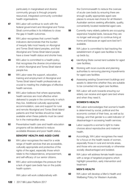particularly in marginalised and diverse community groups is through properly resourced, integrated community controlled health organisations.

- **47** WA Labor will continue to work with the federal government and Aboriginal and Torres Strait communities in its initiatives to close the gap in health outcomes.
- **48** WA Labor recognises that current health indicators demonstrate that the burden of inequity falls most heavily on Aboriginal and Torres Strait Island peoples, and that Aboriginal and Torres Strait Island people have a lower health status and shorter lives.
- **49** WA Labor is committed to a health policy that recognises the diverse circumstances in which Aboriginal and Torres Strait Island people live.
- **50** WA Labor sees the support, education, training and employment of Aboriginal and Torres Strait Island health professionals as crucial to meeting the challenges of effective health services.
- **51** WA Labor believes that where appropriate, health services are most effective when delivered to people in the community in which they live. Additional culturally appropriate accommodation, care and support for rural and remote Aboriginal and Torres Strait Island patients and their families should be made available when these patients must be cared for in the metropolitan area.
- **52** Preventative health care and health education programs will be delivered to reduce avoidable illnesses and poor health status.

#### **SENIORS' HEALTH AND AGED CARE**

- **53** WA Labor recognises the need for a wide range of health services that are accessible, culturally appropriate and protective of the rights of the aged, especially those which relate to the independence, empowerment, and self-efficacy of our senior citizens.
- **54** WA Labor acknowledges the pressure that a lack of aged care beds has on the public health system.

WA Labor will work collaboratively with

the Commonwealth to reduce the overuse of acute care beds by ensuring there are enough quality appropriate aged care places to ensure real choice for all Western Australian seniors seeking affordable, quality, conveniently located residential aged care.

- **55** Currently many elderly patients are occupying expensive hospital beds, because they are no longer well enough to continue living at home and because an aged acre bed isn't available.
- **56** WA Labor is committed to fast tracking the establishment of aged care facilities to free up beds by;
	- a) Identifying State owned land suitable for aged care facilities;
	- **b)** Working with local councils and planning authorities to removing planning impediments for aged care facilities
	- c) Assessing existing Government buildings and assets to determine whether they are suitable to be converted into aged care facilities.
- **57** WA Labor will work towards ensuring our elderly can receive and aged care bed where and when they need it.

#### **WOMEN'S HEALTH**

- **58** WA Labor acknowledges that women's health is determined by social, political and the economic context of their lives, as well as by biology, and that gender is a valid indicator of disadvantage in accessing health services.
- **59** Labor supports a woman's right to make choices about reproductive and maternal health.
- **60** Accordingly, WA Labor recognises the need for a focus on the health needs of women, especially those in rural and remote areas, and those who are economically or otherwise socially disadvantaged and isolated.
- **61** WA Labor will address female health issues with a range of targeted programs which highlight prevention, early intervention and treatment

#### **MEN'S HEALTH**

**62** WA Labor will develop a Men's Health and Wellbeing Policy for Western Australia.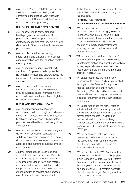**63** WA Labor's Men's Health Policy will support the National Male Health Policy and complement the existing West Australian Women's Health Strategy and the Aboriginal Health and Wellbeing Strategy.

#### **CHILD HEALTH AND DEVELOPMENT**

- **64** WA Labor will make early childhood health programs a cornerstone of its preventative and developmental health strategies recognising that they are a crucial determinant of their future health, welfare and pathway in life.
- **65** WA Labor is committed to funding, implementing and evaluating initiatives for early intervention, and the reduction of infant mortality rates.
- **66** WA Labor strongly supports childhood vaccination for preventable but potentially life threating illnesses and acknowledges the importance of equity to access to vaccination services.
- **67** WA Labor notes with concern antivaccination campaigns, and will work to provide evidence based information to the community to ensure the continues high level of vaccination coverage.

### **RURAL AND REGIONAL HEALTH**

- **68** WA Labor recognises that Western Australians living in rural, regional and remote areas need accessible services for physical health and peace of mind, which together promote overall health and wellbeing within their community.
- **69** WA Labor will continue to develop integrated district health services in collaboration with local service providers and the federal Government to provide more comprehensive, accessible and sustainable health services to rural communities.
- **70** Equity of direct access to services and specialists is limited by distance. WA Labor will ensure equity of outcomes and equity of access by means of travel and satellite accommodation support. WA Labor will support initiatives such as consolidation and standardisation of services and increased use of Information and Communications

Technology (ICT) based solutions including HealthDirect, e-health, telemonitoring, and telepsychiatry.

### **LESBIAN, GAY, BISEXUAL, TRANSGENDER AND INTERSEX PEOPLE**

- **71** WA Labor recognises the need to provide for the health needs of lesbian, gay, bisexual, transgender and intersex people (LGBTI) people, especially those in rural and remote areas, those with HIV/AIDS, and those affected by poverty and homelessness, including but not limited to sexual and reproductive health.
- **72** WA Labor will support the crucial role of organisations that produce and distribute targeted information about health and welfare issues, especially sexual health and the reduction of Sexual Transmitted Infections (STIs) to LGBTI people.
- **73** WA Labor recognises the right of any transgender to receive medical treatmentwith funding from the State as for any other medical condition of a critical nature. Accordingly, WA Labor will ensure access to gender affirmation surgery and treatments, including for hormones and other essential procedures.
- **74** WA Labor recognises the higher rates of suicide in the LGBTI community relating to chronic and prolonged anxiety and specific mental health impacts. This includes the mental health impact of bullying, homophobia, harassment, discrimination and inequality on LGBTI individuals, particularly on LGBTI youth.
- **75** WA Labor believes that people with gender dysphoria should not be denied the associated health care they would be otherwise entitled to if they were not incarcerated or in remand.
- **76** WA Labor calls on the WA Minister for Health to advocate that Pre-Exposure Prophylaxis (PrEP) is made available to at risk Western Australians via the Pharmaceutical Benefit Scheme (PBS) schedule. PrEP needs to be added to the PBS if Western Australia plans to meet its target of ending new HIV transmissions by 2020.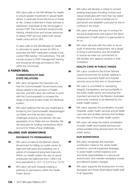WA Labor calls on the WA Minister for Health to ensure greater investment in sexual health clinics, in particular those that focus on those at risk. Unless investment in these services is addressed, individuals at risk will struggle to access PrEP. This investment would provide training, infrastructure and human resources to deliver PrEP services within both sexual health clinics and for GPs.

A Labor calls on the WA Minister for Health to advocate for easier access for GPs to prescribe the PrEP medication outside of the current PBS Section 100 restrictions. This will include access to PrEP management training and should be strongly promoted to GPs within the community.

## A FAIRER DEAL

#### **COMMONWEALTH AND STATE RELATIONS**

- **77** WA Labor recognises the important role that the Commonwealth Governments have always played in the provision of health services, and WA Labor will continue to work with the Commonwealth to increase the range of services funded under the Medicare system.
- **78** WA Labor believes that the way healthcare is funded by the Commonwealth disadvantaged our State, and that we face unique challenges posed by remoteness, the vast geography of our State and our diversity. We will advocate for funding mechanisms which account for these unique challenges.

# VALUING OUR WORKFORCE

### **PATHWAYS TO PERMANENCE**

- **79** WA Labor condemns the Barnett Liberal Government for failing our public sector for eight and half years and presiding over a period of increased employment insecurity. Within our Health system the use of casual employees has ballooned from 1,806.4 full time equivalents in 10/11 to 2,574.8 in 15/16.
- 80 WA Labor will work towards creating a pathway to permanency within the Health Public Sector.
- 81 WA Labor will develop a criteria to convert existing employees including contract and casual employees with more than two years' employment in a same of similar job to permanent and establish a process for this to continue in the future.
- 82 WA Labor will review the use of contract for service arrangements and support the direct employment of staff where it is appropriate to do so.
- 83 WA Labor will work with the union to do an audit of temporary employment, set a target to bring to permanency and set timelines to ensure we meet our commitment to WA families who deserve certainty in their workplace.

### **HEALTH CARE IN PUBLIC HANDS**

- 84 WA Labor condemns the former Barnett Liberal Government for actively seeking to outsource important health and hospital services since its first term in Government.
- 85 WA Labor is committed to maintaining integrity, transparency and accountability in the public health sector and ensuring that important services for the Western Australian community continue to be delivered by the public health system.
- 86 WA Labor opposes the privatisation of public hospitals, public health services and all health care units and ancillary services that facilitate the operation of the public health system.
- 87 WA Labor will cease the further privatisation of public health and hospital services and where possible bring services back into the public sector.

### **OUR WORKFORCE**

- 88 WA Labor recognises the important contribution made by the whole health workforce, and will implement strategies to assist health workers balance work and family responsibilities in a secure job environment, and maintain workplace morale and effective system changes.
- 89 WA Labor supports the employment of more Aboriginal and Torres Strait Island health staff in all capacities.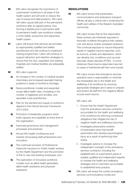- **90** WA Labor recognises the importance of a permanent workforce in all areas of the health system and will work to reduce the use of casual and relief positions. WA Labor will make casual staff part of the permanent workforce after an agreed period, thus forming a flexible pool of permanent staff. A permanent health care workforce creates a more stable, productive and responsive health system.
- **91** Labor will ensure that services are provided by appropriately qualified and skilled practitioners and will continue to implement training programmes. Labor will continue to support attraction and retention strategies to ensure that the new, upgraded, and existing hospitals and medical facilities are adequately staffed.
- **92** WA Labor supports:
	- a) An increase in the number of medical student internships and increased specialist training positions in areas of workforce shortage;
	- **b)** Nurse practitioner models and expanded scope allied health roles, increasing in the number of registered and enrolled, and specialist nurse practitioners;
	- c) Plan for the demand and supply of workforce aligned to the Clinical Services Framework 2015-2024;
	- d) Promotion of leadership programs which build capacity and capability at every level of the organisation;
	- e) Improved governance and management processes and practices;
	- f) Annual WA Health Conferences and Awards showcasing staff achievement and innovation;
	- g) The continued provision of Professional Indemnity Insurance to Public Health workers by the Health Department and the promotion of this to new and existing employees; and
	- **h)** The exploration of innovative workforce models such as allied health generalists, allied health assistants and physician assistants.

# RESOLUTIONS

**93** WA Labor knows that paramedics, communications and ambulance transport officers all play a critical role in protecting the health and welfare of the Western Australian community.

> WA Labor knows that as first responders, these workers are inherently exposed to traumatic incidents throughout their careers, over and above routine workplace stressors. This continual exposure to trauma frequently results in negative trauma response, such as burnout, anxiety and depression, which can develop into conditions such as posttraumatic stress disorder (PTSD). In some instances these trauma responses have led to cases of intentional self-harm and suicide.

> WA Labor knows that ambulance services operators have a responsibility to minimise the foreseeable risk to the health and wellbeing of its workforce by ensuring appropriate strategies are in place to prepare and protect all staff from the negative effects of post event trauma.

#### WA Labor will:

- 1 . Ensure that the Health Department hold the ambulance services contractor accountable for the health and wellbeing of its workforce by enforcing contractual obligations that mitigate the risk of negative health and wellbeing outcomes.
- 2 . Investigate presumptive workers compensation laws that benefit paramedics who develop psychological injury as a result of performing their duties.
- 3 . Investigate options to increase the independent oversight of the ambulance services contractor, including the establishment of a permanent panel of suitably qualified and independent experts to oversee the health and wellbeing strategies and to hold them accountable to established best practice.
- **94** WA Labor will review the current emergency services communications model and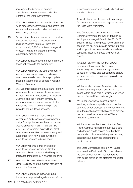investigate the benefits of bringing ambulance communications under the control of the State Government.

WA Labor will explore the benefits of a statewide emergency communications centre that enhances the capacity and coordination of all emergency services.

**95** St John Ambulance is contracted to provide ambulance services to metropolitan and regional Western Australia. There are approximately 3,700 volunteers in regional Western Australia engaged to provide emergency medical care.

> WA Labor acknowledges the commitment of these volunteers to the community.

WA Labor will review the country model to ensure it best supports paramedics and volunteers in order to achieve appropriate patient outcomes for all people in regional Western Australia.

**96** WA Labor recognises that State and Territory governments provide ambulance services in most Australian jurisdictions. In Western Australia and the Northern Territory, St John Ambulance is under contract to the respective governments as the primary provider of ambulance services.

> WA Labor knows that maintaining an outsourced ambulance service represents a significant public expenditure for the West Australian Government. Therefore, like any large government expenditure, West Australians are entitled to transparency and accountability in how public funding for ambulance services is being spent.

WA Labor will ensure that oversight of ambulance service funding in Western Australia is best practice and will require increased transparency in financial reporting.

97 WA Labor believes all older Australians deserve dignity and the highest standard of care in the final years.

> WA Labor recognises that a well-paid, trained and supported aged care workforce

is necessary to ensuring this dignity and high standard of care.

As Australian's population continues to age, Governments must invest in Aged Care and the Aged Care workforce.

This Conference condemns the Turnbull Liberal Government for their \$1.2 billion in funding cuts to Aged Care in the 2016-17 Budget. These funding cuts have significantly affected the ability to provide meaningful care and support to vulnerable older Australians, especially those with acute and complex needs.

WA Labor calls on the Turnbull Liberal Government to reverse these cuts immediately and ensure that aged care is adequately funded and supported to ensure workers are able to continue to provide high quality care.

WA Labor also calls on Australian Labor to make addressing funding and workforce issues within aged care a key issue on which the next Federal Election is fought.

**98** WA Labor knows that essential public services, such as hospitals, should not be operated by for-profit, private companies, but from the public sector which aims to provide the best possible service to the Western Australian community.

> WA Labor knows that the contract at Peel Health Campus has failed to achieve a safe and effective health service and that both the standard of service delivery and working conditions are not those expected for a public hospital.

> This State Conference calls on WA Labor to ensure the Peel Health Campus delivers the best service for all West Australians: with public provision the preferred model for delivery.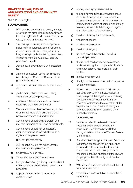#### CHAPTER 8: LAW, PUBLIC ADMINISTRATION AND COMMUNITY **SAFETY**

Civil & Political Rights

### FOUNDATIONS

- 1 WA Labor believes that democracy, the rule of law and the protection of community and individual rights are fundamental to ensuring a free, fair and civil society for us all.
- **2** The concept of the separation of powers, including the supremacy of the Parliament and the independence of the judiciary, is integral to a properly functioning democracy, the upholding of the rule of law, and the protection of rights.
- **3** Democracy is strengthened and protected by:
	- a) universal compulsory voting for all citizens over the age of 18 in both State and local government elections;
	- **b)** open and accountable electoral processes; and
	- c) public participation in decision-making through consultative processes.
- **4** All Western Australians should be treated equally before and under the law.
- **5** The law should be clearly expressed, in clear, unambiguous and plain language that all people can access and understand.
- **6** Governments should always protect and maintain fundamental civil and political rights.
- **7** Governments should not compulsorily acquire or abolish an individual's property rights without proper reason.

### **RIGHTS PROTECTION**

- 8 WA Labor believes in the advancement, maintenance and protection of:
	- a) fundamental human rights:
	- **b)** democratic rights and rights to vote;
	- c) the operation of our justice system consistent with internationally recognised human rights principles;
	- d) respect and recognition of Aboriginal customary law;
- e) equality and equity before the law;
- f) the legal right to fight discrimination based on race, ethnicity, religion, sex, industrial history, gender identity and history, intersex status, being a victim of domestic and family violence, sexual orientation, age, or against any other arbitrary discrimination;
- g) freedom of thought and conscience;
- h) freedom of speech;
- i) freedom of association;
- i) freedom of religion;
- k) rights of peaceful assembly, including peaceful protests;
- **l)** the rights of children against exploitation, while respecting the proper role of parents and other persons responsible for their welfare;
- **m)** marriage equality; and
- **n)** the right to live free of violence from a partner or family member.
- **9** Adults should be entitled to read, hear and see what they wish in private, subject to adequate protection against persons being exposed to unsolicited material that is offensive to them and the prevention of the exploitation, or the violation of the rights, of others, particularly children and other vulnerable persons.

### **LAW REFORM**

- 10 Law reform should be based on sound research, evidence and community consultation, which can be facilitated through bodies such as the WA Law Reform Commission.
- 11 Social and technological changes often occur faster than changes in the law and Labor is committed to ensuring that law reform keeps pace with such developments to ensure the effective operation of the law and proper protection of the rights of Western Australians.
- 12 WA Labor will modernise the Constitution of Western Australia to:
	- a) consolidate the Constitution into one Act of Parliament;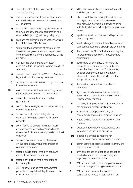- **b)** define the roles of the Governor, the Premier and the Cabinet;
- c) provide a double-dissolution mechanism to resolve deadlocks between the two houses of Parliament;
- d) remove the power of the Legislative Council to block ordinary annual appropriation and revenue bills (supply), allowing delay only;
- e) entrench the principle of one vote, one value in both houses of Parliament;
- f) safeguard the separation of powers of the three arms of government and in particular, the safeguarding of the independence of the judiciary;
- g) maintain the proper place of Western Australia within the federal Commonwealth of Australia;
- **h)** promote awareness of the Western Australian legal and constitutional system; and
- i) implement a republican mode of government in Western Australia.
- 13 WA Labor will work towards enacting human rights legislation in Western Australia to:
	- a) protect human rights from abuse by government;
	- **b)** confirm the sovereignty of the democratically elected Parliament;
	- c) require courts to interpret legislation consistently with human rights wherever possible;
	- d) allow Courts to declare legislation invalid if it is not compliant with enshrined rights, unless the Parliament has expressly provided otherwise;
	- e) require Ministers to report to Parliament on the potential human rights impact of proposed legislation;
	- f) foster a public sector that is mindful and respectful of human rights; and
	- g) foster a civil culture that is respectful of human rights.
- 14 WA Labor will ensure that fundamental principles of legislative integrity are complied with, including that:
- a) all legislation must have regard to the rights and liberties of individuals;
- **b)** where legislation makes rights and liberties or obligations subject the exercise of administrative power, such power must be sufficiently defined and subject to appropriate review;
- c) legislation must be consistent with principles of natural justice;
- d) restrict delegation of administrative powers to appropriate cases and appropriate personnel;
- e) the onus of proof in criminal matters only be reversed where absolutely necessary and appropriate;
- f) bodies and officers should not have the power to enter premises, to search, seize or require the production of documents, or other property without a warrant or other authorisation from a judge or other independent officer;
- g) the freedom from self-incrimination is protected;
- **h)** rights and liberties are not unnecessarily infringed and obligations not arbitrarily and unnecessarily imposed;
- i) immunity from proceedings or prosecution is not conferred without justification;
- j) an individual's property can only be compulsorily acquired for a proper purpose;
- k) regard be had for Aboriginal tradition and custom;
- **l)** legislation, regulations, rules, policies and forms be clear and unambiguous;
- **m)** a person is entitled to reasons for administrative decisions affecting a person;
- **n)** administrative decisions subject to review are clearly identified; and
- o) criminal offences and penalties cannot be created or amended through delegated legislation or executive action.
- **15** WA Labor will establish a comprehensive and accessible register of legislative instruments.
- **16** WA Labor will remove the right of corporations to vote in local government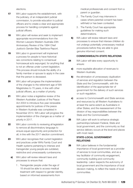elections.

- 17 WA Labor supports the establishment, with the judiciary, of an independent judicial commission, to provide education to judicial officers and to create a clear and appropriate process for handling complaints against judicial officers.
- **18** WA Labor will review and seek to implement appropriate recommendations from the Women Lawyers Western Australia 20th Anniversary Review of the 1994 Chief Justice's Gender Bias Taskforce Report.
- 19 WA Labor in government will implement a process for people to have historical sex convictions relating to consensual homosexual acts expunged, for anything that is not an offense under current legislation. This process should include the ability of a family member or spouse to apply in the case that the person is deceased.
- **20** WA Labor will progress the implementation of the changes to the retirement age of WA Magistrates to 70 years, in line with other judicial officers, as a matter of priority.
- 21 WA Labor notes a legislative review of the Western Australian Justices of the Peace Act 2004 to introduce five-year renewable appointments for justices of the peace in Western Australia was completed in November 2014. WA Labor will progress the implementation of the changes as a matter of priority in 2017.
- 22 WA Labor commits to reviewing all legislation to remove all discriminatory language to ensure equal opportunity and protection for all, in line with the 2017 election commitment.
- 23 WA Labor recognises that current legislation and practices under WA's Family Court and Health systems pertaining to intersex and transgender young people are outdated, restrictive and unnecessarily cumbersome.
	- a) WA Labor will review relevant laws and processes to ensure that:
		- 1 . Transgender people under the age of 18 should be able to access medical treatment with respect to gender identity, based on informed assessments from

medical professionals and consent from a parent or guardian.

- 2 . The Family Court may intervene in cases where parental consent has been withheld or has been contested.
- 3 . The Family Court has appropriate guidelines for making such determinations.
- **b)** WA Labor will review relevant laws and processes to ensure that intersex children do not undergo potentially unnecessary medical procedures before they are able to give genuine informed consent.

#### **COMMONWEALTH-STATE RELATIONS**

- 24 WA Labor will take every opportunity to ensure:
	- **a)** more equitable allocation of revenues to Western Australia;
	- **b)** the elimination of unnecessary duplication of services and regulation between the State and the Commonwealth, with the identification of the appropriate tier of government for the delivery of such services or such regulation;
	- c) access to Commonwealth and State services and resources by all Western Australians to at least the same extent as Australians in other States; and the reassessment of the division of key responsibilities between the State and the Commonwealth.
- **25** WA Labor will work to enhance strategic partnerships between Federal, State and local government, and the community so that service delivery occurs at the level and places with most need.

### **STATE-LOCAL GOVERNMENT RELATIONS**

**26** WA Labor believes in the fundamental importance of local government as a provider of services to local communities, and as a key facilitator of community engagement, community building and community leadership. Labor respects the autonomy of local government and the importance of local decision making, to reflect the needs of local communities.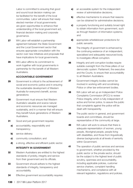Labor is committed to ensuring that good and sound local decision making can be facilitated for the benefit of the local communities. Labor will ensure that newly elected member of local governments are given opportunities to enhance their understanding of the local government act, financial decision making and corporate governance.

- 27 WA Labor will establish a partnership agreement between the State Government and the Local Government sector that ensures appropriate consultation with the sector over new initiatives and proposals that have implications for local governments.
- 28 WA Labor affirms its commitment to work together with local governments in partnership for the benefit of all Western Australians.

#### **ACCOUNTABLE GOVERNMENT**

- 29 Government is critical to the achievement of social and economic justice and in ensuring the sustainable development of Western Australia for everyone's benefit, across generations
- 30 Government must ensure that Western Australia's valuable and scarce natural and economic resources are managed sustainably, and in a manner that will ensure they benefit future generations of Western Australians.
- **31** Good and just government requires:
	- a) accountability, responsibility and transparency;
	- **b)** service delivery;
	- c) community consultation; and
	- d) a strong, effective and efficient public sector.

#### **INTEGRITY IN GOVERNMENT**

- **32** Western Australians are entitled to the highest standards of probity, integrity and service from their government and its officials.
- **33** Government should adhere to the highest standards of integrity, transparency and accountability.
- **34** Effective government accountability requires:
- a) an accessible system for the independent review of administrative decisions;
- **b)** effective mechanisms to ensure that reasons can be obtained for administrative decisions;
- c) a properly functioning and suitably broad right to obtain information from government, such as through freedom of information systems; and
- d) appropriate whistleblower protections for public servants.
- **35** The integrity of government is enhanced by the continuing existence of an independent, specialised and adequately resourced body, to investigate official corruption.
- **36** Integrity and anti-corruption bodies require suitable oversight from the three pillars of our democratic system: Parliament, the executive and the Courts, to ensure their accountability to all Western Australians.
- **37** Government integrity bodies cannot be involved in working with and scrutinising Police or other law enforcement bodies.
- **38** WA Labor will set up an Independent Police Complaints Commission (IPCC) to review Police integrity, which is fully independent of active and former police, to assure the public that complaints against the police will be dealt with transparently.
- **39** The public sector in general, and government boards and committees, should be representative of the community at large.
- **40** WA Labor will work to ensure that there is adequate representation of women, young people, Aboriginal people, people living with disabilities, and those from linguistically diverse backgrounds at all levels of seniority within Government.
- **41** The operation of public services and services to government, whether provided by the public sector or the private sector, should be the subject to the highest level of public scrutiny, openness and accountability, including applicable policies, customer service charters, complaint handling mechanisms, and compliance with all relevant legislation, regulations and policies.

130 | 2017 WA Labor Platform 2017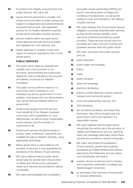- **42** To enhance the integrity of government and public services, WA Labor will:
	- a) require that the performance of public and private sector providers of public services be subject to independent and external financial and performance audit, with expanded powers for the Auditor-General to examine private sector providers of public services;
	- **b)** remove conflicts within the public sector where agencies are both service providers and regulators for such services; and
	- c) require agencies to properly monitor and report on contracts awarded by them to the private sector.

### **PUBLIC SERVICES**

- **43** The public sector plays an essential and valuable role in the promotion of our economic, environmental and social policy objectives, and is invaluable to the provision and delivery of services for Western Australians.
- **44** The public service performs best for our community when it operates in a coordinated way across government in a nonpartisan, merit based and non-discriminatory way; giving frank and fearless advice to government.
- **45** Government programmes and services must benefit all of the Western Australian community, with consideration to: costeffectiveness, as well as equity, sustainability, social cohesion and the provision of opportunity to all.
- **46** Government services should be simple to access, easily understood, responsive and available throughout Western Australia, using appropriate technology.
- **47** Where government is responsible for the provision of services, it must guarantee the standards of the delivery of such services.
- **48** WA Labor believes that the public sector should play the central role in the provision of utilities and infrastructure, particularly where such services are provided by natural monopolies.
- **49** WA Labor acknowledges that privatisation

and public private partnerships (PPPs) can result in the driving down of wages and conditions of employment, as well as the cutting of costs and standards in the delivery of public services.

- **50** WA Labor believes that Governments have an obligation to provide essential public services, as they involve intrinsic benefits, which cannot be obtained if provided by private providers. These services should never be privatised and Labor will work to bring such privatised services back into public hands.
- **51** WA Labor will ensure that public services such as:
	- a) public education:
	- **b)** public health and hospitals;
	- c) Police;
	- d) roads;
	- e) public transport;
	- f) water and sewerage;
	- **g)** electricity distribution;
	- h) prisons, juvenile detention centres, prisoner transport and community justice;
	- i) court and parliamentary security; and
	- j) child protection,
	- k) are not further privatised, and where they have been, they will be brought back into government control and operation in a responsible manner.
- **52** WA Labor believes that the public sector should play the central role in the provision of utilities and infrastructure such as, electricity, water and sewerage particularly where these services are provided by natural monopolies.
- **53** WA Labor will prohibit the privatisation of such services, government business enterprises and State infrastructure without approval by the Parliament and only where such privatisation will result in:
	- a) superior service at reduced cost to industry and consumers, particularly to isolated and disadvantaged consumers;
	- **b)** no decrease in the total level of employment or workers entitlements;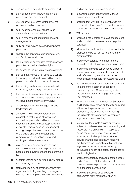- c) positive long term budgets outcomes; and
- d) the maintenance or improvement in the natural and built environment.
- **54** WA Labor will protect the integrity of the public service by ensuring:
	- a) secure, comprehensive, service-wide standards and classifications;
	- **b)** secure employment and superannuation arrangements;
	- c) sufficient training and career development provision;
	- d) enabling the appropriate balancing of work and family responsibilities;
	- e) the provision of appropriate employment and promotion appeal and review rights;
	- f) fair access to the industrial relations system;
	- g) that contracting out is not used as a vehicle to cut wages and working conditions and prevent casualisation of the public sector;
	- **h)** that staffing levels are commensurate with workloads, not arbitrary financial targets;
	- i) that the public sector is sufficiently resourced to meet the objectives and expectations of the government and the community;
	- **j)** effective performance management and leadership; and
	- k) attraction and retention strategies are established that include attractive and competitive pay and conditions, improved superannuation contributions, provision of adequate regional housing (or subsidies), closing the gap between pay and conditions of the public and private sector, and guaranteeing no reduction in pay and working conditions in real terms.
- **55** WA Labor will also modernise the public sector to ensure that it is responsive to the needs of the government and the community by:
	- a) accommodating new service delivery models and reducing red tape;
	- **b)** facilitating mobility of employment between agencies, including enabling cross-agency employment to improve levels of co-operation

and co-ordination between agencies;

- c) expanding career opportunities without diminishing staff rights; and
- d) ensuring that workers in regional areas are not disadvantaged vis-à- vis their private sector and metropolitan based counterparts.
- **56** WA Labor will:
	- a) ensure full stakeholder and staff engagement and consultation before outsourcing public services;
	- **b)** allow for the pubic sector to bid for contracts proposed to be put out to tender with the private sector;
	- c) ensure transparency to the public of bid details from all potential outsourcing partners;
	- d) ensure that previous performance of public sector outsourced work, including industrial and safety record, are taken into account when assessing tenders for outsourced work;
	- e) establish consistent and detailed mechanisms to monitor the operation of contracts awarded by State Government agencies to the private sector, including general public user feedback;
	- f **f** expand the powers of the Auditor General to audit and publicly report on the efficiency and efficacy of taxpayer funded services provided by the private sector, including the full costs of the privatised/outsourced approach for each service;
	- g) require that the private service provider is subject to no lesser standards of scrutiny and responsibility than would apply to a public sector provider of those services, including applicable policies, customer service charters and complaint handling mechanisms, and complies with all relevant legislation including equal opportunity, occupational health and safety and industrial relations legislation;
	- **h)** ensure transparency and appropriate access under Freedom of Information laws to contracts with the private sector for privatised or outsourced services; and
	- i) ensure all privatised or outsourced agreements allow for renegotiation or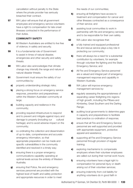cancellation without penalty to the State where the private provider has seriously breached their contract.

**57** WA Labor will ensure that all government employees and emergency service volunteers have a right to compensation for late onset illnesses contracted in the performance of their duties.

#### **COMMUNITY SAFETY**

- **58** All Western Australians are entitled to live free of violence; in safety and security.
- **59** It is a fundamental role of Government to assist in times of natural disaster, emergencies and other security and safety threats.
- **60** WA Labor also acknowledges that climate change may intensify the range and nature of natural disaster threats.
- **61** Government must ensure the safety of our communities by:
	- a) properly understanding strategic risks;
	- **b)** placing a strong focus on emergency service response, prevention and preparedness within the Western Australian community at large;
	- c) building capacity and resilience in the community;
	- d) providing required infrastructure to respond and to prevent and mitigate against injury and damage to property (including our cultural heritage); and to avoid adverse impact on the community;
	- e) co-ordinating the collection and dissemination of up-to-date, comprehensive and accurate emergency information, so that appropriate preparation can be made and specific vulnerabilities in the community identified and resolved in a timely way;
	- f) ensuring there is a proper emergency communications capability operating at optimal levels across the entirety of Western Australia;
	- g) ensuring that Police, fire and emergency services personnel are provided with the highest level of health and safety protection and appropriate resources in order to meet

the needs of our communities;

- **h)** ensuring all firefighters have access to treatment and compensation for cancer and other illnesses contracted as a consequence of their service; and
- i) assisting local communities to work in partnership with fire and emergency services and to be responsible for their own safety.
- **62** WA Labor also recognises that:
	- a) a fully trained and equipped professional fire and rescue service plays a key role in protecting our community;
	- **b)** there will always be a need for a substantial contribution by volunteers, for example through volunteer fire fighting and the State Emergency Service; and
	- c) All Fire and Emergency Service personnel are a valued and integral part of emergency management response and capability in Western Australia.
- **63** WA Labor will improve emergency management services by:
	- a) regularly assessing the appropriateness of expanding career firefighting into regions of high growth, including the Pilbara and Kimberley, Great Southern and the Darling Range;
	- **b)** auditing local governments to determine gaps in capacity and preparedness to facilitate best practice co-ordination of response;
	- c) ensure that all Fire and Emergency Service personnel are well supported and provided with appropriate equipment, protective apparel and assistance;
	- d) supporting all Fire and Emergency Service personnel through provision of regular training;
	- e) exploring mechanisms to compensate employers where their volunteer employees are called out during their normal work hours;
	- f) ensuring volunteers have a legal right to compensation for personal injury or death arising out of their volunteer services;
	- g) ensuring indemnity from civil liability for anything volunteers do in good faith in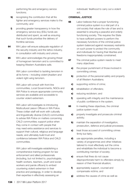performing fire and emergency service functions;

- **h)** recognising the contribution that all fire fighter and emergency services make to the community; and
- i) providing greater transparency in how the emergency service levy (ESL) funds are distributed and spent, as well as ensuring that such funds prioritise the delivery of frontline services.
- **64** WA Labor will ensure adequate regulation of the security industry and the tattoo industry, in consultation with industry and unions.
- **65** WA Labor acknowledges the growing threat of homegrown terrorism and is committed to keeping Western Australians safe.

WA Labor committed to tackling terrorism in all its forms – including violent jihadism and violent right-wing terrorism.

WA Labor will consult with front-line communities, Local Governments, NGOs and WA Police to ensure appropriate community services are available and accessible to counter violent extremism.

WA Labor will investigate re-introducing Multicultural Liaison Officers in WA Police. These civilian staff will work with culturally and linguistically diverse (CALD) communities to advise WA Police on matters concerning CALD communities; support police when they come in contact with people that may need extra assistance and services to support their cultural, religious and language needs; and ultimately build trust and confidence between WA Police and CALD communities.

WA Labor will investigate establishing a comprehensive training program for law enforcement and allied professionals (including, but not limited to, psychologists, health workers, teachers, youth and social workers and parole officers) to embed countering violent extremism in their practice and pedagogy, in order to develop their expertise in effectively assessing an

individuals' likelihood to carry out a violent act.

#### **CRIMINAL JUSTICE**

- **66** Labor believes that a proper functioning criminal justice system is a vital part of a civil society that values the rule of law and is essential to ensuring a peaceful and orderly functioning society. This requires the State to have sufficient powers to perform the necessary functions of the criminal justice system balanced against necessary restraints on such power to protect the community and individuals for having their liberties and freedoms inappropriately constrained.
- **67** The criminal justice system needs to meet many objectives:
	- a) the proper punishment of those involved in committing crimes;
	- **b)** protection of the personal safety and property of all Western Australians;
	- c) supporting victims of crime;
	- d) rehabilitation of offenders;
	- e) reducing recidivism; and
	- f) operating with integrity and the maintenance of public confidence in the system.
- **68** In meeting these objectives, the criminal justice system must:
	- a) properly investigate and prosecute criminal activity;
	- **b)** maintain the separation of investigation, prosecution, defence and judicial processes;
	- c) treat those accused of committing crimes firmly but fairly;
	- d) use appropriate penalties, including a variety of programmes and other initiatives tailored to most effectively suit the crime and rehabilitate the individual to become a contributing member of society;
	- e) ensure that fines do not cause disproportionate harm to offenders simply by reason of their financial situation;
	- f) appropriately support, counsel and compensate victims; and
	- **g)** address the causes of crime as well as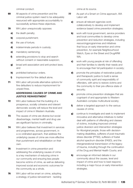criminal conduct.

- **69** All aspects of crime prevention and the criminal justice system need to be adequately resourced with appropriate accountability to successfully achieve these objectives.
- **70** WA Labor unequivocally opposes:
	- a) the death penalty;
	- **b)** corporal punishment;
	- c) the use of torture;
	- d) indeterminate periods in custody;
	- e) mandatory sentencing;
	- f) extending provisions to stop and search without consent or reasonable suspicion;
	- g) broad anti-association and anti-protect laws; and
	- **h)** prohibited behaviour orders.
	- i) Imprisonment for fine default alone.
- **71** WA Labor will provide alternative options for fine defaulters to reduce imprisonment for unpaid fines.

#### **ADDRESSING CAUSES OF CRIME AND JUSTICE REINVESTMENT**

- **72** WA Labor believes that the building of a prosperous, socially cohesive and tolerant democratic society will reduce the level and impact of crime in Western Australia.
- **73** The causes of crime are diverse but social disadvantage, mental health and drug use are significant factors in criminality.
- **74** WA Labor believes that investment in services and programmes, across government, in a co-ordinated approach, that address the underlying causes of crime are more effective than punishment and rehabilitation on their own.
- **75** Investment in crime prevention and addressing the underlying causes of crime is a key mechanism of reducing crime in our community and ensuring less people become victims of crime, as well as delivering improved social and economic outcomes for the community as a whole.
- **76** WA Labor will be smart on crime, adopting a strategy of justice reinvestment - tackling

crime at its source.

- **77** As part of a Smart on Crime approach, WA Labor will:
	- a) ensure all relevant agencies work collaboratively to develop and implement evidence based crime prevention strategies;
	- **b)** work with local government, service providers and local communities to develop crime prevention and reduction strategies, including resourcingprogrammes and initiatives that focus on early intervention and crime prevention, for example Neighbourhood Watch, Eyes on the Street and DrugARM WA;
	- c) work with young people at risk of offending and their families to identify their needs and to encourage their full participation in society;
	- d) promote the principles of restorative justice and therapeutic justice to build a sense of community spirit and responsibility of offenders, with aims to restore victims and the community to their pre-offence state of security;
	- e) promote crime prevention strategies that are cognisant of and appropriate to Western Australia's complex multicultural society;
	- f) deliver a targeted approach to the various causes of crime;
	- **g)** continue to investigate and seek to implement innovative and alternative initiatives to better deal with patterns of offending and classes of victims, including improved criminal justice diversion and intervention strategies for Aboriginal people, those with decisionmaking disabilities, sufferers of post-traumatic stress disorder (PTSD), sufferers of foetal alcohol spectrum disorder (FASD), and the intergenerational transmission of the legacy of trauma, including through the continuation of the Drug and Mental Health Courts; and
	- **h)** encourage an informed debate in our community about the causes, level and impact of crime and how to best respond, including a major focus on early intervention strategies.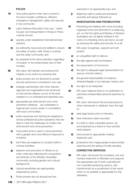#### **POLICE**

- **78** How police perform their role is central to the level of public confidence, effective emergency management, safety and security in the community.
- **79** Labor believes that police 'lock-ups', 'watch houses' and transportation of those in Police custody should:
	- a) operate under established international best practice;
	- **b)** be sufficiently resourced and staffed to ensure the safety of police, staff, those in custody and the wider community; and
	- c) be operated at the same standard, regardless of location or the predominate race of their inmates.
- 80 WA Labor will maintain and enhance the integrity of our police by ensuring that:
	- a) police powers are not devolved to private security personnel or privatised in any way;
	- **b)** strategic partnerships with other relevant agencies and organisations are enhanced so that service delivery occurs at the level needed in a co-ordinated and seamless way;
	- c) appropriate law enforcement and crime prevention initiatives are undertaken in regional and country areas, in consultation with local communities;
	- d) police resources and training are targeted to ensure professional police operations that are able to meet the challenges of modern law enforcement and crime prevention;
	- e) more police time is used in crime prevention with a greater and more effective response to incidents;
	- f) the Police are adaptive to constant shifts in criminal activities;
	- g) selection and promotion of officers is on merit, while also reflecting the composition and diversity of the Western Australian community, including gender and cultural background;
	- **h)** cultural sensitivities are appropriately respected by police;
	- i) Police powers are not abused and are

exercised in an appropriate way; and

j) telephone calls to police are answered promptly and always followed up.

#### **INVESTIGATION AND PROSECUTION**

- 81 Preventing and dealing with crime (including organised crime and terrorism) is a balancing act, so that the rights and liberties of Western Australians are not lightly forfeited in the name of combating crime and terror, as well as ensuring the safety and security of us all.
- 82 WA Labor recognises, supports and will protect:
	- a) an unqualified right to silence;
	- **b)** the right against self-incrimination;
	- c) the presumption of innocence;
	- d) the right to adequate legal representation for serious criminal matters;
	- e) the general inadmissibility of evidence obtained illegally or by improper means; and
	- f) the right to an interpreter.
- 83 WA Labor believes there is no justification to authorise unreasonable personal searches by police.
- 84 WA Labor will ensure that accused persons, when interviewed or detained, have the right to:
	- a) seek legal advice prior to interview;
	- **b)** have interviews video-recorded;
	- c) if a child or other vulnerable person, be accompanied by a friend or have another adult present;
	- d) have access to appropriate medical treatment; and
	- e) protections from inappropriate invasive bodily searches and the taking of bodily samples.

### **CORRECTIVE SERVICES**

85 WA Labor will ensure the consistent, just and humane treatment of offenders and supports the appropriate use of both custodial and non-custodial sentencing options, with imprisonment as a punishment of last resort, which is not suitable or appropriate for fine defaulters.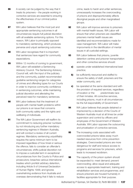- 86 A society can be judged by the way that it treats its prisoners – the people working in corrective services are essential to ensuring the effectiveness of our criminal justice system.
- 87 WA Labor believes that the most just and appropriate sentencing outcomes in all circumstances require full judicial discretion with all available sentencing options. For this reason, WA Labor is principally opposed to mandatory sentencing, which produces perverse and unjust sentencing outcomes.
- 88 WA Labor recognises that it is important that sentences have regard for community expectations.
- 89 Within 12 months of coming to government, WA Labor will establish a Sentencing Advisory Council. The Sentencing Advisory Council will, with the input of the judiciary and the community, publish recommended guideline sentencing ranges for categories of crimes and offending types for our Courts in order to improve community confidence in sentencing outcomes, while maintaining judicial discretion and alleviating the perceived need for mandatory sentences.
- **90** WA Labor believes that the treatment of people with mental health problems within our prisons is an issue that concerns both community safety and the rights and wellbeing of individuals.
- **91** The WA Labor Government will reaffirm its commitment to reducing prisoner numbers by not introducing any further mandatory sentencing regimes in Western Australia, and will conduct a review of all current regimes. Mandatory sentencing unjustifiably requires the same minimum term to be imposed regardless of how trivial or serious the offence; fails to consider an offender's circumstances; shifts judicial discretion not to impose a custodial term in exceptional circumstances from the Courts to Police and prosecutors; breaches various international treaties which prohibit arbitrary detention, including Article 9 of Universal Declaration of Human Rights 1948; and ignores overwhelming evidence from Australia and overseas demonstrating that it fails to reduce

crime, leads to harsh and unfair sentences, unnecessarily increases the overcrowding of prisons and disproportionately affects Aboriginal people and other marginalised groups.

- **92** WA Labor will improve services to prisoners with mental health issues. WA Labor will ensure that when prisoners are classifified prisoners mental health issues are identified and recommendations made for case management. WA Labor will make improvments in the identification of mental issues in all custodial settings.
- **93** WA Labor believes that prisons, juvenile detention centres and prisoner transportation and other corrective services should:
	- a) operate under established international best practice;
	- **b)** be sufficiently resourced and staffed to ensure the safety of staff, prisoners and the wider community; and
	- c) be operated at the same standard and with the provision of required services, regardless of location or the predominate race of their inmates. All corrective services, including prisons, must in all circumstances be the full responsibility of Government.
- **94** WA Labor believes that people detained or imprisoned by a decision of the Courts of Western Australia must at all times be under supervision and control by officers and employees of the Government of Western Australia. WA Labor opposes the outsourcing and privatisation of corrective services.
- **95** The increasing costs associated with overcrowded prisons takes away much needed resources from crime prevention strategies. Overcrowded prisons are more dangerous for staff and reduce access to programs and services for prisoners, which leads to increased recidivism.
- **96** The capacity of the prison system should be expanded to: meet demand; prevent overcrowding; allow equal and adequate access to appropriate treatment, training and rehabilitation services and programmes; and ensure prisoners are housed humanely in facilities appropriate for their purpose.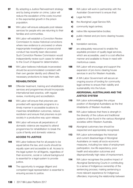- **97** By adopting a Justice Reinvestment strategy and by being smarter on crime, Labor will reduce the escalation of the costs incurred in the exponential growth in the prison population.
- **98** WA Labor will ensure adequate post release services for people who are returning to their families and communities.
- 99 WA Labor will establish a Conviction Review Commission to review historical convictions where new evidence is uncovered or where inappropriate investigative or prosecutorial conduct has recently been discovered. Such Conviction Review Commission would independently review such cases for referral to the Court of Appeal for determination.
- **100** WA Labor believes individuals incarcerated should be accommodated consistent with their own gender identity and offered the necessary protections to keep them safe.

#### **REHABILITATION**

- 101 Offender treatment, training and rehabilitation services and programmes should incorporate international best practice, with regular review, monitoring and accreditation.
- **102** WA Labor will ensure that prisoners are provided with appropriate programs in a timely manner in accessible locations to maximise rehabilitation outcomes, reduce recidivism and ensure that prisoners re-join society in a productive way upon release.
- **103** WA Labor will ensure all perpetrators of domestic violence are required to attend programmes for rehabilitation to break the cycle of family and domestic violence.

#### **ACCESS TO JUSTICE**

- 104 WA Labor believes that for all people to be equal before the law, and courts should be equally open and accessible to all. Access to the legal system for all litigants, regardless of their economic, social or cultural background is essential for a legal system to provide justice.
- **105** The opportunity to engage diligent and competent legal representation is essential to ensuring access to justice.
- **106** WA Labor will work in partnership with the Australian Government to ensure that:
	- a) Legal Aid WA;
	- **b)** the Aboriginal Legal Service WA;
	- c) community legal centres;
	- d) native title representative bodies;
	- e) public interest and pro bono clearing houses; and
	- f) translation services,
- **107** are adequately resourced to enable the equitable provision of quality legal services, which are accessible, used in a cost effective manner and available to those in need with meritorious cases.
- **108** WA Labor will encourage and support the expansion of pro-bono clearing house services in and for Western Australia.
- 109 A WA Labor Government will secure an ongoing source of funding for community legal centres to ensure their viability and sustainability into the future.

#### **ABORIGINAL AUSTRALIANS AND THE JUSTICE SYSTEM**

- 110 WA Labor acknowledges the unique position of Aboriginal Australians as the first inhabitants of Western Australia.
- 111 WA Labor believes that there is strength in the diversity of the culture and traditional systems of law found in the various Aboriginal societies within Western Australia.
- 112 Aboriginal customary law should be respected and appropriately recognised.
- **113** WA Labor acknowledges the historical and current disadvantage of Aboriginal Australians on nearly all socio-economic measures, including low rates of employment participation, low life expectancy, poor health and education outcomes and disproportionally high rates of imprisonment.
- 114 WA Labor recognises the positive impact of Aboriginal Sentencing Courts in contributing to a sense of Indigenous ownership of the sentencing process; making sentencing a more relevant experience for Indigenous offenders; improving the relationship between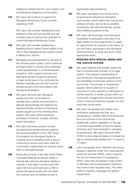Indigenous people and the court system; and strengthening Indigenous communities.

**115** WA Labor will continue to support the Aboriginal Sentencing Courts currently operating in WA.

> WA Labor will consider establishing more initiatives of this kind around WA and will consider ways to improve the operation of current Aboriginal Sentencing Courts.

- 116 WA Labor will consider establishing a Neighbourhood Justice Centre similar to the City of Yarra Neighbourhood Justice Centre in Melbourne, Victoria.
- 117 Aboriginal over-representation in all parts of the criminal justice system, and in particular amongst those in custody, and a seeming under-representation in criminal diversion programs, victim support services and alternative penalty programs represent a major social issue to be confronted by Western Australia and one that must be tackled as part of full reconciliation with Aboriginal Australians.
- **118** WA Labor will work with Aboriginal people and their communities to develop laws, policies and practices to alleviate disadvantage and address the disproportionate numbers of Aboriginal people caught up in the criminal justice system. WA Labor will be guided by principles of inclusion, equality, fairness, equity and justice.
- 119 WA Labor will review present criminal procedural and sentencing laws against the recommendations of the 1991 Royal Commission into Aboriginal Deaths in Custody recommendations with a view to continuing to ensure such laws meet the community's needs while not causing undue harm to Aboriginal people.
- **120** Noting the success of the New South Wales Custodial Notifications Service (CNS) in dramatically reducing Aboriginal deaths in custody in that state, in government WA Labor will fund and implement a CNS to ensure Aboriginal people who are taken into custody have immediate access to

appropriate legal assistance.

- 121 WA Labor will respect the various forms of governance adopted by Aboriginal communities, which reflect their cultural and juridical domains, and as far as possible, consistently with international law, uphold their traditional systems of law.
- 122 WA Labor will encourage more Aboriginal Australians to participate more fully in the legal system by encouraging them to apply for appointment as Justices of the Peace, to join the Police, participate in the Aboriginal Visiting Scheme, to study law, and in other appropriate areas.

### **PERSONS WITH SPECIAL NEEDS AND THE JUSTICE SYSTEM**

- **123** WA Labor believes that equality before the law is a fundamental concept of our legal system. This requires understanding of and sensitivity to the special requirements and disabilities of particular sections of the community. The principle of 'substantive equality' directs attention to equality of outcome or to the reduction or elimination of barriers specific to certain groups within our community. It begins from the premise that in order to treat some persons equally, we can't treat them all the same.
- 124 WA Labor recognises that children have diminished capacities and that, as a consequence, children need to be protected from the full force of the criminal law. Additionally, uniform legislation on the age of criminal responsibility across the States, Territories and Commonwealth is desirable. In government, WA Labor will work within COAG to encourage all states to increase the age of criminal responsibility from 10 years to 12 years.
- **125** Labor recognises some offenders and young people in detention suffer from foetal alcohol syndrome disorder (FASD). Labor supports the work of researchers in investigating FASD. Labor also recognises a high portion of offenders and young people in detention may have a brain acquired injury. This often leads to cognitive, language and speech impairments.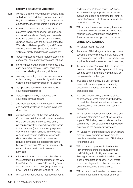#### **FAMILY & DOMESTIC VIOLENCE**

- 126 Women, children, young people, people living with disabilities and those from culturally and linguistically diverse (CALD) backgrounds are amongst the most vulnerable in our society.
- 127 All Western Australians are entitled to live safe from family violence, including physical and emotional abuse. Family and domestic violence is criminal conduct and should be guarded against with the full force of the law. WA Labor will develop a Family and Domestic Violence Prevention Strategy to protect victims of family and domestic violence by:
	- a) increasing access to legal representation and assistance, community services and refuges;
	- **b)** providing appropriate training to professionals such as judicial officers, Police, court staff and others dealing with family violence;
	- c) ensuring relevant government agencies work collaboratively to prevent family and domestic violence and effectively support its victims;
	- d) incorporating specific content into school education programmes;
	- e) increasing community awareness and education campaigns; and
	- f) undertaking a review of the impact of family and domestic violence on people living with disabilities.
- **128** Within the first year of the next WA Labor Government, WA Labor will conduct a review of the convictions and sentences of any person (irrespective of gender or relationship to the deceased) who is currently in prison in WA for committing homicide in the context of serious domestic and family violence to determine whether pardons, parole and reduced sentences are appropriate in the light of the previous WA Labor Government's reform of laws on domestic violence homicide.
- 129 A Labor will work to enact and give effect to the outstanding recommendations of the WA Law Reform Commission's Enhancing Family & Domestic Violence Laws (Project No. 104) Final Report in particular relating to RTA.
- 130 WA Labor will reintroduce metropolitan Family

and Domestic Violence courts. WA Labor will ensure that appropriate resources are available to enable applications for Family & Domestic Violence Restraining Orders to be dealt with immediately.

**131** WA Labor will review and remedy the current situation where formally separated de facto couples' superannuation is considered a financial resource as opposed to an asset.

# **DRUGS AND ALCOHOL**

132 WA Labor recognises that:

- a) the abuse of illicit drugs exacts a high human, social and economic cost to individuals and the community and that drug use and abuse is primarily a health issue, not a criminal one;
- **b)** the 'war on drugs' approach to reducing the use and community damage from illicit drug use has been a failure and may actually be doing more harm than good;
- c) drug and alcohol policy is a very complex issue that demands proper community discussion of a range of alternatives to prohibition; and
- d) drug and alcohol policy should be based on evidence of what works and what does not and the international evidence base on these issues is now both substantial and persuasive.
- **133** WA Labor will introduce comprehensive and innovative strategies aimed at reducing the impact of illicit drug use and abuse on the community, in consultation with appropriate experts and the community generally.
- **134** WA Labor will ensure police and courts make greater use of diversionary programs for people accused of possession of illicit drugs for personal use.
- **135** WA Labor will implement its Meth Action Plan by transforming Melaluca Remand and Reintegration facility and Wandoo Reintegration facility to dedicated drug and alcohol rehabilitation prisons. It will create a prisoner triage unit to direct appropriate prisoners directly to these prisons.
- **136** WA Labor will decriminalise the possession of small amounts marijuana for personal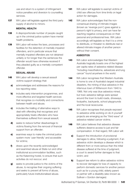use and return to a system of infringement notice penalties and diversion to counselling services.

**137** WA Labor will legislate against the third party supply of alcohol to minors.

#### **MENTAL HEALTH**

- **138** A disproportionate number of people caught up in the criminal justice system have mental health problems.
- **139** WA Labor will review the laws, processes and facilities for the detention of mentally impaired offenders, and in particular ensure that mentally impaired offenders are not detained unfairly or for longer than the sentences the offender would have otherwise received if they pleaded guilty as a mentally competent offender.

#### **SEXUAL ABUSE**

- **140** WA Labor will develop a sexual assault victims support strategy that:
	- a) acknowledges and addresses the reasons for low reporting rates:
	- **b)** includes early intervention programmes, and more effective and targeted health services that recognise co-morbidity and connections between health and abuse;
	- c) includes the trialling of alternative ways to deal with offending that recognises and appropriately treats offenders who have themselves suffered from sexual assault;
	- d) seeks to reduce further disadvantage to victims flowing from the removal of financial support from an offender;
	- e) examines ways to make the criminal justice system more 'user friendly' and accessible for victims;
	- f) draws upon the recently acknowledged and examined abuse at State run and other institutional accommodation facilities, such as the Katanning hostel, to ensure that such activities do not reoccur; and
	- g) seeks to provide justice to the victims of the abuse, to recognise their ongoing suffering and seeks to prevent all forms of abuse, particularly future institutionalised abuse.
- 141 WA Labor will legislate to exempt victims of child sex offences from time limits on legal action for damages.
- 142 WA Labor acknowledges that the nonconsensual sharing of intimate images (known as 'revenge porn') goes against a person's right to privacy, and can have farreaching negative consequences on their personal and professional lives. WA Labor accordingly will legislate so that it is a crime to distribute, or threaten to distribute real or altered intimate images of another person without their consent.

#### **ASBESTOS**

- 143 WA Labor acknowledges that Western Australia tragically boasts one of the highest per capita rates of asbestos related disease "including mesothelioma, asbestosis and lung cancer" found anywhere in the world.
- **144** WA Labor recognises that Western Australia is home to one of Australia's largest industrial disasters, the mining of blue asbestos in the infamous town of Wittenoom from 1940 to 1966. Not only was blue asbestos mined, but toxic asbestos tailings were spread around the town to build roads, driveways, footpaths, backyards, school playgrounds and the local racecourse.
- **145** WA Labor recognises that people exposed to asbestos while working on do-it-yourself projects are emerging as the "third wave" of asbestos-related cancer victims.
- **146** WA Labor believes that asbestos disease sufferers deserve access to just and fair compensation. In that regard, WA Labor will:
	- a) Support the introduction of provisional damages to allow, following a judgment, if an asbestos victim develops a disease which is different from or more serious than the initial disease suffered at the time of judgment, a court to award further damages to that victim; and
	- **b)** Support law reform to allow asbestos victims to recover damages for loss of capacity to perform domestic services for another person such as for a young child, elderly parent or partner with a disability (also known as Sullivan v Gordon damages)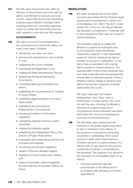147 The WA Labor Government will, within its first term of Government and in line with the party's commitment to local jobs and local content, ensure WA Government advertising projects employ Western Australian talent; including performers, advertising agencies, voice-over artists and technical production staff, needed to crew what are WA projects.

#### **ACHIEVEMENTS**

- **148** WA Labor is proud of its achievements in law, governance and community safety over many, many years, including:
	- introducing 'one vote, one value';
	- removing the requirement to own property to vote;
	- establishing the Court of Appeal;
	- overhauling the Magistrates Court;
	- creating the State Administrative Tribunal;
	- establishing the Equal Opportunity Commission;
	- completing State gay and lesbian law reform;
	- establishing the Commissioner for Children & Young People;
	- establishing legal recognition of de facto relationships;
	- establishing the Ombudsman (Parliamentary Commissioner);
	- introducing Freedom of Information Legislation;
	- maintaining essential services in public ownership;
	- creating the lobbyists register;
	- establishing the independent Office of the Director of Public Prosecutions;
	- overhauling and modernising criminal court procedure and appeals;
	- introducing anti-terrorism legislation;
	- creation of the sex offenders register;
	- requlation of those working with children; and
	- revision of domestic violence legislation and the treatment of domestic violence by Police.

## RESOLUTION

**149** WA Labor recognises the human rights concerns associated with the Federal Liberal Government's amendments to section 501 of the Migration Act 1958 ("The Act"). Under section 501 of the Act, the relevant Minister has discretion to implement a "character test" to strip individuals of their visas as a result of criminal behaviour.

> This discretion extends to enable the Minister to suspend an individual's visa in circumstances where the Minister "reasonably suspects" or has "reasonable suspicion" that the individual has been a member of a group or organisation, or has had or has an association with a group that is involved in criminal behaviour. The practical effect of this is that individuals have their visas suspended and are subsequently incarcerated for extended periods of time in detention without charge or sentence and without having their suspected criminality tested before the courts.

WA Labor calls upon the Federal Parliamentary Labor Party, when in Government, to review section 501 of the Act with the view of limiting the Minister's discretion to suspend visas only in circumstances where individuals have been tried before the courts and subsequently convicted of criminal behaviour.

- **150** The WA State Labor Government will introduce a civil penalty regime associated to acts or omissions of the officers of the persons or corporations conducting a business or undertaking which cause a person's death when those actions or omissions amount to a serious breach of a relevant duty of care owed by the persons conducting a business or undertaking to the deceased. The purpose to be served by the imposition of civil penalties regime is as follows:
	- 1 . Financial punishment that are proportionate to the offence and in accordance with prevailing community expectations;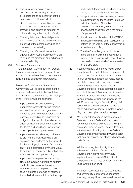- 2 . Imposing liability on persons or corporations conducting a business or undertaking to genuinely reflect the serious nature of the conduct;
- 3 . Deterrence, both personal (which causes the offender to assess the risk of reoffending) and general (a deterrent to others who might be likely to offend);
- 4 . Ensuring liability and financial penalty for omissions as well as positive actions on behalf of the persons conducting a business or undertaking;
- 5 . Ensuring the offence allows for the aggregation of responsibility rather than relying on the actions of one individual to determine liability.

## **151** Misuse of Partnerships

The State Labor Government will prohibit the misuse of partnership agreements in circumstances where they do not meet the requirements of a genuine partnership.

More specifically, the WA State Labor Government will legislate to implement a system of offences within the legislative framework of the Partnerships Act 1895 (WA) ("the Act") to ensure the following:

- 1 . A person must not establish any partnership, enter into any partnership with another person or organise any person to enter into a partnership for the purpose of avoiding any obligation or obligations that would otherwise incur under any law or instrument governing the terms and conditions under which work is performed by employees;
- 2 . A person must not dismiss, or threaten to dismiss and individual who is an employee and performs particular work for the employer, in order to facilitate the entry into a partnership by the individual to perform the same, or substantially the same work under a partnership;
- 3 . A person that employs, or has at any time employed an individual to perform particular work must not make a statement that the employer knows is false in order to persuade or influence the individual to enter into a partnership

under which the individual will perform the same, or substantially the same work;

- 4 . An application may be made by a person to a body such as the Western Australian Industrial Relations Commission ("WAIRC") for a remedy in respect to any arrangement or agreement in the nature of a partnership;
- 5 . It shall be at the discretion of the WAIRC that upon the making of an application to determine the validity of the partnership in accordance with Act;
- 6 . The WAIC shall be given authority to make orders including the absolution of liability of the applicant with respect to the partnership or an award of compensation for the applicant.
- **152** In today's globally connected world, cyber security must be part of the core business of government. Cyber-attack has the potential to shut down government agencies, costing the State money and impacting on service delivery. The previous Liberal-National Government failed to take appropriate action to protect the West Australian public service from cyber-attack. WA Labor has already taken action by revising and improving the WA Government Digital Security Policy. WA Labor will take further action to reduce the risk of cyber-attack and will develop a wholeof-government cyber security strategy.
- **153** WA Labor acknowledges that the previous State and current Federal Governments have made dramatic cuts to the funding of community legal services. These cuts come in the context of findings from the Federal Government's own Productivity Commission that legal aid services are already dramatically underfunded.

WA Labor recognises the significant achievement of the McGowan Labor Government in providing community legal centres with almost \$1.2 million to compensate for the loss of funding from the Legal Contribution Trust.

WA Labor recognises that cuts to legal aid and community legal services are a false economy, as significant costs are incurred as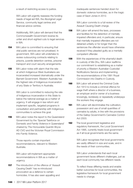a result of restricting access to justice.

WA Labor will urgently reassess the funding needs of legal aid WA, the Aboriginal Legal Service, community legal centres and financial advice centres.

Additionally, WA Labor will demand that the Commonwealth Government reverse its unfair and short-sighted cuts to legal services in WA.

- **154** WA Labor is committed to ensuring that vital public services are not privatised. In government, WA Labor will undertake to review outsourcing contracts relating to prisons, juvenile detention centres, prisoner transport and court security arrangements.
- **155** WA Labor notes with alarm that the rate at which Indigenous West Australians are incarcerated increased dramatically under the Barnett Government. Western Australia has the highest rate of Indigenous incarceration of any State or Territory in Australia.

WA Labor is committed to reducing the rate of Indigenous incarceration in this State to below the national average as a matter of urgency. It will engage in law reform and implement specific, targeted programs in consultation and partnership with Indigenous communities to achieve this goal.

**156** WA Labor notes the report to the Queensland Government by the 'Special Taskforce on Domestic and Family Violence in Queensland' chaired by The Honourable Quentin Bryce AD CVO and the Victorian Royal Commission into Family Violence.

> Those reports contain important recommendations, relevant to Western Australia.

WA Labor will implement appropriate recommendations in WA as a matter of urgency.

157 The introduction of the offence of 'Assault' Causing Death' has re-introduced provocation as a defence to certain homicides. It has also seen appalling and

inadequate sentences handed down for domestic violence homicides, as in the tragic case of Saori Jones in 2012.

WA Labor commits to a full review of the Assault Causing Death charge.

- **158** WA Labor will amend the laws, processes and facilities for the detention of mentally impaired offenders and, in particular, ensure that mentally impaired offenders are not detained unfairly or for longer than the sentences the offender would have otherwise received if they pleaded guilty as a mentally competent offender.
- **159** With the experiences of the shameful death in custody of Ms Dhu, WA Labor reaffirms our commitment to establishing as a matter of priority a Western Australian Custodial Notifications Service and implementing the recommendations of the 1991 Royal Commission into Deaths in Custody.
- **160** WA Labor will amend the Criminal Code Act 1913 to include a criminal offence for wage theft where a director of a business, an employer and/or owner of a business knowingly, recklessly or repeatedly underpays the workers they engage.
- **161** WA Labor will decriminalise the cultivation, possession and use of small quantities of cannabis by adults, in line with the provisions of the Gallop Government's Cannabis Control Act 2003.
- **162** The local government legislative and regulatory framework, the Local Government Act 1995, currently treats local government as if all local governments are the same.

WA Labor recognises that local governments are vastly different in size and scale, and in the needs of their communities.

WA Labor understands that each local government faces different challenges, just as each local community has different needs.

To reflect these differing needs and enable better outcomes for local communities, the legislative framework for local government needs to change.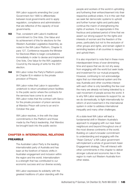WA Labor supports amending the Local Government Act 1995 to differentiate between local governments and to apply regulation, compliance and administration that are reflective of the capacity of local governments.

- **163** That, consistent with Labor's traditional commitment to One Vote, One Value and its achievement of this for elections for the Western Australian Legislative Assembly, as noted in the WA Labor Platform, Chapter 9, para 127, Conference requests the Minister for Electoral Affairs to begin consultations immediately in order to devise and implement One Vote, One Value for the WA Legislative Council by the issuing of writs for the 2021 election.
- **164** WA Labor notes the Party's Platform position (in Chapter 8) in relation to the private provision of Prisons:

WA Labor notes that Labor in opposition undertook to return privatised prison facilities to the public sector where the contracts for the services have come to an end. WA Labor notes that the contract with Serco for the private provision of prison services at Wandoo Prison will come to an end in October this year.

WA Labor resolves, in line with the clear commitments in the Platform and those made by the Party's leadership, that Wandoo be brought back into the public sector.

# CHAPTER 9: INTERNATIONAL RELATIONS

#### PREAMBLE

The Australian Labor Party is the leading internationalist party of Australia and has been at the forefront of historic shifts in Australian engagement and inclusion within the region and the world. Internationalism is a strength that has contributed to our economic success and our diverse society.

WA Labor expresses its solidarity with the greatest traditions of Labor standing with the

people and workers of the world in upholding and furthering their enfranchisement into their respective political orders. It is in this vain that we seek fair democratic systems to uphold and further human rights and particularly continue the march of strengthening the rights of workers. It is appropriate in this fractious and polarised period of time that we assert our strong support for the rights and interests of women and the freedom of the press, particularly but not to the exclusion of other groups and rights, and remain vigilant in reminding leaders of all countries to respect and uphold them.

It is also important to note that in these more interdependent times of ever-diminishing time and space that we do not shy away from engaging with the world but seek trade and investment for our mutual prosperity. However, continuing to not acknowledge signs that our international system and the way Australia and other countries interact with each other is only benefiting the few over the many are already not being tolerated by a vast movement of people across the world. It is why WA Labor expresses its support for, as we do domestically, to fight internationally for reform of and investment in the international system in order to address international inequality and many other challenges.

At a state level WA Labor will lead a fundamental shift in Western Australia's approach to engaging with our near Asian neighbours and beyond throughout one of the most diverse continents of the world. Building on Labor's broader commitment to understanding and engaging with the "Asian Century" a WA Labor government will implement a whole of government Asian Engagement strategy. This will interact with other commitments in this chapter to deliver stronger cultural and economic ties in the region to mark out Western Australia from other states.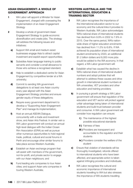## ASIAN ENGAGEMENT: A WHOLE OF GOVERNMENT APPROACH

- 1 WA Labor will appoint a Minister for Asian Engagement, charged with overseeing the implementation of an Asian Engagement **Strategy**
- **2** Develop a whole of government Asian Engagement Strategy to guide economic diversification and create jobs. The strategy will address the following issues and initiatives:
	- a) Support WA small and medium-sized businesses engage Asia to attract capital investment and exploit export opportunities;
	- **b)** Subsidise Asian language training to public servants and consider a small allowance to those who achieve a recognised standard;
	- c) Help to establish a dedicated centre for Asian Engagement by competitive tender at a WA university;
	- d) Commit to sending WA government delegations to at least one Asian country every year aligned with the Asian Engagement Strategy priorities and ensure gender equity of these delegations;
	- e) Require every government department to develop a "Supporting Asian Engagement Plan" and manage its implementation;
	- f Host an annual ASEAN Dialogue. concurrently with a trade and investment show, and Asian Arts Festival. In similar vein a WA Labor government will conduct an annual high-level dialogue with the Indian Ocean Rim Association (IORA) as well as pursue other numerous opportunities to hold regional trade, political, cultural and social forums in Perth and encourage other similar forums to take place across Western Australia;
	- **g)** Establish an Asian exchange program that will assist with members of the government, not-for-profit, and private sector to engage with our Asian neighbours; and
	- **h)** Fund leading arts companies to tour Asian cities; and support Asian arts companies in touring Western Australia;

## WESTERN AUSTRALIA AND THE INTERNATIONAL EDUCATION & TRAINING SECTOR

- **3** WA Labor recognises the importance of the international education sector to our economy and the cultural links it provides to Western Australia. WA Labor acknowledges WA's national share of international students has declined from 9.9% in 2002 to 7.8% in 2015. Over the same period, WA's nationwide share of higher education enrolments has declined from 11.2% to 6.8%. If WA achieved its population share of international student enrolments by 2020, an additional \$1.2 billion dollars and 8,000 more jobs would be added to the WA economy. In that regard, a WA Labor government will:
	- **a)** Establish what has caused the decline in WA's national share of international student numbers and adopt policies that will attempt to address these causes and drive growth in international student numbers at WA universities, VET providers and other education and training providers;
	- **b)** In pursuing a growth strategy a WA Labor government will ensure that regulation of the education and VET sector will protect against unfair advantage being taken of international students and build trust between provider and consumer. A WA Labor government will consider how regulation can ensure:
		- i) The maintenance of the highest possible educational standards
		- ii) Fairness of fees
		- **iii**) Providers are transparent and accountable to the regulator and their students
		- iv) Providers consider the welfare of the student
	- c) Ensure that violation of standards will be thoroughly investigated, refunds offered to international students who have been affected, and appropriate action is taken against infringing providers and individuals.
- **4** WA Labor recognises the cultural and economic importance of international students travelling to WA but also stresses the importance of WA students travelling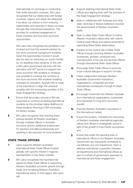internationally on exchange or conducting their entire education overseas. WA Labor recognises that our relationship with foreign countries, regions and states are deepened if we allow our citizens to form enduring relationships and networks in these countries through their educational experience. This provides for sustained engagement in these countries and long-term economic opportunities.

WA Labor also recognises the prohibitive cost involved and how this presents barriers for low socio-economic background students. Given the opportunities involved it would also be seen as restricting our social mobility by not assisting these students. In this vein a WA Labor government will work with the education and VET sectors to support low socio-economic WA students in whatever way possible to increase the numbers of low socio-economic WA students travelling overseas for education. Special note is made of the importance to align this wherever possible with the overarching priorities of the Asian Engagement strategy.

- **5** Ensure that secondary schools in WA are supported to continue accepting international students as this provides higher likelihood of these students returning to WA universities for tertiary studies.
- **6** WA Labor recognises that enacting these policies benefits all Western Australians through multiplier effects in domestic economic activity, additional employment for teachers and allied professionals and assisting in fee reduction for local students.

## STATE TRADE OFFICES

- **7** Labor supports Western Australia's International State Trade Offices located globally with specific interest in regional representation in key Asian markets.
- 8 WA Labor recognises the important role played by State Trade Offices in supporting Western Australia's economic growth through trade, and increasing Western Australia's international status. In that regard, WA Labor will:
- a) Support retaining international State Trade Offices and aligning them with the priorities of the Asian Engagement strategy;
- **b)** Seek to collaborate with Austrade and other state, territorial or federal institutions towards the advancement of Western Australian trade;
- c) Seek to utilise State Trade Offices to further Western Australia's relationship with nations hosting trade offices and explore potential for expanding Sister-State relationships;
- d) Expand on the current role of State Trade Offices through informing Western Australian businesses, growers, producers and manufacturers of the role and services offered through international State Trade Offices
- e) Encourage State Trade Offices to promote cross-cultural dialogue in support of trade;
- f) Foster collaboration between Western Australian Government institutions, organisations, companies and their international counterparts through its State Trade Offices;
- g) Encourage investment into Western Australia from international organisations, businesses and individuals for long-term economic benefit;
- **h)** Promote Western Australia's importance in the international market;
- i) Ensure the location, mandate and resourcing of Western Australian international agencies, offices and officers is strategically sound in light of the growth of Indo-Pacific economies; and
- j) Ensure that whilst the reporting lines of international offices to the Western Australian Government are importantly centralised to one Minister and one Department, there is effective institutional cooperation between all Departments and international offices as part of a whole-of-government approach to international and Asian engagement.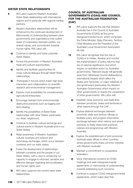## SISTER STATE RELATIONSHIPS

- 9 WA Labor supports Western Australia's Sister-State relationships with international regions and in particular with regional trading partners.
- 10 Western Australia's relationships will be enhanced by the continued development of Memoranda of Understanding between other governments and organisations that outline areas of cooperation between parties, our shared values, and commitment towards human rights. WA Labor will:
	- a) Continue to identify and foster potential Sister-States;
	- **b)** Pursue the promotion of Western Australia's trade and cultural opportunities;
	- c) Identify and facilitate opportunities for cross-cultural dialogue through Sister-State relationships;
	- d) Participate in forums which foster high-level interaction and collaborations on scientific research and environmental management;
	- e) Explore more possibilities for complementary agricultural enterprises;
	- f) Encourage restraint from environmentally destructive practices such as logging and land clearing;
	- g) Identify the possibilities of Sister-State relationships with other States, particularly our Asian neighbours;
	- h) Continue to facilitate cultural exchange and cultural events in Western Australia and in our Sister-States;
	- i) Raise awareness of Western Australia's cultural, business and science and technology exchanges, which occur between ourselves and our sister states;
	- **j)** Foster the development of relationships between ourselves and the people of our Sister-States, with a view to enhancing our capacity to engage in informed, sensitive and effective dialogue regarding democratisation and human rights; and
	- k) WA Labor supports the current sister state relationships.

## COUNCIL OF AUSTRALIAN GOVERNMENTS (COAG) AND COUNCIL FOR THE AUSTRALIAN FEDERATION (CAF)

- 11 WA Labor supports the role that Western Australia has in the Council of Australian Governments (COAG) as the prime intergovernmental forum, which comprises the Prime Minister, State Premiers, Territory Chief Ministers and the President of the Australian Local Government Association (ALGA).
- 12 WA Labor recognises that the role of COAG is to initiate, develop and monitor the implementation of policy reforms that are of national significance and which require co-operative action by Australian governments. Relevant issues will generally arise from: Ministerial Council deliberations; international treaties which affect the States and Territories; or major initiatives of one government (particularly the Western Australian Government) which impact on other governments or require the cooperation of other governments. WA Labor will:
	- a) Establish close economic and trade links between provinces, states and territories in other nations through the CAF;
	- **b)** Explore bilateral exchanges between provincial, state and territory officials to facilitate policy and program information exchange between other nations and where practical, to freely share best practices, policies and programmes with Western Australia;
	- c) Explore the establishment of joint provincialterritorial-state offices in other countries where governments share common interests with Western Australia:
	- d) Maintain a commitment to cooperative federalism;
	- e) Voice international concerns at COAG meetings and seek intergovernmental agreements or memoranda of understanding towards addressing such concerns;
	- f) Continue to support COAG intergovernmental agreements, which make clear that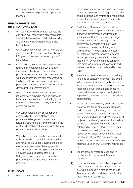outcomes have head of government support and contain detailed policy and operational manners.

## HUMAN RIGHTS AND INTERNATIONAL LAW

- 13 WA Labor acknowledges and respects the accretion over many years of human rights that attach themselves to WA residents due to their status as Australian citizens and human beings.
- 14 A WA Labor government will not legislate or seek to legislate any such law that abridges, infringes or breaches the human rights of individuals.
- **15** A WA Labor government will have particular regard in its engagement internationally for human rights being upheld and will particularly be vocal on issues of slavery and worker exploitation. We hold these views as the broader labour movement that seeks to protect and enhance worker rights not only domestically but internationally.
- **16** WA Labor recognises the foundational role refugees have played in shaping Australian identity and values, and contributing to the vibrant multicultural community in WA and across our nation.

WA Labor notes the continued reports and calls by the United Nations, nongovernmental organisations and other relevant institutions that have highlighted the continued violations of refugee rights that are occurring in Australia's name.

WA Labor calls on all levels of government within Australia to commit to work together and for a Federal Labor Government to seek regional and international arrangements that will assist in honouring our international obligations as a signatory of the 1951 Refugee Convention so as to expedite processing, community resettlement and integration.

## FAIR TRADE

17 WA Labor recognises the importance of

ethical procurement of goods and services in upholding domestic and foreign nation's laws and regulations, and maintaining international labour standards and human rights. In this vain a WA Labor government will:

- a) A WA Labor Government will introduce regulations and/or legislation that will commit it and WA government departments to enforce a certification process on foreign businesses that are tendering for WA government contracts or that it holds commercial contracts with for goods and services. This certification process will establish whether foreign businesses tendering for WA government contracts or that the WA government holds contracts with meet WA government standards and international labour standards and human rights.
- **b)** A WA Labor government will not award any tender to or cancel the contract held by the WA government with a foreign business where the business cannot establish beyond reasonable doubt that it meets or has not breached the regulations and/or legislation implemented by the WA government and its departments.
- 18 WA Labor notes the many examples in recent history of the failure of foreign businesses, under contract by the WA government and others who import goods to Australia, to deliver imported goods and WA Government projects to and using materials of Australian standard. This poses a threat to public safety and an uneven playing field for local businesses competing in a now global market. A WA Labor government will level the playing field for WA businesses and protect the public and workers from defective materials used on WA Government projects by:
	- a) Ensuring that all materials used on WA Government projects meet Australian standards.
	- **b)** Ensuring that any project to be completed under contract to the WA Government by a foreign business in a foreign nation is to Australian standard and uses materials that meet Australian standards.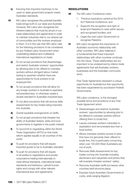- c) Ensuring that imported machinery to be used on state government projects meets Australian standards.
- **19** WA Labor recognises the potential benefits trade brings both to our state and Australia. However, WA Labor also recognises the inherent balance that must be struck in our trade relationships and agreements in order to maintain industries vital to our diverse set of communities and the workers employed in them. It is in this vain that WA Labor calls for the following provisions to be considered by any Federal Labor Government when undertaking bilateral and multilateral international negotiations on trade:
	- a) To not accept provisions that disadvantage and restrict Australian workers' opportunities by allowing jobs to be offered to overseas workers without stringent labour market testing to ascertain whether there are opportunities for local workers to be employed first.
	- **b)** To not accept provisions that will allow for any foreign workers in Australia to exploited, remunerated less, or otherwise create a double standard in Australian industrial laws.
	- c) To not allow provisions that will remove skills assessments for key trades being imported into Australia.
	- d) Overall equitable arrangements on tariffs
	- e) To not accept provisions that threaten the ability of Australian federal, state and local governments to legislate in the public interest
	- f) To recommit to negotiating within the World Trade Organisation (WTO) so that trade reform applies equally to all countries of the world.
	- **g)** To push for provisions that will require imported goods to be to Australian standard
	- **h)** To push for provisions that will require of all parties to negotiations and private corporations trading internationally to meet ethical standards, international trade standards and behaviour, uphold human rights and comply with other relevant international laws and agreements.

## RESOLUTIONS

- 20 The WA Labor Conference notes:
	- 1 . Previous resolutions carried at the 2015 ALP National Conference; and
	- 2 . Supports the recognition and right of lsrael and Palestine to exist within secure and recognised borders; and
	- 3 . Urges the next Labor Government to recognise Palestine.
- 21 WA Labor recognises the importance of Australia's economic relationship with other countries. WA Labor believes it is fundamental that these important relationships with other countries continues into the future. These relationships are too important to be underpinned by inferior trade agreements that sell Australian workers, businesses and the Australian community short.

Free Trade Agreements represent a unique opportunity for Australia but that opportunity has been squandered by successive Federal Governments.

WA Labor condemns, in the strongest possible terms and provisions of any Free Trade Agreement which

- Disadvantages and restricts Australian workers' opportunities by allowing jobs to be offered to overseas workers without offering them to locals first;
- Leaves overseas workers vulnerable to exploitation and remunerated less than a local worker;
- Allows overseas workers access to jobs that have not genuinely been offered to locals first, this is particularly concerning when over 100,000 West Australians are out of work;
- Removes Skills Assessments for key trades coming into Australia including electricians and carpenters and joiners that will invariably threaten workers' safety;
- Removes Australian tariffs but leaves other countries tariff structure place;
- Exposes future Australian Governments to costly, wide-ranging litigation;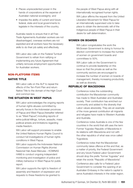- Places unprecedented power in the hands of corporations at the expense of Australian national sovereignty; and
- Impedes the ability of current and future federal, state and local governments to legislate in the interests of the country.

Australia needs to ensure that in all Free Trade Agreements Australian workers are not disadvantaged, overseas workers are not exploited and all workers have the necessary skills to do their job safely and effectively.

WA Labor also calls on the Federal Turnbull Government to refrain from ratifying or implementing any future Agreement that unfairly removes employment opportunities for Australian workers.

#### NON-PLATFORM ITEMS

## NATIVE TITLE

WA Labor calls on the ALP to repeal the effects of the Ten-Point Plan and return Native Title to the domain of the High Court and common law.

## THE SITUATION IN WEST PAPUA

WA Labor acknowledges the ongoing reports of human rights abuses committed by security forces in the Indonesian provinces of Papua and West Papua (hereafter referred to as "West Papua") including reports of extra-judicial killings, torture, assaults, mass political arrests and limitations regarding media freedom.

WA Labor will support processes to enable the United Nations Human Rights Council to conduct full investigations of human rights conditions in West Papua.

WA Labor supports the Indonesian National Commission on Human Rights (Komisi Nasional Hak Asasi Manusia – KOMNAS HAM) to conduct ongoing independent monitoring and investigation of police and military behaviour in West Papua for public report.

WA Labor supports the right to freedom of assembly and freedom of expression and requests to these freedoms be granted to

the people of West Papua along with all internationally recognised human rights. WA Labor affirms the request from the United Liberation Movement for West Papua for an internationally supervised vote to take place to obtain the democratic will of the Indigenous people of West Papua in their desire for self-determination.

#### WOMEN ON BOARDS

WA Labor congratulates the work the McGowan Government is doing to honour its election commitment to increase the number of women on government boards and committees to 50%.

WA Labor calls on the Government to continue to provide leadership on this issue so that the private as well as the community sectors are encouraged to increase the number of women on boards of management, thereby increasing productivity as well as diversity.

## REPUBLIC OF MACEDONIA

Conference notes the outstanding contribution the Macedonian community has made to West Australian and Australian society. Their contribution has enriched our community and added to the diversity that Labor values absolutely. They are an example of the more general contribution all migrants and refugees have made to Western Australia and Australia.

Conference notes Australia is one of the few countries in the world that still uses the term Former Yugoslav Republic of Macedonia in its relations with Macedonia and not with the other republics of what was once called Yugoslavia.

Conference notes that the Macedonian community takes offence at this and that, as a matter of priority, the Federal Government and any future Federal Labor Government should drop the prefix "former Yugoslav" and retain the words "Republic of Macedonia".

Conference also calls for a Federal Labor Government to consider the opening of an Australian Embassy in the nation's capital to serve Australia's interests in the wider region.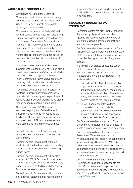#### AUSTRALIAN FOREIGN AID

Conference notes that the Australian Government and Federal Labor are already committed to the Sustainable Development Goals (SDGs) as a critical framework to reducing extreme poverty.

Conference condemns the Federal Coalition for their savage cuts to Australian aid, taking our national contribution to historic lows as a proportion of Australia's Gross National Income (GNI). These cuts have come at the same time as unprecedented numbers of people have been forced to flee from their homes globally and as the UN has called the current global situation the worst the world has ever faced.

Conference notes that the SDGs call on governments to spend 0.7% of GNI on official development assistance (ODA), or aid. While Labor increased aid significantly when last in government, the Liberals have cut billions meaning that our aid spend has decreased as a proportion of our national income.

Conference believes that it is important for Australia to keep its commitments to the international community and to play its part in reducing global poverty, tackling rising global inequality and protecting human rights.

Conference calls on WA Conference to endorse the policy that:Federal Labor in government commits to not reducing the funding for Official Development Assistance as a proportion of GNI until the targets we have committed to under the SDGs have been met.

Federal Labor commits to increasing aid as a proportion of Australia's GNI when in Government.

Federal Labor in Government will focus Australian aid on the key priorities of tackling poverty, reducing inequality and protecting human rights.

Federal Labor in Government will legislate a target of 0.7% of Gross National Income. Once 0.7% is reached, Australia's foreign aid budget will be protected by such legislation from ever decreasing below this level.

Federal Labor in Government will provide a parliamentary statement that reports on the

government's progress towards our target of 0.7% of GNI and how the foreign aid budget is being spent.

## INEQUALITY BUDGET IMPACT STATEMENT

Conference notes the high level of inequality that currently obtains in WA; and the injustice this represents; and the brake on our state realising sustained and inclusive macroeconomic growth.

Conference reaffirms and reminds the State Parliamentary Labor Party and the now Labor State Government that addressing inequality should be the highest priority of any state budget.

In this vein, Conference directs the Labor State Government Treasurer to give direction to WA Treasury to construct a distributional impact analysis of the State Budget. This analysis will seek to:

- 1 . Tax and Transfer: Model the distribution of government expenditure on services and benefits by household income decile; and model the distribution of state taxes, tariffs, fees and charges by household income decile as they currently stand.
- 2 . Policy Change: Model the effects on household income by decile of government changes to expenditure on services and benefits; and changes to state taxes, fees, tariffs and charges.

Conference also directs the Labor State Government Treasurer to utilise this data to create a lasting income distribution database.

Conference also directs the Labor State Government Treasurer to undertake investigation into the feasibility of constructing an income inequality index for WA. This index should represent income inequality by electorates and regions but not exclude other representations of income inequality deemed important or relevant.

Conference directs the Labor State Government Treasurer to encapsulate the Labor State Government's approach to addressing income inequality and outcomes from the State Budget in an Inequality Budget Impact Statement.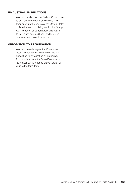## US AUSTRALIAN RELATIONS

WA Labor calls upon the Federal Government to publicly stress our shared values and traditions with the people of the United States of America and to publicly remind the Trump Administration of its transgressions against those values and traditions, and to do so whenever such violations occur

#### OPPOSITION TO PRIVATISATION

WA Labor needs to give the Government clear and consistent guidance of Labor's opposition to privatisation by preparing, for consideration at the State Executive in November 2017, a consolidated version of various Platform items.